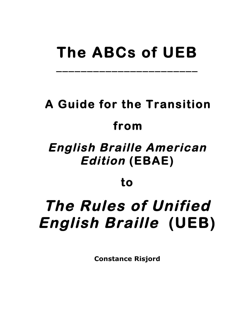# The ABCs of UEB

# **A Guide for the Transition from**

# **English Braille American Edition (EBAE)**

## **to**

# **The Rules of Unified English Braille (UEB)**

**Constance Risjord**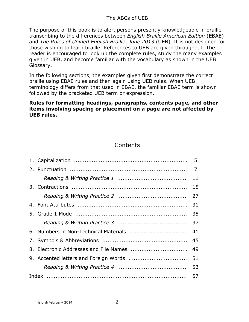The purpose of this book is to alert persons presently knowledgeable in braille transcribing to the differences between *English Braille American Edition* (EBAE) and *The Rules of Unified English Braille*, *June 2013* (UEB). It is not designed for those wishing to learn braille. References to UEB are given throughout. The reader is encouraged to look up the complete rules, study the many examples given in UEB, and become familiar with the vocabulary as shown in the UEB Glossary.

In the following sections, the examples given first demonstrate the correct braille using EBAE rules and then again using UEB rules. When UEB terminology differs from that used in EBAE, the familiar EBAE term is shown followed by the bracketed UEB term or expression.

#### **Rules for formatting headings, paragraphs, contents page, and other items involving spacing or placement on a page are not affected by UEB rules.**

**Contents** 

\_\_\_\_\_\_\_\_\_\_\_\_\_\_\_\_\_\_

|  | $\overline{7}$ |
|--|----------------|
|  | 11             |
|  | 15             |
|  | 27             |
|  | 31             |
|  | 35             |
|  | 37             |
|  |                |
|  |                |
|  | 49             |
|  |                |
|  |                |
|  |                |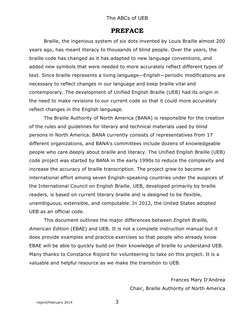#### The ABCs of UEB

#### **PREFACE**

Braille, the ingenious system of six dots invented by Louis Braille almost 200 years ago, has meant literacy to thousands of blind people. Over the years, the braille code has changed as it has adapted to new language conventions, and added new symbols that were needed to more accurately reflect different types of text. Since braille represents a living language—English—periodic modifications are necessary to reflect changes in our language and keep braille vital and contemporary. The development of Unified English Braille (UEB) had its origin in the need to make revisions to our current code so that it could more accurately reflect changes in the English language.

The Braille Authority of North America (BANA) is responsible for the creation of the rules and guidelines for literary and technical materials used by blind persons in North America. BANA currently consists of representatives from 17 different organizations, and BANA's committees include dozens of knowledgeable people who care deeply about braille and literacy. The Unified English Braille (UEB) code project was started by BANA in the early 1990s to reduce the complexity and increase the accuracy of braille transcription. The project grew to become an international effort among seven English-speaking countries under the auspices of the International Council on English Braille. UEB, developed primarily by braille readers, is based on current literary braille and is designed to be flexible, unambiguous, extensible, and computable. In 2012, the United States adopted UEB as an official code.

This document outlines the major differences between *English Braille, American Edition* (EBAE) and UEB. It is not a complete instruction manual but it does provide examples and practice exercises so that people who already know EBAE will be able to quickly build on their knowledge of braille to understand UEB. Many thanks to Constance Risjord for volunteering to take on this project. It is a valuable and helpful resource as we make the transition to UEB.

> Frances Mary D'Andrea Chair, Braille Authority of North America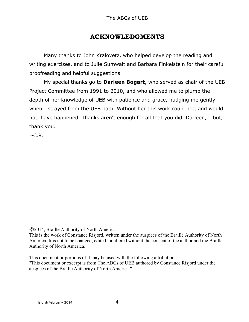## **ACKNOWLEDGMENTS**

Many thanks to John Kralovetz, who helped develop the reading and writing exercises, and to Julie Sumwalt and Barbara Finkelstein for their careful proofreading and helpful suggestions.

My special thanks go to **Darleen Bogart**, who served as chair of the UEB Project Committee from 1991 to 2010, and who allowed me to plumb the depth of her knowledge of UEB with patience and grace, nudging me gently when I strayed from the UEB path. Without her this work could not, and would not, have happened. Thanks aren't enough for all that you did, Darleen, —but, thank you.

 $\sim$ C.R.

©2014, Braille Authority of North America

This is the work of Constance Risjord, written under the auspices of the Braille Authority of North America. It is not to be changed, edited, or altered without the consent of the author and the Braille Authority of North America.

This document or portions of it may be used with the following attribution:

"This document or excerpt is from The ABCs of UEB authored by Constance Risjord under the auspices of the Braille Authority of North America."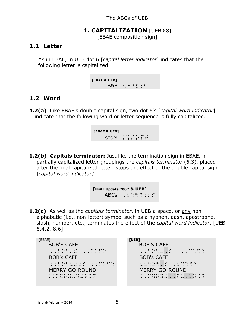#### **1. CAPITALIZATION** [UEB §8]

[EBAE composition sign]

## **1.1 Letter**

As in EBAE, in UEB dot 6 [*capital letter indicator*] indicates that the following letter is capitalized.

> **[EBAE & UEB] B&B** , **BEAR**

## **1.2 Word**

**1.2(a)** Like EBAE's double capital sign, two dot 6's [*capital word indicator*] indicate that the following word or letter sequence is fully capitalized.

> **[EBAE & UEB]** STOP! ,,/OP6

**1.2(b) Capitals terminator:** Just like the termination sign in EBAE, in partially capitalized letter groupings the *capitals terminator* (6,3), placed after the final capitalized letter, stops the effect of the double capital sign [*capital word indicator].* 

> **[EBAE Update 2007 & UEB]**  $ABCs$ ,  $ABHIBHIB$

**1.2(c)** As well as the *capitals terminator*, in UEB a space, or any nonalphabetic (i.e., non-letter) symbol such as a hyphen, dash, apostrophe, slash, number, etc., terminates the effect of the *capital word indicator*. [UEB 8.4.2, 8.6]

[EBAE]

 BOB'S CAFE ,,BOB'S ,,CAFE BOB's CAFE ,,BOB,''S ,,CAFE MERRY-GO-ROUND ,,M]RY-G-R.D

**[UEB]** BOB'S CAFE,,BOB',S ,,CAFE BOB's CAFE ,,BOB'S ,,CAFE MERRY-GO-ROUND ,,M]RY-,,G-,,R.D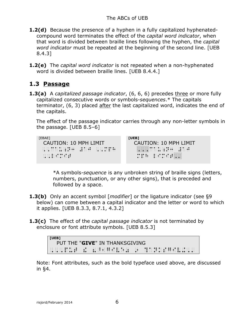- **1.2(d)** Because the presence of a hyphen in a fully capitalized hyphenatedcompound word terminates the effect of the *capital word indicator*, when that word is divided between braille lines following the hyphen, the *capital word indicator* must be repeated at the beginning of the second line. [UEB 8.4.3]
- **1.2(e)** The *capital word indicator* is not repeated when a non-hyphenated word is divided between braille lines. [UEB 8.4.4.]

## **1.3 Passage**

**1.3(a)** A *capitalized passage indicator*, (6, 6, 6) precedes three or more fully capitalized consecutive words or symbols*-sequences*.\* The capitals terminator, (6, 3) placed after the last capitalized word, indicates the end of the capitals.

The effect of the passage indicator carries through any non-letter symbols in the passage.  $[UEB 8.5-6]$ 

[EBAE] CAUTION: 10 MPH LIMIT ,,CAU;N3 #AJ ,,MPH  $\frac{1}{2}$ ,  $\frac{1}{2}$ ,  $\frac{1}{2}$ ,  $\frac{1}{2}$ ,  $\frac{1}{2}$ ,  $\frac{1}{2}$ ,  $\frac{1}{2}$ ,  $\frac{1}{2}$ ,  $\frac{1}{2}$ ,  $\frac{1}{2}$ ,  $\frac{1}{2}$ ,  $\frac{1}{2}$ ,  $\frac{1}{2}$ ,  $\frac{1}{2}$ ,  $\frac{1}{2}$ ,  $\frac{1}{2}$ ,  $\frac{1}{2}$ ,  $\frac{1}{2}$ ,  $\frac{1}{2}$ ,  $\frac{1}{2}$ ,

**[UEB]** CAUTION: 10 MPH LIMIT ,,,CAU;N3 #AJ MPH LIMIT,'

\*A symbols*-sequence* is any unbroken string of braille signs (letters, numbers, punctuation, or any other signs), that is preceded and followed by a space.

- **1.3(b)** Only an accent symbol [*modifier*] or the ligature indicator (see §9 below) can come between a capital indicator and the letter or word to which it applies. [UEB 8.3.3, 8.7.1, 4.3.2]
- **1.3(c)** The effect of the *capital passage indicator* is not terminated by enclosure or font attribute symbols. [UEB 8.5.3]

**[UEB]** PUT THE "**GIVE**" IN THANKSGIVING ,,,PUT ! 8^1GIVE0 9 ?ANKSGIV+,'

Note: Font attributes, such as the bold typeface used above, are discussed in §4.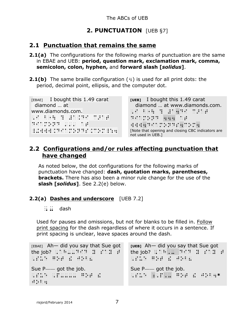## **2. PUNCTUATION [UEB §7]**

### **2.1 Punctuation that remains the same**

- **2.1(a)** The configurations for the following marks of punctuation are the same in EBAE and UEB: **period, question mark, exclamation mark, comma, semicolon, colon, hyphen,** and **forward slash [***solidus***]**.
- **2.1(b)** The same braille configuration (::) is used for all print dots: the period, decimal point, ellipsis, and the computer dot.

| $[EBAE]$ I bought this 1.49 carat |  |                                        |                                                                                |                                                               |  |
|-----------------------------------|--|----------------------------------------|--------------------------------------------------------------------------------|---------------------------------------------------------------|--|
| diamond  at                       |  |                                        |                                                                                |                                                               |  |
| www.diamonds.com.                 |  |                                        |                                                                                |                                                               |  |
|                                   |  |                                        | $\bullet\bullet\quad \cdot\quad \cdot\bullet\quad \cdot\quad \cdot\quad \cdot$ | .<br>ومائلها كالمتهاد بالتباري والمتمومات المتمار<br>$\cdots$ |  |
| .                                 |  | $\bullet\cdot\bullet\cdot\bullet\cdot$ | $\cdot$ . $\bullet$ .                                                          |                                                               |  |
|                                   |  |                                        |                                                                                |                                                               |  |

**[UEB]** I bought this 1.49 carat diamond … at www.diamonds.com. ,I B"\ ? #A4DI C>AT DIAMOND 444 AT WWW4DIAMONDS4COM4 [Note that opening and closing CBC indicators are not used in UEB.]

## **2.2 Configurations and/or rules affecting punctuation that have changed**

As noted below, the dot configurations for the following marks of punctuation have changed: **dash, quotation marks, parentheses, brackets.** There has also been a minor rule change for the use of the **slash [***solidus***]**. See 2.2(e) below.

#### **2.2(a) Dashes and underscore** [UEB 7.2]

 $\dddot{a}$   $\dddot{a}$  dash

Used for pauses and omissions, but not for blanks to be filled in. Follow print spacing for the dash regardless of where it occurs in a sentence. If print spacing is unclear, leave spaces around the dash.

```
[EBAE] Ah— did you say that Sue got 
the job? \frac{1}{2} SAH-\frac{1}{2} SH-F SAY TE SAY THE SAY THE SAY THE SAY THE SAY THAT SAY THE SAY THAT SAY THAT SAY THE SAY THAT SAY THAT SAY THAT SAY THAT SAY THAT SAY THAT SAY THAT SAY THAT SAY THAT SAY THAT SAY THAT SA
,SUE GOT ! JOB8
Sue P—— got the job.
\frac{1}{2}, \frac{1}{2}, \frac{1}{2}, \frac{1}{2}, \frac{1}{2}, \frac{1}{2}, \frac{1}{2}, \frac{1}{2}, \frac{1}{2}, \frac{1}{2}, \frac{1}{2}, \frac{1}{2}, \frac{1}{2}, \frac{1}{2}, \frac{1}{2}, \frac{1}{2}, \frac{1}{2}, \frac{1}{2}, \frac{1}{2}, \frac{1}{2}, HOB4
                                                                                                                                                      [UEB] Ah— did you say that Sue got 
                                                                                                                                                      the job? \frac{11}{2}\frac{11}{2}\frac{11}{2}\frac{11}{2}\frac{11}{2}\frac{11}{2}\frac{11}{2}\frac{11}{2}\frac{11}{2}, SUE GOT $1,000 (SUE) (SUE) (SUE) (SUE) (SUE) (SUE) (SUE) (SUE) (SUE) (SUE) (SUE) (SUE) (SUE) (SUE) (SUE) (SU<br>SUE GOT $1,000 (SUE) (SUE) (SUE) (SUE) (SUE) (SUE) (SUE) (SUE) (SUE) (SUE) (SUE) (SUE) (SUE) (SUE) (SUE) (SUE)
                                                                                                                                                       Sue P—— got the job.
                                                                                                                                                       , SUE ;,P,- GOT ! JOB ?, P, - GOT ?, P, - GOT ?, P, - GOT ?, P, - GOT ?, P, - GOT ?, P, - GOT ?, P, - GOT ?, P,<br>- SUE ?, P, - GOT ?, P, - GOT ?, P, - GOT ?, P, - GOT ?, P, - GOT ?, P, - GOT ?, P, - GOT ?, P, - GOT ?, P, -<br>
```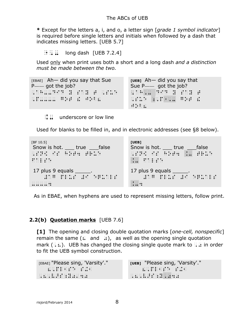**\*** Except for the letters a, i, and o, a letter sign [*grade 1 symbol indicator*] is required before single letters and initials when followed by a dash that indicates missing letters. [UEB 5.7]

 $\therefore$   $\therefore$  long dash [UEB 7.2.4]

Used only when print uses both a short and a long dash *and a distinction must be made between the two.*

```
[EBAE] Ah - did you say that Sue
P—— got the job? 
, AH--DID Y SAY TO SAY TO SAY TO SAY TO SAY TO SAY TO SAY TO SAY TO SAY TO SAY TO SAY TO SAY TO SAY TO SAY TO <br>AH--DID Y SAY TO SAY TO SAY TO SAY TO SAY TO SAY TO SAY TO SAY TO SAY TO SAY TO SAY TO SAY TO SAY TO SAY TO SA
\frac{1}{2}, \frac{1}{2}, \frac{1}{2}, \frac{1}{2}, \frac{1}{2}, \frac{1}{2}, \frac{1}{2}, \frac{1}{2}, \frac{1}{2}, \frac{1}{2}, \frac{1}{2}, \frac{1}{2}, \frac{1}{2}, \frac{1}{2}, \frac{1}{2}, \frac{1}{2}, \frac{1}{2}, \frac{1}{2}, \frac{1}{2}, \frac{1}{2}, [UEB] Ah— did you say that 
                                                                                                                                                                   Sue P—— got the job? 
                                                                                                                                                                  \frac{1}{2}, \frac{1}{2}, \frac{1}{2}, \frac{1}{2}, \frac{1}{2}, \frac{1}{2}, \frac{1}{2}, \frac{1}{2}, \frac{1}{2}, \frac{1}{2}, \frac{1}{2}, \frac{1}{2}, \frac{1}{2}, \frac{1}{2}, \frac{1}{2}, \frac{1}{2}, \frac{1}{2}, \frac{1}{2}, \frac{1}{2}, \frac{1}{2}, ,SUE ;,P",- GOT !
                                                                                                                                                                    \frac{1}{2} \frac{1}{2} \frac{1}{2} \frac{1}{2} \frac{1}{2} \frac{1}{2}
```
 $\therefore$  underscore or low line

Used for blanks to be filled in, and in electronic addresses (see §8 below).

[BF 10.5] Snow is hot. \_\_\_\_ true \_\_\_\_\_ false , SN[ IS HOT4 TRUE CONSTRUCT TO A REPORT OF THE RESIDENT OF THE RESIDENT OF THE RESIDENT OF THE RESIDENT OF TH<br>SNF IS HOT4 TRUE CONSTRUCT OF THE RESIDENT OF THE RESIDENT OF THE RESIDENT OF THE RESIDENT OF THE RESIDENT OF<br>  $\frac{1}{2}$ 17 plus 9 equals #AG PLUS #I EQUALS ----4 **[UEB]**  Snow is hot. \_\_\_ true \_\_\_false , SN[ IS HOT4 .- TRUE ALL IS HOT4 .- TRUE ALL IS HOT4 .- TRUE ALL IS HOT4 .- TRUE ALL IS HOT4 .- TRUE ALL IS H<br>SNE TRUE ALL IS HOT4 .- TRUE ALL IS HOT4 .- TRUE ALL IS HOT4 .- TRUE ALL IS HOT4 .- TRUE ALL IS HOT4 .- TRUE A<br>  $\begin{bmatrix} 1 & 1 & 1 \\ 1 & 1 & 1 \end{bmatrix}$  .  $\begin{bmatrix} 1 & 1 & 1 \\ 1 & 1 & 1 \end{bmatrix}$  ,  $\begin{bmatrix} 1 & 1 & 1 \\ 1 & 1 & 1 \end{bmatrix}$ 17 plus 9 equals #AG PLUS #I EQUALS .-4

As in EBAE, when hyphens are used to represent missing letters, follow print.

#### **2.2(b) Quotation marks** [UEB 7.6]

**[1]** The opening and closing double quotation marks [*one-cell, nonspecific*] remain the same  $(i:$  and  $(i:$ , as well as the opening single quotation mark  $(0, \ldots)$ . UEB has changed the closing single quote mark to  $\ldots$  in order to fit the UEB symbol construction.

```
[EBAE] "Please sing, 'Varsity'." 
                     8, PLNS Strategy (1988)<br>8, PLNS Strategy (1988)<br>8, PLNS Strategy (1988)<br>8, PLNS Strategy (1988)
 ,8, V, V, V, O, V, O, V, O, O, V, O, V, O, V, O, V, O, V, O, V, O, V, O, V, O, V, O, V, O, V, O, V, O, V, O, V<br>Siya (1992) (1993) (1993) (1993) (1994) (1994) (1994)<br>(1994) (1994) (1994) (1994) (1994) (1994) (1994) (1994) (
```

```
[UEB] "Please sing, 'Varsity'." 
                       8, PLASH (1998)<br>8, PLASH (1998)<br>80, PLASH (1998)<br>8, PLASH (1999)
,8, V, S, V, S, V, S, V, S, V, S, V, S, V, S, V, S, V, S, V, S, V, S, V, S, V, S, V, S, V, S, V, S, V, S, V, S, V, S, V, S, V, S, V, S, V, S, V, S, V, S, V, S, V, S, V, S, V, S, V, S, V, S, V, S, V, S, V, S, V, S, V, S, V
```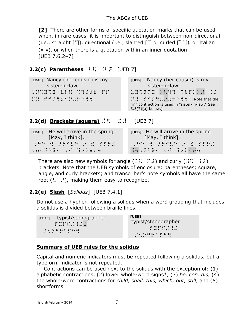**[2]** There are other forms of specific quotation marks that can be used when, in rare cases, it is important to distinguish between non-directional (i.e., straight ["]), directional (i.e., slanted [*"*] or curled [" "]), or Italian (« »), or when there is a quotation within an inner quotation.  $[UEB 7.6.2-7]$ 

## **2.2(c) Parentheses**  $\mathbf{H}$   $\mathbf{H}$   $\mathbf{H}$   $\mathbf{H}$   $\mathbf{H}$   $\mathbf{H}$   $\mathbf{H}$   $\mathbf{H}$

|                                              | [EBAE] Nancy (her cousin) is my                                                                                                                                                                                                                                                                              |  |  |  |  |  |  |  |  |  |  |
|----------------------------------------------|--------------------------------------------------------------------------------------------------------------------------------------------------------------------------------------------------------------------------------------------------------------------------------------------------------------|--|--|--|--|--|--|--|--|--|--|
| sister-in-law.                               |                                                                                                                                                                                                                                                                                                              |  |  |  |  |  |  |  |  |  |  |
|                                              | $\cdots$<br>$\cdot \bullet \quad \cdot \bullet$<br>$\bullet\cdot\bullet\cdot$<br><br>$\cdots \quad \bullet \quad \bullet \quad \bullet \quad \cdot \quad \bullet \quad \bullet \quad \bullet \quad \bullet$<br>. . <b>. . . .</b> .<br>$\cdot$ . $\bullet$ .<br>$\bullet\bullet\quad \cdot\quad\cdot\bullet$ |  |  |  |  |  |  |  |  |  |  |
| <br>$\cdots$<br>$\bullet\cdot\bullet\bullet$ |                                                                                                                                                                                                                                                                                                              |  |  |  |  |  |  |  |  |  |  |

**[UEB]** Nancy (her cousin) is my sister-in-law. ,NANCY "<H] C\S9"> IS  $\mathbb{R}$ :  $\mathbb{R}$   $\mathbb{R}$   $\mathbb{R}$   $\mathbb{R}$   $\mathbb{R}$   $\mathbb{R}$   $\mathbb{R}$   $\mathbb{R}$   $\mathbb{R}$   $\mathbb{R}$   $\mathbb{R}$  [Note that the "in" contraction is used in "sister-in-law." See 3.5(7)[a] below.]

## **2.2(d) Brackets (square)**  $\vdots \vdots$   $\vdots$   $\vdots$  [UEB 7]

| <b>TEBAE1</b> | He will arrive in the spring                                                                                                                                                                                                                                          | [UEB] He will arrive in the spring |
|---------------|-----------------------------------------------------------------------------------------------------------------------------------------------------------------------------------------------------------------------------------------------------------------------|------------------------------------|
|               | [May, I think].                                                                                                                                                                                                                                                       | [May, I think].                    |
|               |                                                                                                                                                                                                                                                                       |                                    |
|               | $\bullet\bullet\quad \cdot\quad \bullet\quad \cdot\quad \cdot\quad \cdot\quad \cdot\quad \cdot\quad \cdot$<br>$\cdots$<br>$\cdots \bullet \bullet \cdot \bullet \cdot \bullet \cdot \bullet \bullet \bullet \cdot \cdot \cdot \bullet$<br>$\cdot \bullet \cdot \cdot$ |                                    |

There are also new symbols for angle  $(\mathbb{R} : \mathbb{R} \times \mathbb{R})$  and curly  $(\mathbb{R} : \mathbb{R} \times \mathbb{R})$ brackets. Note that the UEB symbols of enclosure: parentheses; square, angle, and curly brackets; and transcriber's note symbols all have the same root  $(\mathbf{::} \mathbf{:})$ , making them easy to recognize.

#### **2.2(e) Slash** [*Solidus*] [UEB 7.4.1]

Do not use a hyphen following a solidus when a word grouping that includes a solidus is divided between braille lines.

| typist/stenographer<br>[EBAE] | [UEB]<br>typist/stenographer                                                                                                                                                                                                           |
|-------------------------------|----------------------------------------------------------------------------------------------------------------------------------------------------------------------------------------------------------------------------------------|
|                               | $\cdots \quad \bullet \quad \cdots \quad \bullet \quad \bullet \quad \bullet \quad \bullet \quad \bullet \quad \bullet \quad \cdots \quad \bullet \quad \bullet \quad \bullet \quad \bullet \quad \bullet \quad \bullet \quad \bullet$ |

#### **Summary of UEB rules for the solidus**

Capital and numeric indicators must be repeated following a solidus, but a typeform indicator is not repeated.

Contractions can be used next to the solidus with the exception of: (1) alphabetic contractions, (2) lower whole-word signs\*, (3) *be, con, dis*, (4) the whole-word contractions for *child, shall, this, which, out, still*, and (5) shortforms.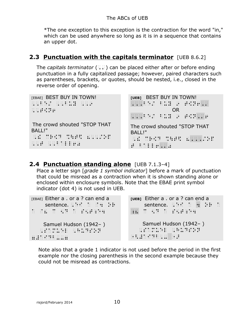\*The one exception to this exception is the contraction for the word "in," which can be used anywhere so long as it is in a sequence that contains an upper dot.

## **2.3 Punctuation with the capitals terminator** [UEB 8.6.2]

The *capitals terminator*  $(\mathbb{C}, \mathbb{C})$  can be placed either after or before ending punctuation in a fully capitalized passage; however, paired characters such as parentheses, brackets, or quotes, should be nested, i.e., closed in the reverse order of opening.

| [EBAE] BEST BUY IN TOWN!<br>$\cdots \cdots \bullet \bullet \bullet \cdots \bullet$<br>.<br>$\cdots \cdots \bullet \cdots \bullet \cdots$<br>$\cdots\cdots\bullet\cdots\bullet$<br>.<br>$\cdot \cdot \cdot \cdot$                                                  | <b>BEST BUY IN TOWN!</b><br><b>TUEB1</b><br>. <b>. .</b><br>$\bullet\cdot\bullet\cdot\bullet\bullet$<br>$\cdots$<br>$\bullet \cdot \cdot \cdot \cdot \bullet$<br>$\cdot$ .<br>. <b>.</b><br>$\cdots$<br>$\cdots$<br>$\bullet$ .<br>$\mathbf{a} \cdot \mathbf{a} \cdot \mathbf{a} \cdot \mathbf{a} \cdot \mathbf{a} \cdot \mathbf{a} \cdot \mathbf{a} \cdot \mathbf{a} \cdot \mathbf{a} \cdot \mathbf{a} \cdot \mathbf{a} \cdot \mathbf{a} \cdot \mathbf{a} \cdot \mathbf{a} \cdot \mathbf{a} \cdot \mathbf{a} \cdot \mathbf{a} \cdot \mathbf{a} \cdot \mathbf{a} \cdot \mathbf{a} \cdot \mathbf{a} \cdot \mathbf{a} \cdot \mathbf{a} \cdot \mathbf{a} \cdot \mathbf{a} \cdot \mathbf{a} \cdot \mathbf{a} \cdot \mathbf{$<br>$\cdot$<br>.<br>$\begin{array}{cccccccccccccc} \bullet & \bullet & \bullet & \bullet & \bullet & \bullet \end{array}$<br>$\sim$ $\sim$<br>$\bullet \cdot \cdot \cdot \cdot \bullet$<br>$\cdot$ .<br>$\mathbf{1} \oplus \mathbf{2} \oplus \mathbf{3} \oplus \mathbf{4} \oplus \mathbf{5} \oplus \mathbf{6} \oplus \mathbf{7} \oplus \mathbf{8} \oplus \mathbf{8} \oplus \mathbf{9} \oplus \mathbf{10} \oplus \mathbf{11} \oplus \mathbf{12} \oplus \mathbf{13} \oplus \mathbf{16} \oplus \mathbf{17} \oplus \mathbf{18} \oplus \mathbf{19} \oplus \mathbf{19} \oplus \mathbf{19} \oplus \mathbf{19} \oplus \mathbf{19} \oplus \mathbf{19} \oplus$<br>$\cdots$<br>$\bullet$ . |
|-------------------------------------------------------------------------------------------------------------------------------------------------------------------------------------------------------------------------------------------------------------------|---------------------------------------------------------------------------------------------------------------------------------------------------------------------------------------------------------------------------------------------------------------------------------------------------------------------------------------------------------------------------------------------------------------------------------------------------------------------------------------------------------------------------------------------------------------------------------------------------------------------------------------------------------------------------------------------------------------------------------------------------------------------------------------------------------------------------------------------------------------------------------------------------------------------------------------------------------------------------------------------------------------------------------------------------------------------------------------------------------------------------------------------------------------------------------------------------------------------------------------------------------------------------------------------------------------------------------------------------------------------------------------------------------|
| The crowd shouted "STOP THAT<br><b>BAII</b> <sup>1</sup><br>$\cdot$ $\cdot$ $\cdot$ $\bullet$<br>. <b>.</b><br>.<br>.<br>$\cdot$ . $\bullet$ .<br>$\cdots \bullet \cdot \cdot \bullet \cdot \cdot \cdot$<br>$\cdot$<br>.<br>$\cdots$ $\cdots$ $\cdots$<br>$\cdot$ | The crowd shouted "STOP THAT<br>BAII!"<br>. <b>.</b><br>$\cdots$<br>$\cdots$<br>.<br>.<br>$\cdot$<br>$\cdots$ .<br>. 0.00<br>.<br>.<br>$\bullet\bullet$<br>.<br>$\bullet$ .                                                                                                                                                                                                                                                                                                                                                                                                                                                                                                                                                                                                                                                                                                                                                                                                                                                                                                                                                                                                                                                                                                                                                                                                                             |

## **2.4 Punctuation standing alone** [UEB 7.1.3‒4]

Place a letter sign [*grade 1 symbol indicator*] before a mark of punctuation that could be misread as a contraction when it is shown standing alone or enclosed within enclosure symbols. Note that the EBAE print symbol indicator (dot 4) is not used in UEB.

| $[EBAE]$ Either a . or a ? can end a<br>sentence. $\therefore$ $\therefore$ $\therefore$ $\therefore$ $\therefore$ $\therefore$ $\therefore$ $\therefore$<br>$\bullet\bullet$ . The $\bullet\bullet$ . The $\bullet$ is the $\bullet$ is the $\bullet$ is the $\bullet$ is the $\bullet$<br>$\cdot \bullet \cdot \cdot$<br>$\cdots$ , and a set of the set of the set of the set of the set of the set of the set of the set of the set of the set of the set of the set of the set of the set of the set of the set of the set of the set of the set of th<br>$\cdot$ $\cdot$<br>in the second community of the second community of the second community of the second community of the second o<br>$\cdot$ $\cdot$ | [UEB] Either a . or a ? can end a<br>sentence. $\therefore$ $\therefore$ $\therefore$ $\therefore$ $\therefore$ $\therefore$<br>$\bullet$ .<br>$\cdot$ .<br>$\cdot$ .<br>$\mathbf{1} \times \mathbf{1} \oplus \mathbf{0} \qquad \mathbf{0} \times \mathbf{1} \qquad \mathbf{1} \oplus \mathbf{1} \times \mathbf{1} \oplus \mathbf{1} \times \mathbf{1} \oplus \mathbf{1} \times \mathbf{1} \ .$<br>$\bullet\bullet$<br>$\cdots$<br>$\cdots$<br>$\cdot \bullet \bullet \cdot$<br>. 0.02                                                                                                                                                                                                                                                                                                                                                                                                                                                                                                                                                                                                               |
|----------------------------------------------------------------------------------------------------------------------------------------------------------------------------------------------------------------------------------------------------------------------------------------------------------------------------------------------------------------------------------------------------------------------------------------------------------------------------------------------------------------------------------------------------------------------------------------------------------------------------------------------------------------------------------------------------------------------|------------------------------------------------------------------------------------------------------------------------------------------------------------------------------------------------------------------------------------------------------------------------------------------------------------------------------------------------------------------------------------------------------------------------------------------------------------------------------------------------------------------------------------------------------------------------------------------------------------------------------------------------------------------------------------------------------------------------------------------------------------------------------------------------------------------------------------------------------------------------------------------------------------------------------------------------------------------------------------------------------------------------------------------------------------------------------------------------------|
| Samuel Hudson (1942-)                                                                                                                                                                                                                                                                                                                                                                                                                                                                                                                                                                                                                                                                                                | Samuel Hudson (1942-)<br>$\mathbf{a} \cdot \mathbf{a} = \mathbf{a} \cdot \mathbf{a} + \mathbf{a} \cdot \mathbf{a} + \mathbf{a} \cdot \mathbf{a} + \mathbf{a} \cdot \mathbf{a} + \mathbf{a} \cdot \mathbf{a} + \mathbf{a} \cdot \mathbf{a} + \mathbf{a} \cdot \mathbf{a} + \mathbf{a} \cdot \mathbf{a} + \mathbf{a} \cdot \mathbf{a} + \mathbf{a} \cdot \mathbf{a} + \mathbf{a} \cdot \mathbf{a} + \mathbf{a} \cdot \mathbf{a} + \mathbf{a} \cdot \mathbf{a} + \mathbf{a} \cdot \math$<br>. A second second contract the consequence of $\mathbf{a} \cdot \mathbf{b}$<br>$\cdots$<br>$\mathbf{1} \oplus \mathbf{0} \oplus \mathbf{1} \oplus \mathbf{0} \oplus \mathbf{1} \oplus \mathbf{0} \oplus \mathbf{1} \oplus \mathbf{0} \oplus \mathbf{1} \oplus \mathbf{1} \oplus \mathbf{1} \oplus \mathbf{1} \oplus \mathbf{1} \oplus \mathbf{1} \oplus \mathbf{1} \oplus \mathbf{1} \oplus \mathbf{1} \oplus \mathbf{1} \oplus \mathbf{1} \oplus \mathbf{1} \oplus \mathbf{1} \oplus \mathbf{1} \oplus \mathbf{1} \oplus \mathbf{1} \oplus \mathbf{$<br>$\cdot \cdot \cdot \cdot$<br>$\cdot$ . $\bullet$ . |

Note also that a grade 1 indicator is not used before the period in the first example nor the closing parenthesis in the second example because they could not be misread as contractions.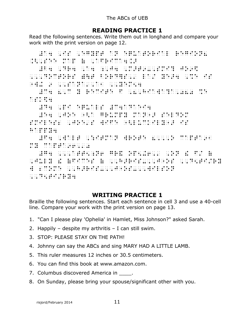## **READING PRACTICE 1**

Read the following sentences. Write them out in longhand and compare your work with the print version on page 12.

```
 #A4 ,IS ,EGYPT AN EQUATORIAL REGION8
\frac{1}{2}, \frac{1}{2}, \frac{1}{2}, \frac{1}{2}, \frac{1}{2}, \frac{1}{2}, \frac{1}{2}, \frac{1}{2}, \frac{1}{2}, \frac{1}{2}, \frac{1}{2}, \frac{1}{2}, \frac{1}{2}, \frac{1}{2}, \frac{1}{2}, \frac{1}{2}, \frac{1}{2}, \frac{1}{2}, \frac{1}{2}, \frac{1}{2}, #B4 , B4 , December , December , December , December , December , December , December , December , December ,<br>2019 : John , January , January , January , Joseph , December , December , December , December , Maria , Decem<br>2
,,,DOCTORS )\T BORD]S,' LA/ YE>4 ,%E IS
\frac{1}{2} , \frac{1}{2} , \frac{1}{2} , \frac{1}{2} , \frac{1}{2} , \frac{1}{2} , \frac{1}{2} , \frac{1}{2} , \frac{1}{2} , \frac{1}{2} , \frac{1}{2} , \frac{1}{2} , \frac{1}{2} , \frac{1}{2} , \frac{1}{2} , \frac{1}{2} , \frac{1}{2} , \frac{1}{2} , \frac{1 #C4 8,C Y RECITE F ,8,HIAWA?A,080 %E
\frac{1}{2} \frac{1}{2} \frac{1}{2} \frac{1}{2} \frac{1}{2} \frac{1}{2} \frac{1}{2} #D4 ,PI EQUALS #C4ADAEI4
         #E4 , JOE " (A GRUMPY" MAN ") (A GRUMPY" MAN ") (A GRUMPY" MAN ") (A GRUMPY" MAN ") (A GRUMPY" MAN ") (A GRUMP<br>And the selection of the selection of the selection of the selection of the selection of the selection of the
S SMILES , A RESPONSE TO THE SERVE OF THE SERVE OF THE SERVE OF THE SERVE OF THE SERVE OF THE SERVE OF THE SER<br>SAN AND AN ARRIVE WAS CITED AND RESPONSE TO A RESPONSE TO A SUBSERIAL SERVER OF THE SERVER OF THE SAN ARRIVE O<br>
HAPPY4
         #F4 88 | 2008 | 2019 | 2019 | 2019 | 2020 | 2030 | 2040 | 2050 | 2050 | 2050 | 2050 | 2060 | 2060 | 2060 | 207<br>#F4 87 88 | 2019 | 2020 | 2030 | 2040 | 2050 | 2050 | 2060 | 2060 | 2060 | 2060 | 2060 | 2070 | 2080 | 2080 |<br>#
MY CAPTA96,'0
          #G4 ,,,ATT5;N6 GR& OP5+6,' ,ON ! F/ (
,JULY ! (FICES ( ,,H>RIS-,,J"OS ,,D5TI/RY
W 2COME ,, HOLDEN , DE SOULDER , HOLDEN , HOLDEN , HOLDEN , HOLDEN , HOLDEN , HOLDEN , HOLDEN , HOLDEN , HOLDE<br>DE SOULDER , HOLDEN , HOLDEN , HOLDEN , HOLDEN , HOLDEN , HOLDEN , HOLDEN , HOLDEN , HOLDEN , HOLDEN , HOLDEN<br>D
,,D5TI/RY4
```
#### **WRITING PRACTICE 1**

Braille the following sentences. Start each sentence in cell 3 and use a 40-cell line. Compare your work with the print version on page 13.

- 1. "Can I please play 'Ophelia' in Hamlet, Miss Johnson?" asked Sarah.
- 2. Happily despite my arthritis I can still swim.
- 3. STOP: PLEASE STAY ON THE PATH!
- 4. Johnny can say the ABCs and sing MARY HAD A LITTLE LAMB.
- 5. This ruler measures 12 inches or 30.5 centimeters.
- 6. You can find this book at www.amazon.com.
- 7. Columbus discovered America in Fig.
- 8. On Sunday, please bring your spouse/significant other with you.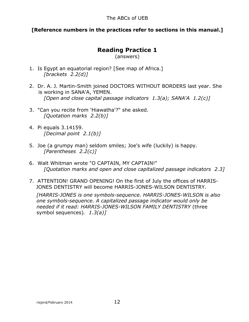#### **[Reference numbers in the practices refer to sections in this manual.]**

## **Reading Practice 1**

(answers)

- 1. Is Egypt an equatorial region? [See map of Africa.] *[brackets 2.2(d)]*
- 2. Dr. A. J. Martin-Smith joined DOCTORS WITHOUT BORDERS last year. She is working in SANA'A, YEMEN. *[Open and close capital passage indicators 1.3(a); SANA'A 1.2(c)]*
- 3. "Can you recite from 'Hiawatha'?" she asked. *[Quotation marks 2.2(b)]*
- 4. Pi equals 3.14159. *[Decimal point 2.1(b)]*
- 5. Joe (a grumpy man) seldom smiles; Joe's wife (luckily) is happy. *[Parentheses 2.2(c)]*
- 6. Walt Whitman wrote "O CAPTAIN, MY CAPTAIN!" *[Quotation marks and open and close capitalized passage indicators 2.3]*
- 7. ATTENTION! GRAND OPENING! On the first of July the offices of HARRIS- JONES DENTISTRY will become HARRIS-JONES-WILSON DENTISTRY.

*[HARRIS-JONES is one symbols-sequence. HARRIS-JONES-WILSON is also one symbols-sequence. A capitalized passage indicator would only be needed if it read: HARRIS-JONES-WILSON FAMILY DENTISTRY* (three symbol sequences)*. 1.3(a)]*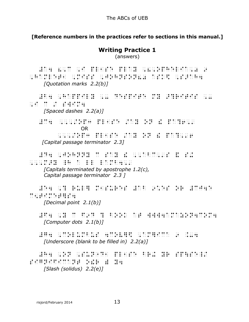#### **[Reference numbers in the practices refer to sections in this manual.]**

## **Writing Practice 1** (answers) #A4 8, 2008, 2008, 2008, 2009, 2009, 2009, 2009, 2009, 2009, 2019, 2019, 2019, 2019, 2019, 2019, 2019, 2019, 2<br>A4 8, OPHELIA, 2018, 2019, 2019, 2019, 2019, 2019, 2019, 2019, 2019, 2019, 2019, 2019, 2019, 2019, 2019, 2019<br>A ,HAMLET1 ,MISS ,JOHNSON80 ASK\$ ,S>AH4 *[Quotation marks 2.2(b)]* # 2010 | HAPPILY | DESPITE MORT | DESPITE MORT | DESPITE MORT | DESPITE | HAPPILY | DESPITE | HAPPILY | HAPPI<br>| HAPPILY | HAPPILY | DESPITE MORT | HAPPILY | HAPPILY | DESPITE | HAPPILY | HAPPILY | DESPITE | HAPPILY | HA<br>| ,I C / SWIM4 *[Spaced dashes 2.2(a)]*  $\frac{1}{2}$  , and  $\frac{1}{2}$  , and  $\frac{1}{2}$  , and  $\frac{1}{2}$  , and  $\frac{1}{2}$  , and  $\frac{1}{2}$  , and  $\frac{1}{2}$  , and  $\frac{1}{2}$  , and  $\frac{1}{2}$  , and  $\frac{1}{2}$  , and  $\frac{1}{2}$  , and  $\frac{1}{2}$  , and  $\frac{1}{2}$  , and  $\frac{1}{2}$  , a

**OR** OR ,,,/OP3 PL1SE /AY ON ! PA?,'6 *[Capital passage terminator 2.3]*

 #D4 ,JOHNNY C SAY ! ,,ABC,'S & S+ ,,,M>Y \_H A LL LAMB4,'

*[Capitals terminated by apostrophe 1.2(c), Capital passage terminator 2.3 ]*

#E4 , RULL] MARKET # 1989 # 1989 | 1989 | 1989 # 1989 | 1989 | 1989 # 1989 | 1989 | 1989 | 1989 | 1989 | 1989<br>1989 | 1989 | 1989 | 1989 | 1989 | 1989 | 1989 | 1989 | 1989 | 1989 | 1989 | 1989 | 1989 | 1989 | 1989 # 1989<br>19 C5TIMET]S4

*[Decimal point 2.1(b)]*

.<br>19 de desdica de la Computación de la Computación de la Computación de la Computación de la Computación de La<br>20 de de la Computación de Barra de la Computación de la Computación de la Computación de la Computación de L *[Computer dots 2.1(b)]*

 #G4 ,COLUMBUS 4COV]\$ ,AM]ICA 9 .-4 *[Underscore (blank to be filled in) 2.2(a)]*

 #H4 ,ON ,SUN"D1 PL1SE BR+ YR SP\SE\_/ SIGNIFICANT O!R ) Y4 *[Slash (solidus) 2.2(e)]*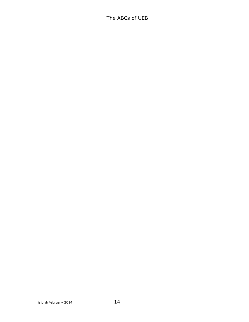#### The ABCs of UEB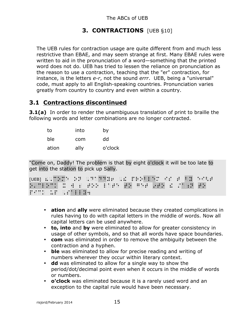## **3. CONTRACTIONS** [UEB §10]

The UEB rules for contraction usage are quite different from and much less restrictive than EBAE, and may seem strange at first. Many EBAE rules were written to aid in the pronunciation of a word—something that the printed word does not do. UEB has tried to lessen the reliance on pronunciation as the reason to use a contraction, teaching that the "er" contraction, for instance, is the letters *e-r*, not the sound *errr*. UEB, being a "universal" code, must apply to all English-speaking countries. Pronunciation varies greatly from country to country and even within a country.

## **3.1 Contractions discontinued**

**3.1(a)** In order to render the unambiguous translation of print to braille the following words and letter combinations are no longer contracted.

| to    | into | by      |
|-------|------|---------|
| ble   | com  | dd      |
| ation | ally | o'clock |

"Come on, Daddy! The problem is that by eight o'clock it will be too late to get into the station to pick up Sally.

| <b>THER</b>                                                                                                                                                               |  |  |  |                                                                   |                  |  | $\bullet\cdot\bullet\bullet$ |                                                                                                                                                                   |  |  |  |  |  |  |                                                                                                   |  |                                                                                            |  |  |                                                                                              | $\cdots$ . | $\cdot \bullet \cdot \bullet$                                                                                                                                                                    | $\cdot \bullet$<br>$\bullet\bullet$<br>$\bullet$ .    |  | $\bullet\quad\bullet\bullet$<br>$\bullet\cdot\cdot\bullet$<br>$\cdot$ |                                                       |  | $\cdots\cdots\cdots\cdots\cdots$ |  |
|---------------------------------------------------------------------------------------------------------------------------------------------------------------------------|--|--|--|-------------------------------------------------------------------|------------------|--|------------------------------|-------------------------------------------------------------------------------------------------------------------------------------------------------------------|--|--|--|--|--|--|---------------------------------------------------------------------------------------------------|--|--------------------------------------------------------------------------------------------|--|--|----------------------------------------------------------------------------------------------|------------|--------------------------------------------------------------------------------------------------------------------------------------------------------------------------------------------------|-------------------------------------------------------|--|-----------------------------------------------------------------------|-------------------------------------------------------|--|----------------------------------|--|
|                                                                                                                                                                           |  |  |  |                                                                   | $\bullet\bullet$ |  |                              | . The contract of the contract of the contract of the contract of the contract of $\mathbf{r}$                                                                    |  |  |  |  |  |  | $\cdot \bullet \bullet \cdot$<br>$\bullet\bullet\quadbullet\bullet$<br>$\bullet\cdot\bullet\cdot$ |  | $\bullet\bullet\bullet\cdot\cdot\bullet$<br>$\bullet\bullet\;\cdot\bullet\;\bullet\bullet$ |  |  | $\cdot \bullet \bullet \bullet \cdot \bullet$<br>$\bullet\cdot\bullet\cdot\bullet\cdot\quad$ |            | $\bullet$ $\bullet$ $\bullet$ $\bullet$ $\bullet$ $\bullet$<br>$\bullet \cdot \quad \cdot \quad \cdot \quad \cdot \quad \cdot \quad \cdot \quad \bullet \quad \cdot \bullet$<br>$\bullet\bullet$ | $\bullet\cdot\cdot\cdot\cdot\bullet\bullet\cdot\cdot$ |  |                                                                       | $\cdot \cdot \cdot$<br><br>$\bullet\cdot\bullet\cdot$ |  |                                  |  |
| $\bullet\bullet\;\cdot\bullet\;\bullet\bullet\;\bullet\;\cdot$<br>$\bullet\cdot\bullet\cdot\cdot\cdot\cdot\cdot$<br>$\bullet \cdot \cdot \cdot \cdot \cdot \bullet \cdot$ |  |  |  | $\bullet\cdot\bullet\bullet$<br>.<br>$\bullet\bullet\bullet\cdot$ |                  |  |                              | $\cdots \quad \bullet \quad \cdots \quad \bullet \quad \bullet \quad \bullet \quad \bullet \quad \bullet \quad \bullet \quad \bullet \quad \bullet \quad \bullet$ |  |  |  |  |  |  |                                                                                                   |  |                                                                                            |  |  |                                                                                              |            |                                                                                                                                                                                                  |                                                       |  |                                                                       |                                                       |  |                                  |  |

- **ation** and **ally** were eliminated because they created complications in rules having to do with capital letters in the middle of words. Now all capital letters can be used anywhere.
- **to, into** and **by** were eliminated to allow for greater consistency in usage of other symbols, and so that all words have space boundaries.
- **com** was eliminated in order to remove the ambiguity between the contraction and a hyphen.
- **ble** was eliminated to allow for precise reading and writing of numbers wherever they occur within literary context.
- **dd** was eliminated to allow for a single way to show the period/dot/decimal point even when it occurs in the middle of words or numbers.
- **o'clock** was eliminated because it is a rarely used word and an exception to the capital rule would have been necessary.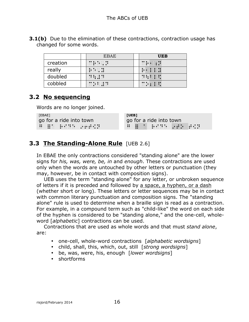**3.1(b)** Due to the elimination of these contractions, contraction usage has changed for some words.

|          | <b>EBAE</b>                                                                                                                                                                                                                                                                                                                                                                                                                                                                                                                                      | <b>UEB</b>                                                                                                                                                                                                                                                                                                                                                                                                                                                                                                                                                                         |
|----------|--------------------------------------------------------------------------------------------------------------------------------------------------------------------------------------------------------------------------------------------------------------------------------------------------------------------------------------------------------------------------------------------------------------------------------------------------------------------------------------------------------------------------------------------------|------------------------------------------------------------------------------------------------------------------------------------------------------------------------------------------------------------------------------------------------------------------------------------------------------------------------------------------------------------------------------------------------------------------------------------------------------------------------------------------------------------------------------------------------------------------------------------|
| creation | $\cdots \bullet \bullet \quad \cdots \quad \cdots$<br>$\cdots \quad \bullet \quad \cdots \quad \bullet \quad \bullet \quad \bullet \quad \bullet$                                                                                                                                                                                                                                                                                                                                                                                                | $\bullet\bullet\ \bullet\ \cdot\ \cdot\ \cdot\ \cdot\ \bullet\bullet$<br>$\cdots \quad \bullet \quad \cdots \quad \bullet \quad \bullet \quad \bullet \quad \bullet$                                                                                                                                                                                                                                                                                                                                                                                                               |
| really   | $\bullet\cdot\ \bullet\cdot\ \cdot\ \cdot\ \bullet\bullet$<br>$\bullet\bullet\ \cdot\bullet\ \cdot\ \cdot\ \cdot\bullet$                                                                                                                                                                                                                                                                                                                                                                                                                         |                                                                                                                                                                                                                                                                                                                                                                                                                                                                                                                                                                                    |
| doubled  | $\bullet\bullet\hspace{0.1cm}\bullet\hspace{0.1cm}\cdot\hspace{0.1cm}\bullet\hspace{0.1cm}\bullet\hspace{0.1cm}\bullet\hspace{0.1cm}\bullet\hspace{0.1cm}\bullet\hspace{0.1cm}\bullet\hspace{0.1cm}\bullet\hspace{0.1cm}\bullet\hspace{0.1cm}\bullet\hspace{0.1cm}\bullet\hspace{0.1cm}\bullet\hspace{0.1cm}\bullet\hspace{0.1cm}\bullet\hspace{0.1cm}\bullet\hspace{0.1cm}\bullet\hspace{0.1cm}\bullet\hspace{0.1cm}\bullet\hspace{0.1cm}\bullet\hspace{0.1cm}\bullet\hspace{0.$<br>$\cdot$ $\cdot$ $\cdot$ $\bullet$ $\bullet$ $\cdot$ $\cdot$ | $\cdots \quad \bullet \quad \cdots \quad \bullet \quad \cdots \quad \bullet$                                                                                                                                                                                                                                                                                                                                                                                                                                                                                                       |
| cobbled  |                                                                                                                                                                                                                                                                                                                                                                                                                                                                                                                                                  | $\bullet\bullet\hspace{0.1cm}\bullet\hspace{0.1cm}\cdot\hspace{0.1cm}\cdot\hspace{0.1cm}\bullet\hspace{0.1cm}\cdot\hspace{0.1cm}\bullet\bullet\hspace{0.1cm}\bullet\hspace{0.1cm}\bullet\hspace{0.1cm}\bullet\hspace{0.1cm}\bullet\hspace{0.1cm}\bullet\hspace{0.1cm}\bullet\hspace{0.1cm}\bullet\hspace{0.1cm}\bullet\hspace{0.1cm}\bullet\hspace{0.1cm}\bullet\hspace{0.1cm}\bullet\hspace{0.1cm}\bullet\hspace{0.1cm}\bullet\hspace{0.1cm}\bullet\hspace{0.1cm}\bullet\hspace{$<br>$\cdots \quad \bullet \quad \bullet \quad \bullet \quad \bullet \quad \bullet \quad \bullet$ |

## **3.2 No sequencing**

Words are no longer joined.

| [EBAE]                                                                                                                                                                                                                                                                                                                    | <b>TUEB1</b>                                                                                                                                                                                                                                                                                                                                                        |
|---------------------------------------------------------------------------------------------------------------------------------------------------------------------------------------------------------------------------------------------------------------------------------------------------------------------------|---------------------------------------------------------------------------------------------------------------------------------------------------------------------------------------------------------------------------------------------------------------------------------------------------------------------------------------------------------------------|
| go for a ride into town                                                                                                                                                                                                                                                                                                   | go for a ride into town                                                                                                                                                                                                                                                                                                                                             |
| $\bullet \cdot \cdot \bullet \bullet \bullet \bullet \cdot$<br>$\cdots$<br>$\bullet\bullet$<br>$\bullet\bullet$<br>$\bullet\bullet\bullet\cdot\cdot\bullet\cdot\bullet$<br>$\bullet\bullet\;\cdot\;\cdot$<br>$\bullet\bullet\;\;\cdot\;\;\cdot$<br>$\bullet \cdot \cdot \cdot \cdot \cdot \cdot \cdot$<br>$\cdot$ $\cdot$ | $\bullet\cdot\cdot\bullet\bullet\bullet\bullet\cdot$<br>$\cdot \bullet \cdot \bullet \bullet \bullet$<br>$\bullet\bullet$<br>$\bullet\bullet$<br>$\bullet$ .<br>$\bullet\bullet$<br>$\cdots$<br>$\bullet\bullet$<br>$\cdots$<br>$\bullet\cdot\bullet\cdot\bullet\cdot$<br>$\bullet \cdot \cdot \cdot \cdot \cdot \cdot \cdot$<br>$\cdot$ $\cdot$<br>$\cdot$ $\cdot$ |

## **3.3 The Standing-Alone Rule** [UEB 2.6]

In EBAE the only contractions considered "standing alone" are the lower signs for *his, was, were, be, in* and *enough*. These contractions are used only when the words are untouched by other letters or punctuation (they may, however, be in contact with composition signs).

UEB uses the term "standing alone" for any letter, or unbroken sequence of letters if it is preceded and followed by a space, a hyphen, or a dash (whether short or long). These letters or letter sequences may be in contact with common literary punctuation and composition signs. The "standing alone" rule is used to determine when a braille sign is read as a contraction. For example, in a compound term such as "child-like" the word on each side of the hyphen is considered to be "standing alone," and the one-cell, wholeword [*alphabetic*] contractions can be used.

Contractions that are used as whole words and that must *stand alone*, are:

- one-cell, whole-word contractions [*alphabetic wordsigns*]
- child, shall, this, which, out, still [*strong wordsigns*]
- be, was, were, his, enough [*lower wordsigns*]
- shortforms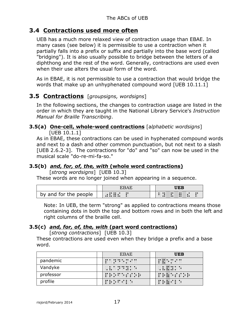## **3.4 Contractions used more often**

UEB has a much more relaxed view of contraction usage than EBAE. In many cases (see below) it is permissible to use a contraction when it partially falls into a prefix or suffix and partially into the base word (called "bridging"). It is also usually possible to bridge between the letters of a diphthong and the rest of the word. Generally, contractions are used even when their use alters the usual form of the word.

As in EBAE, it is not permissible to use a contraction that would bridge the words that make up an unhyphenated compound word [UEB 10.11.1]

## **3.5 Contractions** [*groupsigns, wordsigns*]

In the following sections, the changes to contraction usage are listed in the order in which they are taught in the National Library Service's *Instruction Manual for Braille Transcribing*.

#### **3.5(a) One-cell, whole-word contractions** [a*lphabetic wordsigns*] [UEB 10.1.1]

As in EBAE, these contractions can be used in hyphenated compound words and next to a dash and other common punctuation, but not next to a slash [UEB 2.6.2-3]. The contractions for "do" and "so" can now be used in the musical scale "do-re-mi-fa-so."

#### **3.5(b)** *and, for, of, the, with* **(whole word contractions)**

[*strong wordsigns*] [UEB 10.3]

These words are no longer joined when appearing in a sequence.

| by and for the people | $\bullet\bullet$<br>$\bullet$ .<br><br>$\bullet$ . | $\bullet\cdot\bullet\bullet$<br>$\bullet \cdot \cdot \bullet$<br>$\cdots$ | $\bullet\bullet$<br>$\bullet$ .<br>$\bullet\bullet$ | $\bullet\bullet$<br>$\bullet\bullet$<br>$\bullet\bullet$ | $\bullet$ .<br>$\bullet\bullet$ | $\bullet\bullet$<br>$\bullet$ .<br>$\bullet$ . |  |  |  |  |  |  |
|-----------------------|----------------------------------------------------|---------------------------------------------------------------------------|-----------------------------------------------------|----------------------------------------------------------|---------------------------------|------------------------------------------------|--|--|--|--|--|--|

Note: In UEB, the term "strong" as applied to contractions means those containing dots in both the top and bottom rows and in both the left and right columns of the braille cell.

#### **3.5(c)** *and, for, of, the, with* **(part word contractions)**

[*strong contractions*] [UEB 10.3]

These contractions are used even when they bridge a prefix and a base word.

|           | <b>EBAE</b> | <b>UEB</b>                                                                                           |
|-----------|-------------|------------------------------------------------------------------------------------------------------|
| pandemic  | .<br>.      | .                                                                                                    |
| Vandyke   |             | $\cdots$<br>$\cdots \bullet \cdot \bullet \cdot \cdot \cdot \bullet \cdot \cdot \cdot \cdot \bullet$ |
| professor |             |                                                                                                      |
| profile   | .           |                                                                                                      |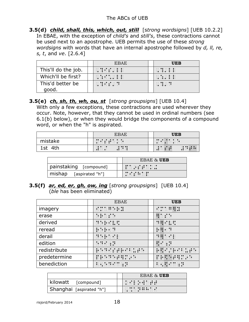**3.5(d)** *child, shall, this, which, out, still* [s*trong wordsigns*] [UEB 10.2.2] In EBAE, with the exception of *child's* and *still's*, these contractions cannot be used next to an apostrophe. UEB permits the use of these *strong wordsigns* with words that have an internal apostrophe followed by *d, ll, re, s, t*, and *ve*. [2.6.4]

|                     | ERAE.                                                                                                                                                                                                                                                                                                                                                                                                                                                                                                                                                                                                                                                                                                                                                                                                                                                                                                                                                                                                                                                                                                      | UEB                                                                                                                                                                                                       |
|---------------------|------------------------------------------------------------------------------------------------------------------------------------------------------------------------------------------------------------------------------------------------------------------------------------------------------------------------------------------------------------------------------------------------------------------------------------------------------------------------------------------------------------------------------------------------------------------------------------------------------------------------------------------------------------------------------------------------------------------------------------------------------------------------------------------------------------------------------------------------------------------------------------------------------------------------------------------------------------------------------------------------------------------------------------------------------------------------------------------------------------|-----------------------------------------------------------------------------------------------------------------------------------------------------------------------------------------------------------|
| This'll do the job. | $\mathbf{a} \cdot \mathbf{a} \cdot \mathbf{a} \cdot \mathbf{a} \cdot \mathbf{a} \cdot \mathbf{a} \cdot \mathbf{a} \cdot \mathbf{a} \cdot \mathbf{a} \cdot \mathbf{a} \cdot \mathbf{a} \cdot \mathbf{a} \cdot \mathbf{a} \cdot \mathbf{a} \cdot \mathbf{a} \cdot \mathbf{a} \cdot \mathbf{a} \cdot \mathbf{a} \cdot \mathbf{a} \cdot \mathbf{a} \cdot \mathbf{a} \cdot \mathbf{a} \cdot \mathbf{a} \cdot \mathbf{a} \cdot \mathbf{a} \cdot \mathbf{a} \cdot \mathbf{a} \cdot \mathbf{$<br>$\mathbf{1} \oplus \mathbf{2} \oplus \mathbf{3} \oplus \mathbf{4} \oplus \mathbf{5} \oplus \mathbf{6} \oplus \mathbf{6} \oplus \mathbf{7} \oplus \mathbf{8} \oplus \mathbf{8} \oplus \mathbf{9} \oplus \mathbf{10} \oplus \mathbf{11} \oplus \mathbf{12} \oplus \mathbf{13} \oplus \mathbf{14} \oplus \mathbf{15} \oplus \mathbf{16} \oplus \mathbf{17} \oplus \mathbf{18} \oplus \mathbf{19} \oplus \mathbf{19} \oplus \mathbf{19} \oplus \$                                                                                                                                                                     | $\cdots \quad \bullet \bullet \quad \cdots \quad \bullet \quad \bullet \quad \bullet \quad \cdots$<br>$\cdots \quad \bullet \quad \cdots \quad \bullet \quad \bullet \quad \bullet \quad \bullet$         |
| Which'll be first?  | $\cdots \quad \bullet \quad \cdots \quad \bullet \quad \bullet \quad \bullet \quad \cdots \quad \bullet \quad \bullet \quad \bullet \quad \cdots$<br>$\mathbf{a} \cdot \mathbf{a} = \mathbf{a} \cdot \mathbf{a} + \mathbf{a} \cdot \mathbf{a} + \mathbf{a} \cdot \mathbf{a} + \mathbf{a} \cdot \mathbf{a} + \mathbf{a} \cdot \mathbf{a} + \mathbf{a} \cdot \mathbf{a} + \mathbf{a} \cdot \mathbf{a} + \mathbf{a} \cdot \mathbf{a} + \mathbf{a} \cdot \mathbf{a} + \mathbf{a} \cdot \mathbf{a} + \mathbf{a} \cdot \mathbf{a} + \mathbf{a} \cdot \mathbf{a} + \mathbf{a} \cdot \mathbf{a} + \mathbf{a} \cdot \math$<br>$\mathbf{r} \cdot \mathbf{a} \quad \mathbf{r} \cdot \mathbf{a} \quad \mathbf{r} \cdot \mathbf{r} \quad \mathbf{r} \cdot \mathbf{a} \quad \mathbf{a} \cdot \mathbf{r} \quad \mathbf{a} \cdot \mathbf{r} \quad \mathbf{a} \cdot \mathbf{r} \quad \mathbf{a} \cdot \mathbf{r} \quad \mathbf{a} \cdot \mathbf{r} \quad \mathbf{a} \cdot \mathbf{r} \quad \mathbf{a} \cdot \mathbf{r} \quad \mathbf{a} \cdot \mathbf{r} \quad \mathbf{a} \cdot \mathbf{r} \quad \mathbf{a} \cdot \mathbf{$ | $\cdots \quad \bullet \quad \cdots \quad \bullet \quad \bullet \quad \bullet \quad \bullet$<br>$\cdots \quad \bullet \quad \bullet \quad \bullet \quad \bullet \quad \bullet \quad \bullet \quad \bullet$ |
| This'd better be    | $\mathbf{r} \cdot \mathbf{a} \quad \mathbf{r} \cdot \mathbf{a} \quad \mathbf{r} \cdot \mathbf{r} \quad \mathbf{a} \cdot \mathbf{r} \quad \mathbf{a} \cdot \mathbf{r} \cdot \mathbf{r} \cdot \mathbf{r}$                                                                                                                                                                                                                                                                                                                                                                                                                                                                                                                                                                                                                                                                                                                                                                                                                                                                                                    | $\cdots$<br>$\cdots \quad \bullet \quad \bullet \quad \bullet \quad \bullet \quad \bullet$                                                                                                                |
| good.               |                                                                                                                                                                                                                                                                                                                                                                                                                                                                                                                                                                                                                                                                                                                                                                                                                                                                                                                                                                                                                                                                                                            |                                                                                                                                                                                                           |

**3.5(e)** *ch, sh, th, wh, ou, st* [*strong groupsigns*] [UEB 10.4] With only a few exceptions, these contractions are used wherever they occur. Note, however, that they cannot be used in ordinal numbers (see 6.1(b) below), or when they would bridge the components of a compound word, or when the "h" is aspirated.

|         | FRAF                                                                                                                                                                                                                                                        | UEB                                                                                                                                                                                                                                                                                                                                                                                        |
|---------|-------------------------------------------------------------------------------------------------------------------------------------------------------------------------------------------------------------------------------------------------------------|--------------------------------------------------------------------------------------------------------------------------------------------------------------------------------------------------------------------------------------------------------------------------------------------------------------------------------------------------------------------------------------------|
| mistake |                                                                                                                                                                                                                                                             | $\bullet \cdot \cdot \cdot \bullet \cdot \cdot \cdot \bullet \cdot \cdot \cdot$                                                                                                                                                                                                                                                                                                            |
| 1st     | $\cdot \bullet \bullet \cdot \cdot \bullet$<br>$\cdot \bullet \bullet \bullet \bullet \bullet$<br>$\cdot \bullet \cdot \bullet \cdot \bullet$<br>$\cdots$<br>$\bullet\bullet\;\cdot\;\cdot\;\cdot\bullet$<br>$\bullet\bullet\;\cdot\;\cdot\;\bullet\;\cdot$ | $\cdot \bullet \cdot \bullet \bullet \bullet \bullet \bullet$<br>$\bullet\bullet\hspace{0.02in}\bullet\hspace{0.02in}\bullet\hspace{0.02in}\bullet\bullet\bullet$<br>$\bullet\bullet\hspace{0.2cm}\bullet\hspace{0.2cm}\bullet\hspace{0.2cm}\bullet\hspace{0.2cm}\bullet\hspace{0.2cm}\bullet\hspace{0.2cm}\bullet$<br>$\bullet\bullet\quad \cdot\quad \bullet\quad \cdot\quad \cdot\quad$ |

|                           | EBAE & UEB                                                                     |
|---------------------------|--------------------------------------------------------------------------------|
| painstaking [compound]    |                                                                                |
| mishap<br>[aspirated "h"] | $\cdots \bullet \cdot \bullet \cdot \bullet \bullet \cdots \bullet \cdot$<br>. |

**3.5(f)** *ar, ed, er, gh, ow, ing* [*strong groupsigns*] [UEB 10.4] (*ble* has been eliminated)

|              | <b>EBAE</b>                       | <b>UEB</b>                                                                                                                                                                                    |
|--------------|-----------------------------------|-----------------------------------------------------------------------------------------------------------------------------------------------------------------------------------------------|
| imagery      | $\cdot$ .<br>$\cdot$              | .<br>. . <b>. .</b>                                                                                                                                                                           |
| erase        | $\cdots$                          | $\cdots$<br>$\bullet\bullet\quad \cdot\quad \bullet\quad \cdot\quad \bullet$                                                                                                                  |
| derived      | $\cdot$                           |                                                                                                                                                                                               |
| reread       | $\bullet$ $\bullet$               | $\bullet\quad\bullet\bullet\quad\cdot\quad\bullet\bullet$<br>$\bullet\bullet\bullet\bullet\cdot\bullet\bullet$<br>$\bullet\cdot\cdot\bullet\cdot\cdot\cdot\cdot\cdot$                         |
| derail       |                                   | $\cdots$<br>. . <b>. . .</b> .                                                                                                                                                                |
| edition      | . <b>. .</b> .                    | $\bullet\bullet\quad \bullet\quad \cdot\quad \bullet\bullet$<br>$\begin{array}{cccccccccccccc} \bullet & \bullet & \bullet & \cdot & \bullet & \cdot & \bullet & \cdot & \bullet \end{array}$ |
| redistribute |                                   |                                                                                                                                                                                               |
| predetermine | $\cdots$ .<br>.                   | $\cdots$ .<br>$\cdot$<br>.                                                                                                                                                                    |
| benediction  | $\cdots$<br>.<br>. <b>. . .</b> . | $\cdots$<br>. . <b>. .</b> .                                                                                                                                                                  |

|                          | EBAE & UEB                                                                                                                                                                                                                                                                                                                                                                                                                                                                                                                                                                                                                                                                                                                                                                  |
|--------------------------|-----------------------------------------------------------------------------------------------------------------------------------------------------------------------------------------------------------------------------------------------------------------------------------------------------------------------------------------------------------------------------------------------------------------------------------------------------------------------------------------------------------------------------------------------------------------------------------------------------------------------------------------------------------------------------------------------------------------------------------------------------------------------------|
| kilowatt [compound]      | $\cdots \bullet \cdot \bullet \cdot \cdot \bullet \bullet \bullet \bullet \cdot \cdot \bullet \bullet \bullet \bullet \bullet$                                                                                                                                                                                                                                                                                                                                                                                                                                                                                                                                                                                                                                              |
| Shanghai [aspirated "h"] | $\cdots\quad\cdots\quad\cdots\quad\bullet\quad\bullet\quad\bullet\quad\bullet\quad\bullet\quad\cdots\quad\bullet\quad\cdots$<br>$\mathbf{v} \cdot \mathbf{a} \rightarrow \mathbf{a} \rightarrow \mathbf{v} \cdot \mathbf{a} \rightarrow \mathbf{v} \rightarrow \mathbf{v} \rightarrow \mathbf{v} \rightarrow \mathbf{v} \rightarrow \mathbf{v} \rightarrow \mathbf{v} \rightarrow \mathbf{v} \rightarrow \mathbf{v} \rightarrow \mathbf{v} \rightarrow \mathbf{v} \rightarrow \mathbf{v} \rightarrow \mathbf{v} \rightarrow \mathbf{v} \rightarrow \mathbf{v} \rightarrow \mathbf{v} \rightarrow \mathbf{v} \rightarrow \mathbf{v} \rightarrow \mathbf{v} \rightarrow \mathbf{v} \rightarrow \mathbf{v} \rightarrow \mathbf{v} \rightarrow \mathbf{v} \rightarrow \mathbf{$ |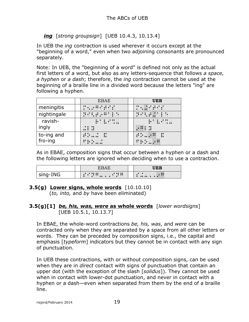*ing* [*strong groupsign*] [UEB 10.4.3, 10.13.4]

In UEB the *ing* contraction is used wherever it occurs except at the "beginning of a word," even when two adjoining consonants are pronounced separately.

Note: In UEB, the "beginning of a word" is defined not only as the actual first letters of a word, but also as any letters-sequence that follows *a space, a hyphen* or *a dash*; therefore, the *ing* contraction cannot be used at the beginning of a braille line in a divided word because the letters "ing" are following a hyphen.

|                       | <b>EBAE</b>                                                                                                                                                                                                                                                                                                                                                                                                                                                                    | <b>UEB</b>                                                                                                                                                                                                                                                                                              |
|-----------------------|--------------------------------------------------------------------------------------------------------------------------------------------------------------------------------------------------------------------------------------------------------------------------------------------------------------------------------------------------------------------------------------------------------------------------------------------------------------------------------|---------------------------------------------------------------------------------------------------------------------------------------------------------------------------------------------------------------------------------------------------------------------------------------------------------|
| meningitis            |                                                                                                                                                                                                                                                                                                                                                                                                                                                                                | .                                                                                                                                                                                                                                                                                                       |
| nightingale           | $\bullet\hspace{0.1cm} \bullet\hspace{0.1cm}\bullet\hspace{0.1cm}\bullet\hspace{0.1cm}\bullet\hspace{0.1cm}\bullet\hspace{0.1cm}\bullet\hspace{0.1cm}\bullet\hspace{0.1cm}\bullet\hspace{0.1cm}\bullet\hspace{0.1cm}\bullet\hspace{0.1cm}\bullet\hspace{0.1cm}\bullet\hspace{0.1cm}\bullet\hspace{0.1cm}\bullet\hspace{0.1cm}\bullet\hspace{0.1cm}\bullet\hspace{0.1cm}\bullet\hspace{0.1cm}\bullet\hspace{0.1cm}\bullet\hspace{0.1cm}\bullet\hspace{0.1cm}\bullet\hspace{0.1$ |                                                                                                                                                                                                                                                                                                         |
| ravish-<br>ingly      | $\bullet\bullet\quad \cdot\quad \bullet\quad \bullet\quad \bullet\quad \cdot\quad\cdot\quad \cdot\quad \cdot\quad \cdot$<br>$\bullet \cdot \cdot \cdot \bullet \bullet \cdot \cdot \cdot \bullet \bullet \bullet$<br>$\cdot$<br>$\cdot$<br>$\cdots$                                                                                                                                                                                                                            | $\bullet \cdot \cdot \cdot \bullet \cdot \bullet \bullet$                                                                                                                                                                                                                                               |
| to-ing and<br>fro-ing | $\bullet\bullet$<br>$\bullet$ .<br>$\bullet\bullet\quadbullet\bullet\quad\cdot\quad\cdot\quad\cdot$<br>$\bullet \cdot \bullet \cdot \bullet \bullet \bullet \bullet$<br>$\bullet\bullet$<br>$\bullet\cdot\ \bullet\bullet\ \cdot\bullet\ \cdot\cdot\ \cdot\ \cdot$<br>$\cdots$ .                                                                                                                                                                                               | $\ddot{\cdot}$<br>$\bullet\bullet\quad\bullet\quad\cdot\quad\cdot\quad\bullet\quad\bullet\bullet$<br>$\bullet \cdot \bullet \cdot \bullet \bullet \bullet \cdot \cdot \cdot$<br>$\cdots \quad \bullet \quad \bullet \quad \bullet \quad \bullet \quad \bullet \quad \bullet \quad \bullet \quad \cdots$ |

As in EBAE, composition signs that occur between a hyphen or a dash and the following letters are ignored when deciding when to use a contraction.

#### **3.5(g) Lower signs, whole words** [10.10.10]

(*to, into,* and *by* have been eliminated)

**3.5(g)[1]** *be, his, was, were* **as whole words** [*lower wordsigns*] [UEB 10.5.1, 10.13.7]

In EBAE, the whole-word contractions *be, his, was*, and *were* can be contracted only when they are separated by a space from all other letters or words. They can be preceded by composition signs, i.e., the capital and emphasis [*typeform*] indicators but they cannot be in contact with any sign of punctuation.

In UEB these contractions, with or without composition signs, can be used when they are in *direct* contact with signs of punctuation that contain an upper dot (with the exception of the slash [*solidus*]). They cannot be used when in contact with lower-dot punctuation, and never in contact with a hyphen or a dash—even when separated from them by the end of a braille line.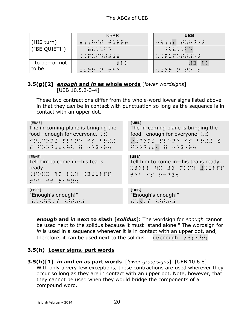|                       | <b>EBAE</b>                                                                                                                                                                                                                                                                                                                                                           | <b>UEB</b>                                                                                                                                                                                                                                                                   |
|-----------------------|-----------------------------------------------------------------------------------------------------------------------------------------------------------------------------------------------------------------------------------------------------------------------------------------------------------------------------------------------------------------------|------------------------------------------------------------------------------------------------------------------------------------------------------------------------------------------------------------------------------------------------------------------------------|
| (HIS turn)            | $\bullet\bullet\cdots\bullet\bullet\cdots\bullet\bullet$                                                                                                                                                                                                                                                                                                              | $\bullet\bullet\cdots\bullet\bullet\cdots\bullet\cdots\bullet$<br>$\cdots \quad \bullet \quad \bullet \quad \bullet \quad \bullet \quad \bullet \quad \bullet \quad \bullet \quad \bullet$                                                                                   |
| ("BE QUIET!")         | $\bullet\bullet\bullet\bullet\cdot\cdot\cdot\cdot\cdot\cdot\bullet\cdot\cdot\bullet\bullet\cdot\cdot\bullet\bullet$                                                                                                                                                                                                                                                   |                                                                                                                                                                                                                                                                              |
| to be—or not<br>to be | $\cdots \bullet \cdot \bullet \cdot$<br>$\bullet \cdot \cdot \cdot \cdot \cdot$<br>$\cdots\cdots\bullet\cdot\bullet\cdots$<br>$\bullet\bullet$<br>$\cdots \bullet \cdot \bullet \cdot$<br>$\bullet\bullet\bullet\cdot\cdot\cdot\bullet$<br>$\bullet$ .<br>$\bullet\bullet\ \bullet\bullet\ \bullet\ \cdot\ \bullet\ \cdot$<br>$\bullet \cdot \cdot \cdot \cdot \cdot$ | $\bullet\cdot\bullet\cdot$<br>$\cdot$<br>$\bullet \cdot \cdot \cdot \bullet$<br>$\bullet\bullet\quadbullet\bullet$<br>$\cdots$<br>$\bullet\bullet$<br>$\cdot \bullet \bullet \cdot$<br>$\cdots$<br>$\bullet$ .<br>$\bullet\cdot\ \bullet\cdot$<br>$\bullet$ .<br>$\bullet$ . |

#### **3.5(g)[2]** *enough* **and** *in* **as whole words** [*lower wordsigns*] [UEB 10.5.2-3-4]

These two contractions differ from the whole-word lower signs listed above in that they *can* be in contact with punctuation so long as the sequence is in contact with an upper dot.

| [EBAE]                                                                                                                                                                                                                                                                                                                     | [UEB]                                                                                                                                                                                                                                                                                                               |
|----------------------------------------------------------------------------------------------------------------------------------------------------------------------------------------------------------------------------------------------------------------------------------------------------------------------------|---------------------------------------------------------------------------------------------------------------------------------------------------------------------------------------------------------------------------------------------------------------------------------------------------------------------|
| The in-coming plane is bringing the                                                                                                                                                                                                                                                                                        | The in-coming plane is bringing the                                                                                                                                                                                                                                                                                 |
| food—enough for everyone. $\mathbb{I}$ :                                                                                                                                                                                                                                                                                   | food—enough for everyone. $\mathbb{I}$ :                                                                                                                                                                                                                                                                            |
| <b>AN AN DE GA DA</b>                                                                                                                                                                                                                                                                                                      | $\cdot\bullet$                                                                                                                                                                                                                                                                                                      |
| $\ddot{\cdot}$ :                                                                                                                                                                                                                                                                                                           | an an in George                                                                                                                                                                                                                                                                                                     |
| $\cdots\cdots\cdots\cdots\cdots$                                                                                                                                                                                                                                                                                           | $\mathbf{1}$                                                                                                                                                                                                                                                                                                        |
| 0.000 0.000                                                                                                                                                                                                                                                                                                                | . <b>.</b>                                                                                                                                                                                                                                                                                                          |
| $\bullet\bullet\quad \cdot\quad \cdot\quad \cdot\quad \cdot\quad \bullet\quad \bullet\quad \bullet\quad \cdot$                                                                                                                                                                                                             | $\bullet$ .                                                                                                                                                                                                                                                                                                         |
| $\bullet\bullet$                                                                                                                                                                                                                                                                                                           |                                                                                                                                                                                                                                                                                                                     |
|                                                                                                                                                                                                                                                                                                                            |                                                                                                                                                                                                                                                                                                                     |
| $\bullet\bullet$                                                                                                                                                                                                                                                                                                           | $\bullet\bullet$                                                                                                                                                                                                                                                                                                    |
|                                                                                                                                                                                                                                                                                                                            |                                                                                                                                                                                                                                                                                                                     |
| $\bullet$ .                                                                                                                                                                                                                                                                                                                | $\bullet\bullet$                                                                                                                                                                                                                                                                                                    |
| $\bullet\bullet$                                                                                                                                                                                                                                                                                                           | $\bullet\bullet$                                                                                                                                                                                                                                                                                                    |
|                                                                                                                                                                                                                                                                                                                            | $\cdots \quad \bullet \quad \bullet \quad \bullet \quad \cdots \quad \bullet \quad \bullet \quad \bullet \quad \bullet \quad \bullet \quad \bullet$                                                                                                                                                                 |
| [EBAE]<br>Tell him to come in-his tea is<br>ready.<br>$\bullet\cdot\bullet\bullet$<br>$\bullet\bullet\;\cdot\;\cdot\;\cdot\bullet$<br>$\bullet\bullet\quad \cdot\ \cdot$<br>$\cdot$ . $\bullet$ .<br>$\bullet$ . $\bullet$<br>$\cdot \bullet \cdot \bullet$<br>$\bullet$ $\bullet$ $\bullet$ $\bullet$<br>.<br>$\cdot$<br> | [UEB]<br>Tell him to come in-his tea is ready.<br>$\bullet\bullet\quadbullet\bullet$<br>$\ddot{\bullet}$ $\ddot{\bullet}$ $\ddot{\bullet}$ $\ddot{\bullet}$<br>$\bullet\cdot\ \bullet\cdot$<br>$\cdots$<br>$\bullet\cdot\bullet\cdot$<br>$\cdots \bullet \cdot \bullet \cdot \cdot \cdot$<br>.<br>$\cdots$<br><br>. |
| [EBAE]                                                                                                                                                                                                                                                                                                                     | [UEB]                                                                                                                                                                                                                                                                                                               |
| "Enough's enough!"                                                                                                                                                                                                                                                                                                         | "Enough's enough!"                                                                                                                                                                                                                                                                                                  |

*enough* **and** *in* **next to slash [***solidus***]:** The wordsign for *enough* cannot be used next to the solidus because it must "stand alone." The wordsign for *in* is used in a sequence whenever it is in contact with an upper dot, and, therefore, it can be used next to the solidus. In/enough  $\therefore$   $\therefore$   $\therefore$ 

## **3.5(h) Lower signs, part words**

**3.5(h)[1]** *in* **and** *en* **as part words** [*lower groupsigns*] [UEB 10.6.8] With only a very few exceptions, these contractions are used wherever they occur so long as they are in contact with an upper dot. Note, however, that they cannot be used when they would bridge the components of a compound word.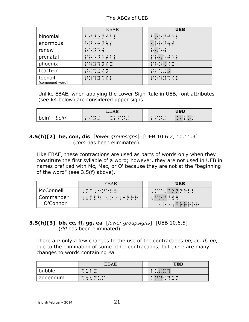#### The ABCs of UEB

|                            | <b>EBAE</b>                                                                                                                                                                                                                                                                                                                                                                                                                                                                         | <b>UEB</b>                                                                                                                                |
|----------------------------|-------------------------------------------------------------------------------------------------------------------------------------------------------------------------------------------------------------------------------------------------------------------------------------------------------------------------------------------------------------------------------------------------------------------------------------------------------------------------------------|-------------------------------------------------------------------------------------------------------------------------------------------|
| binomial                   |                                                                                                                                                                                                                                                                                                                                                                                                                                                                                     | . . <b>. .</b> .                                                                                                                          |
| enormous                   | $\bullet\bullet\hspace{0.1cm}\bullet\hspace{0.1cm}\bullet\hspace{0.1cm}\bullet\hspace{0.1cm}\bullet\hspace{0.1cm}\bullet\hspace{0.1cm}\bullet\hspace{0.1cm}\bullet\hspace{0.1cm}\bullet\hspace{0.1cm}\bullet\hspace{0.1cm}\bullet\hspace{0.1cm}\bullet\hspace{0.1cm}\bullet\hspace{0.1cm}\bullet\hspace{0.1cm}\bullet\hspace{0.1cm}\bullet\hspace{0.1cm}\bullet\hspace{0.1cm}\bullet\hspace{0.1cm}\bullet\hspace{0.1cm}\bullet\hspace{0.1cm}\bullet\hspace{0.1cm}\bullet\hspace{0.$ | $\cdots$                                                                                                                                  |
| renew                      | $\bullet\bullet\quad\bullet\quad\bullet\quad\bullet\quad\bullet\bullet\bullet\bullet$<br>$\bullet \cdot \cdot \cdot \bullet \cdot \cdot \cdot \cdot \bullet$                                                                                                                                                                                                                                                                                                                        | $\bullet\cdot\;\;\cdot\;\;\bullet\;\;\cdot\;\;\bullet$<br>$\cdots$<br>$\bullet \cdot \quad \cdot \bullet \quad \cdot \quad \cdot \bullet$ |
| prenatal                   | .                                                                                                                                                                                                                                                                                                                                                                                                                                                                                   |                                                                                                                                           |
| phoenix                    | 0.77787778777877788                                                                                                                                                                                                                                                                                                                                                                                                                                                                 | $\bullet\cdot\ \bullet\bullet\ \cdot\bullet\ \bullet\cdot\ \bullet\cdot\ \cdot\cdot\cdot$                                                 |
| teach-in                   | $\bullet\bullet\;\cdot\;\cdot\;\bullet\;\cdot\;\cdot\;\cdot\;\cdot\;\bullet\;\bullet\bullet$                                                                                                                                                                                                                                                                                                                                                                                        | .                                                                                                                                         |
| toenail<br>[compound word] |                                                                                                                                                                                                                                                                                                                                                                                                                                                                                     |                                                                                                                                           |

Unlike EBAE, when applying the Lower Sign Rule in UEB, font attributes (see §4 below) are considered upper signs.

|                 |                                                                                                                                                      | H.RAH                                                                                              |                                                                                                                                              |  |
|-----------------|------------------------------------------------------------------------------------------------------------------------------------------------------|----------------------------------------------------------------------------------------------------|----------------------------------------------------------------------------------------------------------------------------------------------|--|
| ∩oir i<br>חוׄ≙ר | $\bullet \bullet \bullet \bullet \bullet \bullet \bullet \bullet \bullet \bullet \bullet$<br>$\bullet \cdot \cdot \cdot \bullet \cdot \bullet \cdot$ | $\cdots \bullet \quad \bullet \quad \cdots \quad \bullet \quad \bullet \quad \bullet \quad \cdots$ | $\bullet \bullet \bullet \bullet \bullet \bullet \bullet \bullet \bullet \bullet$<br>$\bullet \cdot \cdot \cdot \bullet \cdot \bullet \cdot$ |  |

#### **3.5(h)[2] be, con, dis** [*lower groupsigns*] [UEB 10.6.2, 10.11.3] (*com* has been eliminated)

Like EBAE, these contractions are used as parts of words only when they constitute the first syllable of a word; however, they are not used in UEB in names prefixed with Mc, Mac, or O' because they are not at the "beginning of the word" (see 3.5(f) above).

|                       | FRAF.                                                                                                                                                                                                                                                                                                                                                                                                                                                                                 |  | UEB |
|-----------------------|---------------------------------------------------------------------------------------------------------------------------------------------------------------------------------------------------------------------------------------------------------------------------------------------------------------------------------------------------------------------------------------------------------------------------------------------------------------------------------------|--|-----|
| McConnell             | $\mathbf{v} \cdot \mathbf{a} \quad \mathbf{a} \cdot \mathbf{v} \cdot \mathbf{v} \cdot \mathbf{a} \quad \mathbf{v} \cdot \mathbf{a} \cdot \mathbf{v} \cdot \mathbf{a} \cdot \mathbf{a} \cdot \mathbf{a} \cdot \mathbf{a} \cdot \mathbf{a} \cdot \mathbf{a} \cdot \mathbf{a} \cdot \mathbf{a} \cdot \mathbf{a} \cdot \mathbf{a} \cdot \mathbf{a} \cdot \mathbf{a} \cdot \mathbf{a} \cdot \mathbf{a} \cdot \mathbf{a} \cdot \mathbf{a} \cdot \mathbf{a} \cdot \mathbf{a} \cdot \mathbf{$ |  |     |
| Commander<br>O'Connor | $\mathbf{1} \cdot \mathbf{0} \quad \mathbf{0} \cdot \mathbf{1} \cdot \mathbf{0} \cdot \mathbf{1} \cdot \mathbf{0} \quad \mathbf{1} \cdot \mathbf{1} \cdot \mathbf{0} \cdot \mathbf{1} \cdot \mathbf{0} \cdot \mathbf{1} \cdot \mathbf{0} \cdot \mathbf{1} \cdot \mathbf{1} \cdot \mathbf{1} \cdot \mathbf{1} \cdot \mathbf{1} \cdot \mathbf{1} \cdot \mathbf{1} \cdot \mathbf{1} \cdot \mathbf{1} \cdot \mathbf{1} \cdot \mathbf{1} \cdot \mathbf{1} \cdot \mathbf{1} \cdot \mathbf{$ |  |     |

#### **3.5(h)[3] bb, cc, ff, gg, ea** [*lower groupsigns*] [UEB 10.6.5] (*dd* has been eliminated)

There are only a few changes to the use of the contractions *bb, cc, ff, gg,*  due to the elimination of some other contractions, but there are many changes to words containing *ea.*

|          | 7 R A F                                                                                                                                                                | UEB                                                                   |  |
|----------|------------------------------------------------------------------------------------------------------------------------------------------------------------------------|-----------------------------------------------------------------------|--|
| bubble   | $\bullet\cdot\ \bullet\cdot\ \bullet\cdot\ \cdot\bullet$<br>$\bullet \cdot \cdot \cdot \bullet \cdot \cdot \bullet$<br>$\cdots \bullet \bullet \cdots \bullet \bullet$ | $\bullet \cdot \cdot \cdot \bullet \cdot \bullet \cdot \cdot \bullet$ |  |
| addendum |                                                                                                                                                                        |                                                                       |  |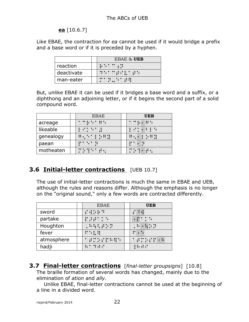### **ea** [10.6.7]

Like EBAE, the contraction for *ea* cannot be used if it would bridge a prefix and a base word or if it is preceded by a hyphen.

|            | EBAE & UEB  |
|------------|-------------|
| reaction   | $\bullet$ . |
| deactivate | . <b>.</b>  |
| man-eater  |             |

But, unlike EBAE it can be used if it bridges a base word and a suffix, or a diphthong and an adjoining letter, or if it begins the second part of a solid compound word.

|           | <b>EBAE</b>                                                                                                | UEB                                                                                                                                            |
|-----------|------------------------------------------------------------------------------------------------------------|------------------------------------------------------------------------------------------------------------------------------------------------|
| acreage   | . <b>.</b>                                                                                                 | . <b>.</b>                                                                                                                                     |
| likeable  | $\bullet \cdot \cdot \cdot \bullet \cdot \cdot \cdot \cdot \cdot \bullet \bullet$                          |                                                                                                                                                |
| genealogy | . <b>. . </b>                                                                                              | $\cdots \quad \bullet \quad \cdots \quad \bullet \quad \bullet \quad \bullet \quad \bullet \quad \cdots \quad \bullet \bullet$                 |
| paean     | $\bullet \cdot \cdot \cdot \cdot \cdot \bullet \cdot \cdot \cdot \cdot \bullet$<br>$\bullet$ . $\bullet$ . | $\bullet\bullet\bullet\cdot\;\cdot\;\cdot\;\bullet\bullet$<br>$\bullet \cdot \cdot \cdot \bullet \cdot \cdot \bullet$<br>$\bullet$ $\bullet$ . |
| motheaten | . <b>.    .</b> .<br>.                                                                                     |                                                                                                                                                |

## **3.6 Initial-letter contractions** [UEB 10.7]

The use of initial-letter contractions is much the same in EBAE and UEB, although the rules and reasons differ. Although the emphasis is no longer on the "original sound," only a few words are contracted differently.

|            | <b>EBAE</b>                                                                                                                                                                                                                                | <b>UEB</b>                                                                                                                                                                                                                                                                                                                                                                                                                            |
|------------|--------------------------------------------------------------------------------------------------------------------------------------------------------------------------------------------------------------------------------------------|---------------------------------------------------------------------------------------------------------------------------------------------------------------------------------------------------------------------------------------------------------------------------------------------------------------------------------------------------------------------------------------------------------------------------------------|
| sword      | $\bullet$ $\bullet$ $\bullet$ $\bullet$ $\bullet$ $\bullet$<br>$\bullet\cdot\ \bullet\bullet\ \cdot\bullet\ \bullet\bullet\ \cdot\bullet$<br>$\bullet \cdot \quad \cdot \bullet \quad \bullet \cdot \quad \bullet \cdot \quad \cdot \cdot$ | $\cdot$<br>$\bullet\cdot\cdot\bullet\bullet\bullet$<br>$\bullet$ $\bullet$                                                                                                                                                                                                                                                                                                                                                            |
| partake    | .<br>$\bullet \cdot \quad \bullet \cdot \quad \bullet \cdot \quad \cdot \quad \bullet \cdot \quad \cdot \cdot$                                                                                                                             | $\cdots \bullet \cdot \cdot \cdot \bullet \cdot \cdot \cdot$                                                                                                                                                                                                                                                                                                                                                                          |
| Houghton   | $\cdots \quad \bullet \quad \bullet \quad \bullet \quad \bullet \quad \bullet \quad \bullet \quad \bullet \quad \bullet \quad \bullet \bullet$                                                                                             | $\cdots \quad \bullet \quad \cdots \quad \bullet \quad \bullet \quad \bullet \quad \bullet \quad \bullet$<br>.                                                                                                                                                                                                                                                                                                                        |
| fever      | .<br>$\bullet\qquad \bullet\quad \bullet\quad \bullet\quad \bullet\bullet$                                                                                                                                                                 | $\bullet\bullet\;\cdot\;\cdot\;\;\bullet\;\cdot$<br>$\bullet\cdot\cdot\bullet\cdot\bullet$<br>.                                                                                                                                                                                                                                                                                                                                       |
| atmosphere |                                                                                                                                                                                                                                            | $\mathbf{r} \cdot \mathbf{r} = \mathbf{0} \cdot \mathbf{r} + \mathbf{0} \cdot \mathbf{r} + \mathbf{0} \cdot \mathbf{r} + \mathbf{0} \cdot \mathbf{r} + \mathbf{r} + \mathbf{r} + \mathbf{r} + \mathbf{r} + \mathbf{r} + \mathbf{r} + \mathbf{r} + \mathbf{r} + \mathbf{r} + \mathbf{r} + \mathbf{r} + \mathbf{r} + \mathbf{r} + \mathbf{r} + \mathbf{r} + \mathbf{r} + \mathbf{r} + \mathbf{r} + \mathbf{r} + \mathbf{r} + \mathbf{r$ |
| hadji      | .                                                                                                                                                                                                                                          | $\cdots$<br>. <b>.</b>                                                                                                                                                                                                                                                                                                                                                                                                                |

**3.7 Final-letter contractions** [*final-letter groupsigns*] [10.8]

The braille formation of several words has changed, mainly due to the elimination of *ation* and *ally.*

Unlike EBAE, final-letter contractions cannot be used at the beginning of a line in a divided word.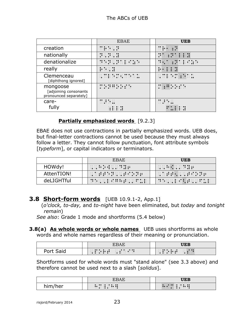|                                                             | <b>EBAE</b>                                                                                                                           | <b>UEB</b>                                                           |
|-------------------------------------------------------------|---------------------------------------------------------------------------------------------------------------------------------------|----------------------------------------------------------------------|
| creation                                                    | $\cdots \quad \bullet \quad \cdots \quad \bullet \quad \bullet \quad \bullet \quad \bullet$                                           | $\cdots \bullet \cdot \cdot \cdot \cdot \cdot \bullet \bullet \cdot$ |
| nationally                                                  | . <b>.</b>                                                                                                                            | $\bullet$ $\bullet$ $\bullet$ $\bullet$<br>.                         |
| denationalize                                               | . <b>. . . .</b>                                                                                                                      | .                                                                    |
| really                                                      | $\bullet\bullet\quad \bullet\quad \cdot\quad \cdot\quad \bullet$<br>$\bullet \cdot \cdot \cdot \cdot \bullet \bullet \bullet \bullet$ |                                                                      |
| Clemenceau<br>[diphthong ignored]                           |                                                                                                                                       |                                                                      |
| mongoose<br>[adjoining consonants<br>pronounced separately] | .                                                                                                                                     | $\bullet\bullet$                                                     |
| care-<br>fully                                              | $\cdots$<br><br>$\cdots$                                                                                                              | $\cdots$                                                             |

#### **Partially emphasized words** [9.2.3]

EBAE does not use contractions in partially emphasized words. UEB does, but final-letter contractions cannot be used because they must always follow a letter. They cannot follow punctuation, font attribute symbols [*typeform*], or capital indicators or terminators.

|                   | FRAF | UER |
|-------------------|------|-----|
| HOWdy!            |      |     |
| <b>AttenTIONI</b> |      |     |
| del IGHTful       |      |     |

## **3.8 Short-form words** [UEB 10.9.1-2, App.1]

 (*o'clock, to-day,* and *to-night* have been eliminated, but *today* and *tonight remain*)

*See also*: Grade 1 mode and shortforms (5.4 below)

**3.8(a)** As whole words or whole names UEB uses shortforms as whole words and whole names regardless of their meaning or pronunciation.

Shortforms used for whole words must "stand alone" (see 3.3 above) and therefore cannot be used next to a slash [*solidus*].

|  |                                                                                                        | $\blacksquare$<br>Ŀ. |
|--|--------------------------------------------------------------------------------------------------------|----------------------|
|  | $\bullet\bullet\quad \cdot\quad \cdot\quad \bullet\quad \cdot\quad \bullet\bullet\quad \bullet\bullet$ |                      |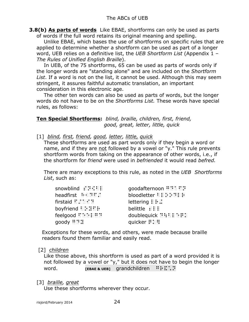**3.8(b) As parts of words** Like EBAE, shortforms can only be used as parts of words if the full word retains its original meaning and spelling.

Unlike EBAE, which bases the use of shortforms on specific rules that are applied to determine whether a shortform can be used as part of a longer word, UEB relies on a definitive list, the UEB Shortform List (Appendix 1 -*The Rules of Unified English Braille*).

In UEB, of the 75 shortforms, 65 can be used as parts of words only if the longer words are "standing alone" and are included on the *Shortform List*. If a word is not on the list, it cannot be used. Although this may seem stringent, it assures faithful automatic translation, an important consideration in this electronic age.

The other ten words can also be used as parts of words, but the longer words do not have to be on the *Shortforms List.* These words have special rules, as follows:

**Ten Special Shortforms:** *blind, braille, children, first, friend, good, great, letter, little, quick* 

[1] *blind, first, friend, good, letter, little, quick*

These shortforms are used as part words only if they begin a word or name, and if they are not followed by a vowel or "y." This rule prevents shortform words from taking on the appearance of other words, i.e., if the shortform for *friend* were used in *befriended* it would read *befred.* 

There are many exceptions to this rule, as noted in the *UEB Shortforms List*, such as:

| snowblind $\mathbf{::} \mathbf{::} \mathbf{::}$            | goodafternoon :: : : : : :                                            |
|------------------------------------------------------------|-----------------------------------------------------------------------|
| headfirst :::::                                            | bloodletter $\mathbf{1}$ : $\mathbf{2}$ : $\mathbf{3}$ : $\mathbf{4}$ |
| firstaid ::::::                                            | lettering $::::$                                                      |
| boyfriend $\mathbf{1} \oplus \mathbf{2} \oplus \mathbf{3}$ | belittle : : : :                                                      |
| feelgood $::::::::"$                                       | doublequick $\mathbb{H}\oplus\mathbb{H}\oplus\mathbb{H}$              |
| goody $\mathbf{H} \mathbf{H}$                              | quicker :: : : :                                                      |

Exceptions for these words, and others, were made because braille readers found them familiar and easily read.

[2] *children*

Like those above, this shortform is used as part of a word provided it is not followed by a vowel or "y," but it does not have to begin the longer Word. **[EBAE & UEB] grandchildren**  $\mathbf{B}$ **:**  $\mathbf{B}$ 

[3] *braille, great*

Use these shortforms wherever they occur.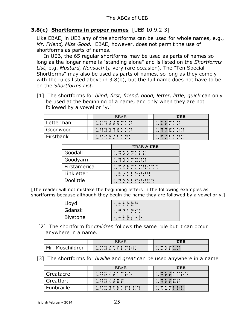#### **3.8(c) Shortforms in proper names** [UEB 10.9.2-3]

Like EBAE, in UEB any of the shortforms can be used for whole names, e.g., *Mr. Friend, Miss Good.* EBAE, however, does not permit the use of shortforms as parts of names.

In UEB, the 65 regular shortforms may be used as parts of names so long as the longer name is "standing alone" and is listed on the *Shortforms List*, e.g. *Mustard, Nonsuch* (a very rare occasion). The "Ten Special Shortforms" may also be used as parts of names, so long as they comply with the rules listed above in 3.8(b), but the full name does not have to be on the *Shortforms List.*

[1] The shortforms for *blind, first, friend, good, letter, little, quick* can only be used at the beginning of a name, and only when they are not followed by a vowel or "y."

|           | FRAF | UER                                                                                                                        |
|-----------|------|----------------------------------------------------------------------------------------------------------------------------|
| Letterman |      | $\cdots \quad \bullet \quad \bullet \quad \bullet \quad \bullet \bullet \quad \bullet \quad \bullet \quad \bullet \bullet$ |
| Goodwood  | .    |                                                                                                                            |
| Firstbank |      | . . <b>. . .</b>                                                                                                           |

|              | EBAE & UEB                                                                                                                                                                                                                   |
|--------------|------------------------------------------------------------------------------------------------------------------------------------------------------------------------------------------------------------------------------|
| Goodall      |                                                                                                                                                                                                                              |
| Goodyarn     |                                                                                                                                                                                                                              |
| Firstamerica |                                                                                                                                                                                                                              |
| Linkletter   | $\cdots \quad \bullet \quad \cdots \quad \bullet \quad \cdots \quad \bullet \quad \cdots \quad \bullet \quad \bullet \quad \bullet \quad \bullet \quad \bullet \quad \bullet \quad \bullet \quad \bullet \quad \bullet$<br>. |
| Doolittle    | .                                                                                                                                                                                                                            |

[The reader will not mistake the beginning letters in the following examples as shortforms because although they begin the name they are followed by a vowel or y.]

| Gdansk          |  |
|-----------------|--|
| <b>Blystone</b> |  |

[2] The shortform for *children* follows the same rule but it can occur anywhere in a name.

|      |                                                                                                                                                                                                                                                                          | 11 D) 3 |
|------|--------------------------------------------------------------------------------------------------------------------------------------------------------------------------------------------------------------------------------------------------------------------------|---------|
| ∣r∆n | $\mathbf{1} \oplus \mathbf{0} \oplus \mathbf{1} \oplus \mathbf{0} \oplus \mathbf{0} \oplus \mathbf{1} \oplus \mathbf{0} \oplus \mathbf{1} \oplus \mathbf{0} \oplus \mathbf{1} \oplus \mathbf{0} \oplus \mathbf{1} \oplus \mathbf{0} \oplus \mathbf{1} \oplus \mathbf{0}$ |         |

[3] The shortforms for *braille* and *great* can be used anywhere in a name*.*

|            |                                                                                                                                                                     | UEB                                                                                                                                                                                                                                                                |
|------------|---------------------------------------------------------------------------------------------------------------------------------------------------------------------|--------------------------------------------------------------------------------------------------------------------------------------------------------------------------------------------------------------------------------------------------------------------|
| Greatacre  |                                                                                                                                                                     |                                                                                                                                                                                                                                                                    |
| Greatfort  | $\cdots \quad \bullet \quad \bullet \quad \bullet \quad \cdots \quad \bullet \quad \bullet \quad \bullet \quad \bullet \quad \bullet$<br>$\cdots$ as as a, as as as | $\bullet\bullet\hspace{0.05cm}\bullet\hspace{0.05cm}\bullet\hspace{0.05cm}\bullet\hspace{0.05cm}\bullet\hspace{0.05cm}\bullet\hspace{0.05cm}\bullet\hspace{0.05cm}\bullet\hspace{0.05cm}\bullet\hspace{0.05cm}\bullet\hspace{0.05cm}\bullet\hspace{0.05cm}\bullet$ |
| Funbraille |                                                                                                                                                                     | $\cdots \quad \bullet \quad \cdots \quad \bullet \quad \bullet \quad \bullet \quad \bullet \quad \bullet \quad \bullet \quad \bullet \quad \bullet \quad \bullet$                                                                                                  |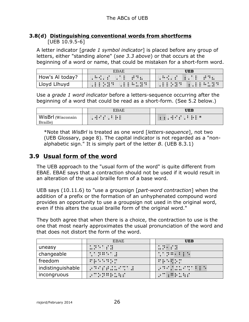#### **3.8(d) Distinguishing conventional words from shortforms** [UEB 10.9.5-6]

A letter indicator [*grade 1 symbol indicator*] is placed before any group of letters, either "standing alone" (*see 3.3 above*) or that occurs at the beginning of a word or name, that could be mistaken for a short-form word.

|                 | <b>EBAE</b>                                                                                                                                                                                                                                                                                      |  | UEB                                                                                                                                                                                                                                                                                                                                                                                                                                                                                                                                                                                                                                             |
|-----------------|--------------------------------------------------------------------------------------------------------------------------------------------------------------------------------------------------------------------------------------------------------------------------------------------------|--|-------------------------------------------------------------------------------------------------------------------------------------------------------------------------------------------------------------------------------------------------------------------------------------------------------------------------------------------------------------------------------------------------------------------------------------------------------------------------------------------------------------------------------------------------------------------------------------------------------------------------------------------------|
| How's Al today? | $\cdots\quad \bullet\quad \  \  \bullet\quad \  \  \bullet\quad \  \  \cdots\quad \  \bullet\quad \  \  \bullet\qquad \qquad$<br>$\bullet \cdot \cdot \cdot \bullet \bullet$                                                                                                                     |  | .<br>$\cdots\quad \bullet\quad \  \  \bullet\quad \  \  \bullet\quad \  \  \cdots\quad \bullet\quad \  \  \bullet\quad \  \  \bullet\qquad \  \  \bullet\quad \  \  \bullet\qquad \  \  \bullet\qquad \  \  \bullet\qquad \  \  \bullet\qquad \  \  \bullet\qquad \  \  \bullet\qquad \  \  \bullet\qquad \  \  \bullet\qquad \  \  \bullet\qquad \  \  \bullet\qquad \  \  \bullet\qquad \  \  \bullet\qquad \  \  \bullet\qquad \  \  \bullet\qquad \  \  \bullet\qquad \  \  \bullet\qquad \  \  \bullet\qquad \  \ $<br>$\bullet\bullet\quad \bullet\quad \bullet\quad \bullet\quad \bullet$<br>$\bullet \cdot \cdot \cdot \bullet \bullet$ |
| Lloyd Llhuyd    | $\cdots \quad \bullet \quad \bullet \quad \bullet \quad \bullet \quad \bullet \quad \bullet \quad \bullet \quad \bullet \bullet \quad \bullet \bullet$<br>$\cdots \bullet \quad \bullet \quad \bullet \quad \bullet \quad \cdots \quad \bullet \bullet \quad \bullet \quad \bullet \quad \cdots$ |  | $\cdots \quad \bullet \quad \bullet \quad \bullet \quad \bullet \quad \bullet \quad \bullet \bullet \quad \bullet \bullet$                                                                                                                                                                                                                                                                                                                                                                                                                                                                                                                      |

Use a *grade 1 word indicator* before a letters-sequence occurring after the beginning of a word that could be read as a short-form. (See 5.2 below.)

|                                     | EBAE | UEB                                                                                                                                                           |
|-------------------------------------|------|---------------------------------------------------------------------------------------------------------------------------------------------------------------|
| WisBrl (Wisconsin<br><b>Braille</b> |      | $\frac{1}{2}$ , $\frac{1}{2}$ , $\frac{1}{2}$ , $\frac{1}{2}$ , $\frac{1}{2}$ , $\frac{1}{2}$ , $\frac{1}{2}$ , $\frac{1}{2}$ , $\frac{1}{2}$ , $\frac{1}{2}$ |

\*Note that *WisBrl* is treated as one word [*letters-sequence*], not two (UEB Glossary, page 8). The capital indicator is not regarded as a "nonalphabetic sign." It is simply part of the letter *B*. (UEB 8.3.1)

## **3.9 Usual form of the word**

The UEB approach to the "usual form of the word" is quite different from EBAE. EBAE says that a contraction should not be used if it would result in an alteration of the usual braille form of a base word.

UEB says (10.11.6) to "use a groupsign [*part-word contraction*] when the addition of a prefix or the formation of an unhyphenated compound word provides an opportunity to use a groupsign not used in the original word, even if this alters the usual braille form of the original word."

They both agree that when there is a choice, the contraction to use is the one that most nearly approximates the usual pronunciation of the word and that does not distort the form of the word.

|                   | <b>EBAE</b>                                                                                                                            | UEB                                                                                                                     |
|-------------------|----------------------------------------------------------------------------------------------------------------------------------------|-------------------------------------------------------------------------------------------------------------------------|
| uneasy            | $\cdots \quad \bullet \quad \bullet \quad \bullet \quad \bullet \quad \bullet \quad \bullet \quad \bullet \quad \bullet \quad \bullet$ | $\cdots \quad \bullet \quad \bullet \quad \bullet \quad \bullet \quad \bullet \quad \bullet$                            |
| changeable        |                                                                                                                                        |                                                                                                                         |
| freedom           | $\cdots \quad \bullet \quad \cdots \quad \cdots \quad \cdots \quad \bullet \quad \bullet \quad \bullet \quad \cdots$                   | $\cdots \quad \bullet \quad \cdots \quad \bullet \quad \bullet \quad \bullet \quad \bullet \quad \bullet \quad \bullet$ |
| indistinguishable |                                                                                                                                        |                                                                                                                         |
| incongruous       |                                                                                                                                        |                                                                                                                         |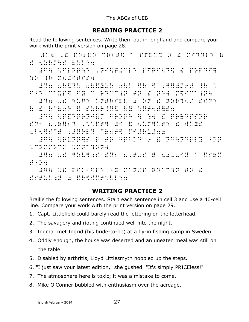## **READING PRACTICE 2**

Read the following sentences. Write them out in longhand and compare your work with the print version on page 28.

 #A4 ,! PE2LE CR1T\$ A SPLA% 9 ! MIDDLE ( 10 = 110 = 500 = 110 = 100 = 100 = 110<br>01 = 120 = 120 = 120 = 120 = 120 = 120 = 120<br>00 = 120 = 120 = 120 = 120 = 120 = 120 = 120 #B4 ,FLOR;E ,NI<T+ALE 2FRI5D\$ ! SOLDI] :O \_H M5+ITIS4 #C4 ,H\$DA ,V&YKE "<A FR F ,G]\_M"> \_H A F"E CAUS\$ BY A REACT TO BE THE REACT OF THE REACT OF THE REACT THE REACT OF THE REACT OF THE REACT OF THE REAC<br>The react of the reaction of the reaction of the reaction of the reaction of the reaction of the reaction of t<br> #D4 ,! HUGE ANTHILL 0 ON ! NOR?1/ SIDE ( 1981) – Die Stern der Heinrich und die Stern die Stern des Stern des Stern die Stern die Stern die Entstell<br>1980 – Die Stern die Stern die Stern die Stern die Stern die Stern die Stern die Stern die Stern die Stern die<br>1 #E4 ,P&EMONIUM BROKE \ :5 ! PR(ESSOR SO 8, 2001, A STATE IN 1999, A STATE IN 1999, A STATE IN 1999, A STATE IN 1999, A STATE IN 1999, A STATE IN 19<br>1991, A STATE : In 1999, A STATE IN 1999, A STATE IN 1999, A STATE IN 1999, A STATE IN 1999, A STATE IN 1999,<br>1 , St. De la Componista de la Caraca de Maria de la Caraca de La Caraca de La Caraca de La Caraca de La Caraca<br>1954 - Alemania de la Caraca de La Caraca de La Caraca de La Caraca de La Caraca de La Caraca de La Caraca de<br>19 #F4 ,RUNNER | PAKE 9 | PAKE 9 | PAKE 9 | PAKE 9 | PAKE 9 | PAKE 9 | PAKE 9 | PAKE 9 | PAKE 9 | PAKE 9 | PAKE 9<br>SEP 19 | PAKE 9 | PAKE 9 | PAKE 9 | PAKE 9 | PAKE 9 | PAKE 9 | PAKE 9 | PAKE 9 | PAKE 9 | PAKE 9 | PAKE 9 | PA ,COM/OCK ,M>A?ON4 #G4 ,! GOV];S SD1 8,T'S Q 50,-IN A FIRM **T**  $\mathcal{H}$  , and the set of the set of the set of the set of the set of the set of the set of the set of the set of the set of the set of the set of the set of the set of the set of the set of the set of the set of the set SITUATION ASSOCIATION AND LOCAL AND LOCAL ARRAIGNMENT ASSOCIATION AND LOCAL ASSOCIATION ASSOCIATION AND LOCAL<br>Notes and association and local and local and local and local and local and local and local and local and loca<br>N

## **WRITING PRACTICE 2**

Braille the following sentences. Start each sentence in cell 3 and use a 40-cell line. Compare your work with the print version on page 29.

- 1. Capt. Littlefield could barely read the lettering on the letterhead.
- 2. The savagery and rioting continued well into the night.
- 3. Ingmar met Ingrid (his bride-to-be) at a fly-in fishing camp in Sweden.
- 4. Oddly enough, the house was deserted and an uneaten meal was still on the table.
- 5. Disabled by arthritis, Lloyd Littlesmyth hobbled up the steps.
- 6. "I just saw your latest edition," she gushed. "It's simply PRICEless!"
- 7. The atmosphere here is toxic; it was a mistake to come.
- 8. Mike O'Conner bubbled with enthusiasm over the acreage.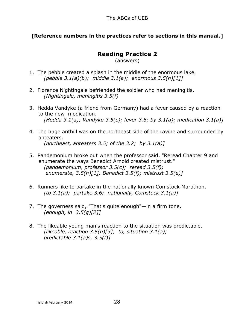#### **[Reference numbers in the practices refer to sections in this manual.]**

## **Reading Practice 2**

(answers)

- 1. The pebble created a splash in the middle of the enormous lake. *[pebble 3.1(a)(b); middle 3.1(a); enormous 3.5(h)[1]]*
- 2. Florence Nightingale befriended the soldier who had meningitis. *[Nightingale, meningitis 3.5(f)*
- 3. Hedda Vandyke (a friend from Germany) had a fever caused by a reaction to the new medication. *[Hedda 3.1(a); Vandyke 3.5(c); fever 3.6; by 3.1(a); medication 3.1(a)]*
- 4. The huge anthill was on the northeast side of the ravine and surrounded by anteaters. *[northeast, anteaters 3.5; of the 3.2; by 3.1(a)]*
- 5. Pandemonium broke out when the professor said, "Reread Chapter 9 and enumerate the ways Benedict Arnold created mistrust." *[pandemonium, professor 3.5(c); reread 3.5(f); enumerate, 3.5(h)[1]; Benedict 3.5(f); mistrust 3.5(e)]*
- 6. Runners like to partake in the nationally known Comstock Marathon. *[to 3.1(a); partake 3.6; nationally, Comstock 3.1(a)]*
- 7. The governess said, "That's quite enough"—in a firm tone. *[enough, in 3.5(g)[2]]*
- 8. The likeable young man's reaction to the situation was predictable. *[likeable, reaction 3.5(h)[3]; to, situation 3.1(a); predictable 3.1(a)s, 3.5(f)]*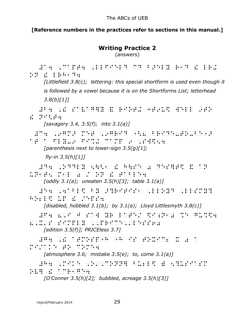#### **[Reference numbers in the practices refer to sections in this manual.]**

## **Writing Practice 2**

(answers)

 #A4 ,CAPT4 ,LLFIELD CD B>ELY R1D ! LR+ ON **1999 CONSULTANCE CONSULTANCE** *[Littlefield 3.8(c); lettering: this special shortform is used even though it is followed by a vowel because it is on the Shortforms List; letterhead 3.8(b)[1]]* #B4 ,! SAVAG]Y & RIOT+ 3T9U\$ WELL 9TO ! NI<T4 *[savagery 3.4, 3.5(f); into 3.1(a)]*  # C4 , 200 , 200 , 200 , 200 , 200 , 200 , 200 , 200 , 200 , 200 , 200 , 200 , 200 , 200 , 200 , 200 , 200 , 2<br>200 , 200 , 200 , 200 , 200 , 200 , 200 , 200 , 200 , 200 , 200 , 200 , 200 , 200 , 200 , 200 , 200 , 200 , 2<br>2 A FLY-9 FLY-9 FLY-9 FLY-9 FLY-9 FLY-9 FLY-9 FLY-9 FLY-9 FLY-9 FLY-9 FLY-9 FLY-9 FLY-9 FLY-9 FLY-9 FLY-9 FLY-9<br>A FLY-9 FLY-9 FLY-9 FLY-9 FLY-9 FLY-9 FLY-9 FLY-9 FLY-9 FLY-9 FLY-9 FLY-9 FLY-9 FLY-9 FLY-9 FLY-9 FLY-9 FLY-9<br>A *[parenthesis next to lower-sign 3.5(g)[1]; fly-in 3.5(h)[1]]*  $\frac{1}{2}$  , and the second second second second second second second second second second second second second<br>10. Design second second second second second second second second second second second second second second<br>2 UNITS MARKET AND A CONSTRUCTION OF A CONSTRUCTION OF A CONSTRUCTION OF A CONSTRUCTION OF A CONSTRUCTION OF A C<br>And the construction of a construction of a construction of a construction of a construction of a construction<br> *[oddly 3.1(a); uneaten 3.5(h)[3]; table 3.1(a)]*  $\frac{1}{24}$  ,  $\frac{1}{24}$  ,  $\frac{1}{24}$  ,  $\frac{1}{24}$  ,  $\frac{1}{24}$  ,  $\frac{1}{24}$  ,  $\frac{1}{24}$  ,  $\frac{1}{24}$  ,  $\frac{1}{24}$  ,  $\frac{1}{24}$  ,  $\frac{1}{24}$  ,  $\frac{1}{24}$  ,  $\frac{1}{24}$  ,  $\frac{1}{24}$  ,  $\frac{1}{24}$  ,  $\frac{1}{24}$  ,  $\frac{1}{24}$  , HO2L\$ UP ! /EPS4 *[disabled, hobbled 3.1(b); by 3.1(a); Lloyd Littlesmyth 3.8(c)]* #F4 8, I SAW YR LATE/ \$I;N10 %E GU%\$4, I SAW YR LATE/ \$I;N10 %E GU%\$4, I SAW YR LATE/ \$I;N10 %E GU%\$4, I SAW Y<br>I SAW YR LATE/ \$I;N10 %E GU%\$4, I SAW YR LATE/ \$I;N10 %E GU%\$4, I SAW YR LATE/ \$I;N10 %E GU%\$4, I SAW YR LATE 8, XX SIMPLY , PRICE DE 1989, PRICE, LESSEN, PRICE, LESSEN, PRICE, LESSEN, PRICE, LESSEN, PRICE, LESSEN, PRICE<br>8, XX SIMPLY , PRICE, PRICE, PRICE, PRICE, LESSEN, PRICE, LESSEN, PRICE, LESSEN, PRICE, PRICE, PRICE, PRICE,<br>8, *[edition 3.5(f)]; PRICEless 3.7]*  $\frac{1}{2}$  , and  $\frac{1}{2}$  , and  $\frac{1}{2}$  , and  $\frac{1}{2}$  , and  $\frac{1}{2}$  , and  $\frac{1}{2}$  , and  $\frac{1}{2}$  , and  $\frac{1}{2}$  , and  $\frac{1}{2}$  , and  $\frac{1}{2}$  , and  $\frac{1}{2}$  , and  $\frac{1}{2}$  , and  $\frac{1}{2}$  , and  $\frac{1}{2}$  , a MI/AKE TO COME4 *[atmosphere 3.6; mistake 3.5(e); to, come 3.1(a)]* #H4 , Andrej and the state of the state of the state of the state state of the state state of the state of the<br>Andrej and the state of the state of the state of the state of the state of the state state state of the state<br>  $\frac{1}{2}$   $\frac{1}{2}$   $\frac{1}{2}$   $\frac{1}{2}$   $\frac{1}{2}$   $\frac{1}{2}$   $\frac{1}{2}$   $\frac{1}{2}$   $\frac{1}{2}$   $\frac{1}{2}$   $\frac{1}{2}$   $\frac{1}{2}$   $\frac{1}{2}$   $\frac{1}{2}$   $\frac{1}{2}$   $\frac{1}{2}$   $\frac{1}{2}$   $\frac{1}{2}$   $\frac{1}{2}$   $\frac{1}{2}$   $\frac{1}{2}$   $\frac{1}{2}$  *[O'Conner 3.5(h)[2]; bubbled, acreage 3.5(h)[3]]*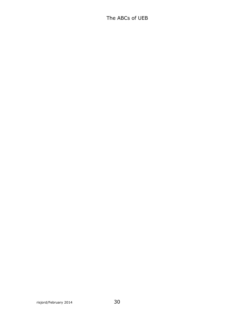#### The ABCs of UEB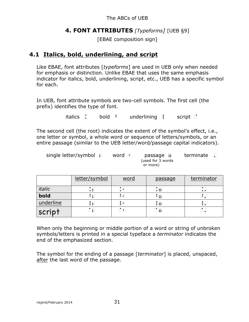#### The ABCs of UEB

## **4. FONT ATTRIBUTES** *[Typeforms]* [UEB §9]

[EBAE composition sign]

## **4.1 Italics, bold, underlining, and script**

Like EBAE, font attributes [*typeforms*] are used in UEB only when needed for emphasis or distinction. Unlike EBAE that uses the same emphasis indicator for italics, bold, underlining, script, etc., UEB has a specific symbol for each.

In UEB, font attribute symbols are two-cell symbols. The first cell (the prefix) identifies the type of font.

italics : bold : underlining : script  $\mathbb{C}$ 

The second cell (the root) indicates the extent of the symbol's effect, i.e., one letter or symbol, a whole word or sequence of letters/symbols, or an entire passage (similar to the UEB letter/word/passage capital indicators).

| single letter/symbol: | word • | passage ::         | terminate : |  |
|-----------------------|--------|--------------------|-------------|--|
|                       |        | (used for 3 words) |             |  |
|                       |        | or more)           |             |  |

|           | letter/symbol                                                                     | word                                                                     | passage                                                                 | terminator                                                         |
|-----------|-----------------------------------------------------------------------------------|--------------------------------------------------------------------------|-------------------------------------------------------------------------|--------------------------------------------------------------------|
| italic    | $\cdot \bullet \cdot \cdot$<br>$\cdots$ .<br>$\cdot \bullet \bullet \cdot$        | $\cdot \bullet \cdot \cdot$<br>$\cdots$ .<br>$\cdot \bullet \cdot \cdot$ | $\cdot \bullet \cdot \cdot$<br>$\cdot$ $\cdot$ $\bullet$ $\bullet$<br>. | $\cdots$<br>$\cdots$<br>$\cdot \bullet \bullet \cdot$              |
| bold      | $\frac{1}{2}$                                                                     | <b>18 AD</b><br>$\cdots$                                                 | $\cdot \bullet \cdot \cdot$<br>$\mathbb{R}^2$ ::                        | $\cdot \bullet \cdot \cdot$<br>$\cdot \cdot$ $\cdot$<br>$\cdots$ . |
| underline | $\frac{1}{2}$                                                                     | $\frac{1}{2}$                                                            | $\cdot \bullet \cdot \cdot$<br>$\mathbf{1}$ :                           |                                                                    |
| script    | $\mathcal{A} \bullet \mathcal{A} \bullet \mathcal{A}$<br>$\cdots$ .<br>$\cdots$ . | $\cdot \bullet \cdot \cdot \cdot$<br>$\cdots$ .<br>.                     | $\cdot \bullet \cdot \cdot$<br>$\mathbb{R}$ ::                          | $\cdot \bullet \cdot \cdot$<br>$\cdots$<br>$\cdots$ .              |

When only the beginning or middle portion of a word or string of unbroken symbols/letters is printed in a special typeface a *terminator* indicates the end of the emphasized section.

The symbol for the ending of a passage [*terminator*] is placed, unspaced, after the last word of the passage.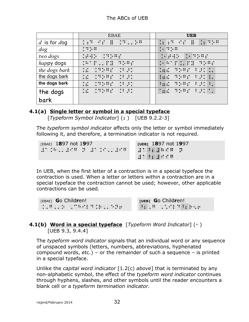|                   | <b>EBAE</b>                                                                                                                                                                                                                                                        | <b>UEB</b>                                                                                                                                                                                                                                                                                                                                                                                                                                                                                                                                                                                                                                                                                                                                                                                                                                                                         |
|-------------------|--------------------------------------------------------------------------------------------------------------------------------------------------------------------------------------------------------------------------------------------------------------------|------------------------------------------------------------------------------------------------------------------------------------------------------------------------------------------------------------------------------------------------------------------------------------------------------------------------------------------------------------------------------------------------------------------------------------------------------------------------------------------------------------------------------------------------------------------------------------------------------------------------------------------------------------------------------------------------------------------------------------------------------------------------------------------------------------------------------------------------------------------------------------|
| $d$ is for $d$ og | $\cdot \bullet \cdot \bullet$<br>$\bullet\bullet$<br>$\bullet\cdot\bullet\cdot$<br>$\bullet\bullet$<br>$\cdots$<br>. . <b>. . .</b><br>$\bullet\bullet$<br>$\cdot$<br>$\cdot$ . $\bullet$ .<br>. <b>.</b>                                                          | $\bullet$ $\bullet$ $\bullet$ $\bullet$ $\bullet$ $\bullet$ $\bullet$<br>$\cdot$<br>$\bullet\bullet$<br>$\bullet\cdot\ \bullet\cdot$<br>$\cdots$<br>$\bullet\bullet$<br>$\cdots \quad \bullet \quad \cdot \quad \bullet \quad \cdot \quad \bullet \quad \bullet \quad \bullet \quad \bullet$<br>$\cdot$ . $\bullet$ .<br>$\bullet\bullet$<br>$\cdots$                                                                                                                                                                                                                                                                                                                                                                                                                                                                                                                              |
| dog               | $\cdot$<br>$\cdots \quad \bullet \quad \bullet \quad \bullet \quad \bullet \bullet$<br>$\cdots$                                                                                                                                                                    | $\bullet\hspace{0.1cm}\bullet\hspace{0.1cm}\bullet\hspace{0.1cm}\bullet\hspace{0.1cm}\bullet\hspace{0.1cm}\bullet\hspace{0.1cm}\bullet\hspace{0.1cm}\bullet\hspace{0.1cm}\bullet$<br>$\cdots$                                                                                                                                                                                                                                                                                                                                                                                                                                                                                                                                                                                                                                                                                      |
| two dogs          | $\cdot$<br>$\cdots \quad \bullet \quad \bullet \quad \bullet \quad \bullet \quad \bullet \quad \bullet \quad \bullet$<br>$\cdots \cdots \cdots \cdots \cdots \cdots$                                                                                               | $\cdot$<br>$\cdots$ .  .<br>$\cdots \quad \bullet \quad \cdots \quad \bullet \quad \bullet \quad \bullet \quad \bullet \quad \bullet \quad \bullet \quad \bullet \quad \bullet$<br>$\cdots$<br>. <b>.</b> .                                                                                                                                                                                                                                                                                                                                                                                                                                                                                                                                                                                                                                                                        |
| happy dogs        | $\bullet\bullet\hspace{0.1cm}\bullet\hspace{0.1cm}\bullet\hspace{0.1cm}\bullet\hspace{0.1cm}\bullet\hspace{0.1cm}\bullet\hspace{0.1cm}\bullet$<br>. . <b>. . . . .</b><br>.<br>$\cdots$                                                                            | $\cdots \cdots$<br>$\bullet$ $\bullet$ $\bullet$ $\bullet$ $\bullet$ $\bullet$<br>. . <b> . . .</b><br>$\cdot$ . $\bullet$                                                                                                                                                                                                                                                                                                                                                                                                                                                                                                                                                                                                                                                                                                                                                         |
| the dogs bark     | $\cdot \bullet \quad \cdot \bullet$<br>$\cdot$ . $\bullet$ .<br>$\cdots \bullet \cdot \cdot \cdot \bullet \cdot \cdot \cdot$<br>$\cdot$ $\cdot$ $\cdot$ $\bullet$ $\cdot$ $\bullet$ $\bullet$ $\bullet$ $\cdot$<br>. 0.00<br>$\cdots$                              | $\cdot \bullet \cdot \cdot \cdot \bullet$<br>$\bullet\bullet\hspace{0.1cm}\bullet\hspace{0.1cm}\cdot\hspace{0.1cm}\bullet\bullet\hspace{0.1cm}\cdot\hspace{0.1cm}\bullet$<br>$\cdots$<br>$\bullet\cdot\cdot\bullet\cdot\cdot\cdot\cdot\cdot\cdot\cdot$<br>. 0.00.00<br>$\cdots$<br>$\cdots \bullet \cdot \bullet \cdot \cdot \cdot \bullet \bullet \cdot$                                                                                                                                                                                                                                                                                                                                                                                                                                                                                                                          |
| the dogs bark     | $\cdot \bullet \cdot \bullet$<br>$\cdot$ . $\bullet$ .<br>$\cdots \quad \bullet \quad \cdot \bullet \quad \bullet \quad \bullet \quad \bullet \quad \bullet \quad \bullet$<br>$\cdots$<br>. 0.00<br>$\cdots$<br>$\cdots$                                           | $\bullet \qquad \bullet \qquad \bullet \qquad \bullet \qquad \bullet \qquad \bullet \qquad \bullet \qquad \bullet$<br>$\bullet\bullet\textcolor{white}{0} \bullet\textcolor{white}{0} \bullet\textcolor{white}{0} \bullet\textcolor{white}{0} \bullet\textcolor{white}{0} \bullet\textcolor{white}{0} \bullet\textcolor{white}{0} \bullet\textcolor{white}{0} \bullet\textcolor{white}{0} \bullet\textcolor{white}{0} \bullet\textcolor{white}{0} \bullet\textcolor{white}{0} \bullet\textcolor{white}{0} \bullet\textcolor{white}{0} \bullet\textcolor{white}{0} \bullet\textcolor{white}{0} \bullet\textcolor{white}{0} \bullet\textcolor{white}{0} \bullet\textcolor{white}{0} \bullet\textcolor{white}{0} \bullet\textcolor{white}{0} \bullet\textcolor{white}{$<br>$\cdot \bullet \cdot \cdot \cdot \bullet$<br>$\cdot$<br>. 0.00.00<br>$\cdots \bullet \cdots \bullet \cdot$ |
| the dogs bark     | $\cdot \bullet \cdot \bullet$<br>$\cdot$ . $\bullet$ .<br>$\cdot$ $\cdot$ $\cdot$ $\bullet$ $\cdot$ $\bullet$ $\bullet$ $\bullet$ $\cdot$<br>$\cdots$<br>. 0.00<br>$\mathbf{r} \bullet \mathbf{r} + \mathbf{r} \bullet \mathbf{r} + \mathbf{r} \bullet \mathbf{r}$ | $\bullet\bullet\textcolor{white}{0} \bullet\textcolor{white}{0} \bullet\textcolor{white}{0} \bullet\textcolor{white}{0} \bullet\textcolor{white}{0} \bullet\textcolor{white}{0} \bullet\textcolor{white}{0} \bullet\textcolor{white}{0} \bullet\textcolor{white}{0} \bullet\textcolor{white}{0} \bullet\textcolor{white}{0} \bullet\textcolor{white}{0} \bullet\textcolor{white}{0} \bullet\textcolor{white}{0} \bullet\textcolor{white}{0} \bullet\textcolor{white}{0} \bullet\textcolor{white}{0} \bullet\textcolor{white}{0} \bullet\textcolor{white}{0} \bullet\textcolor{white}{0} \bullet\textcolor{white}{0} \bullet\textcolor{white}{$<br>$\cdot$<br>$\cdots \bullet \cdot \bullet \cdot \cdot \cdot \bullet \cdot$<br>$\cdots$<br>$\cdots$                                                                                                                                |
| the dogs          | $\cdot$<br>$\cdots$<br>$\cdots$<br>$\cdot$ . $\bullet$ .<br>$\cdots$<br>$\cdots$<br>. 0.00                                                                                                                                                                         | $\cdots \cdots$<br>.<br>$\cdots$<br>$\cdots$<br>$\cdots \quad \bullet \quad \bullet \quad \bullet \quad \cdots \quad \bullet \quad \cdots$                                                                                                                                                                                                                                                                                                                                                                                                                                                                                                                                                                                                                                                                                                                                         |
| bark              |                                                                                                                                                                                                                                                                    |                                                                                                                                                                                                                                                                                                                                                                                                                                                                                                                                                                                                                                                                                                                                                                                                                                                                                    |

#### **4.1(a) Single letter or symbol in a special typeface**

[*Typeform Symbol Indicator*] (: ) [UEB 9.2.2-3]

The *typeform symbol indicator* affects only the letter or symbol immediately following it, and therefore, a termination indicator is not required.

[EBAE] 1**8**97 not 1**9**97 #A.H,'#IG N #A.I,'#IG **[UEB]** 1**8**97 not 1**9**97  $\frac{1}{24}$   $\frac{1}{24}$   $\frac{1}{24}$   $\frac{1}{24}$   $\frac{1}{24}$   $\frac{1}{24}$   $\frac{1}{24}$   $\frac{1}{24}$   $\frac{1}{24}$   $\frac{1}{24}$ #A^2#IIG

In UEB, when the first letter of a contraction is in a special typeface the contraction is used. When a letter or letters *within* a contraction are in a special typeface the contraction cannot be used; however, other applicable contractions can be used.

| [EBAE] <b>Go Children!</b>                                                                                                                                                                                                                         | [UEB] Go Children! |
|----------------------------------------------------------------------------------------------------------------------------------------------------------------------------------------------------------------------------------------------------|--------------------|
| $\cdots \bullet \cdots \bullet \bullet \cdots \cdots \bullet \cdots \cdots \bullet \bullet \bullet \bullet \cdots \bullet \bullet \cdots \bullet \bullet \cdots \bullet \bullet \cdots \cdots \cdots \bullet \cdots \bullet \cdots \bullet \cdots$ |                    |

#### **4.1(b) Word in a special typeface** [*Typeform Word Indicator*] (1) [UEB 9.3, 9.4.4]

The *typeform word indicator* signals that an individual word or any sequence of unspaced symbols (letters, numbers, abbreviations, hyphenated compound words, etc.) – or the remainder of such a sequence  $-$  is printed in a special typeface.

Unlike the *capital word indicator* [1.2(c) *above*] that is terminated by any non-alphabetic symbol, the effect of the *typeform word indicator* continues through hyphens, slashes, and other symbols until the reader encounters a blank cell or a *typeform termination indicator*.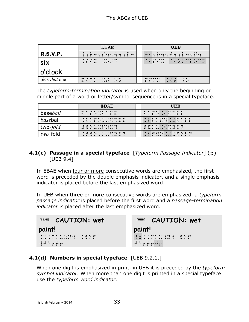|                      | <b>ERAE</b>                                                                                                                                                                                                                                                                                                                                                                                                                                                                    | UEB                                                                                                                                                                                                                                                                                                                                                                                                                                                                                                                  |
|----------------------|--------------------------------------------------------------------------------------------------------------------------------------------------------------------------------------------------------------------------------------------------------------------------------------------------------------------------------------------------------------------------------------------------------------------------------------------------------------------------------|----------------------------------------------------------------------------------------------------------------------------------------------------------------------------------------------------------------------------------------------------------------------------------------------------------------------------------------------------------------------------------------------------------------------------------------------------------------------------------------------------------------------|
| <b>R.S.V.P.</b>      |                                                                                                                                                                                                                                                                                                                                                                                                                                                                                | $\cdots \bullet \bullet \cdot \cdot \cdot \cdot \bullet \bullet \bullet \bullet \bullet \cdot \cdot \cdot \bullet \cdot \bullet \bullet \cdot \cdot \bullet \cdot \bullet \cdot \bullet \bullet \cdot \cdot \cdot \bullet \cdot \bullet \bullet \bullet \bullet$                                                                                                                                                                                                                                                     |
| six                  | $\cdot \bullet \cdot \bullet \cdot \bullet \bullet \bullet$<br>$\cdots \bullet \cdot \bullet \cdot \cdot \cdot$<br>$\cdots$ . $\bullet$<br>$\cdots \bullet \bullet \bullet \bullet \bullet \bullet \bullet \bullet \bullet \bullet \bullet$                                                                                                                                                                                                                                    | $\cdots \cdots \bullet \cdots \bullet \bullet$                                                                                                                                                                                                                                                                                                                                                                                                                                                                       |
| o'clock              |                                                                                                                                                                                                                                                                                                                                                                                                                                                                                |                                                                                                                                                                                                                                                                                                                                                                                                                                                                                                                      |
| pick <i>that</i> one | $\bullet\bullet\;\cdot\bullet\;\bullet\bullet\;\bullet\;\cdot$<br>$\cdot \bullet \cdot \bullet$<br>$\cdots$ .<br>$\cdot$<br>$\bullet\cdot\textcolor{red}{\bullet}\cdot\textcolor{red}{\bullet}\cdot\textcolor{red}{\bullet}\cdot\textcolor{red}{\bullet}\cdot\textcolor{red}{\bullet}\cdot\textcolor{red}{\bullet}\cdot\textcolor{red}{\bullet}$<br>$\cdot \bullet \cdot \bullet$<br>$\bullet \cdot \cdot \cdot \cdot \cdot \bullet \cdot$<br>$\cdot$<br>$\cdot$ . $\bullet$ . | $\bullet\bullet\;\cdot\bullet\;\bullet\bullet\;\bullet\;\cdot$<br>$\cdot$ . $\bullet$ .<br>$\bullet \bullet \bullet \bullet \bullet \bullet \bullet \bullet$<br>$\bullet\cdot\textcolor{red}{\bullet}\cdot\textcolor{red}{\bullet}\cdot\textcolor{red}{\bullet}\cdot\textcolor{red}{\bullet}\cdot\textcolor{red}{\bullet}\cdot\textcolor{red}{\bullet}\cdot\textcolor{red}{\bullet}$<br>$\cdots$<br>$\cdot \bullet \cdot \bullet$<br>$\bullet \cdot \cdot \cdot \cdot \cdot \bullet \cdot$<br>$\cdots$<br>$\cdots$ . |

The *typeform-termination indicator* is used when only the beginning or middle part of a word or letter/symbol sequence is in a special typeface.

|                  | <b>ERAE</b>                                                                                                                                                                                                                                                                                                                                                                                                                                                                                                                | UEB                                                                                                                                                                                                                                                |
|------------------|----------------------------------------------------------------------------------------------------------------------------------------------------------------------------------------------------------------------------------------------------------------------------------------------------------------------------------------------------------------------------------------------------------------------------------------------------------------------------------------------------------------------------|----------------------------------------------------------------------------------------------------------------------------------------------------------------------------------------------------------------------------------------------------|
| baseball         |                                                                                                                                                                                                                                                                                                                                                                                                                                                                                                                            | . <b>. . . . .</b> .                                                                                                                                                                                                                               |
| <i>baseball</i>  | . . <b>. . . . .</b> . <b>.</b> .<br>$\mathbf{v} \cdot \mathbf{0} \quad \mathbf{v} \cdot \mathbf{v} \quad \mathbf{v} \cdot \mathbf{v} \quad \mathbf{0} \cdot \mathbf{v} \quad \mathbf{v} \cdot \mathbf{v} \quad \mathbf{0} \quad \mathbf{0} \cdot \mathbf{v} \quad \mathbf{v} \cdot \mathbf{v} \quad \mathbf{v} \cdot \mathbf{v} \quad \mathbf{0} \cdot \mathbf{v} \quad \mathbf{0} \cdot \mathbf{v} \quad \mathbf{0} \cdot \mathbf{v} \quad \mathbf{0} \cdot \mathbf{v} \quad \mathbf{0} \cdot \mathbf{v} \quad \mathbf{$ |                                                                                                                                                                                                                                                    |
| two- <i>fold</i> |                                                                                                                                                                                                                                                                                                                                                                                                                                                                                                                            |                                                                                                                                                                                                                                                    |
| $two$ -fold      |                                                                                                                                                                                                                                                                                                                                                                                                                                                                                                                            | $-0$ . $-0$ . $0$ . $-0$ . $-1$ . $-0$ . $0$ . $0$ . $0$ .<br>$\cdots \bullet \cdot \bullet \bullet \bullet \bullet \bullet \cdot \bullet \cdot \cdot \cdot \cdot \cdot \cdot \cdot \bullet \cdot \cdot \bullet \bullet \cdot \cdot \cdot \bullet$ |

#### **4.1(c) Passage in a special typeface** [*Typeform Passage Indicator*] (::) [UEB 9.4]

In EBAE when four or more consecutive words are emphasized, the first word is preceded by the double emphasis indicator, and a single emphasis indicator is placed before the last emphasized word.

In UEB when three or more consecutive words are emphasized, a *typeform passage indicator* is placed before the first word and a *passage-termination indicator* is placed after the last emphasized word.

| [EBAE] CAUTION: wet                                                                               | [UEB] CAUTION: wet                                                                |
|---------------------------------------------------------------------------------------------------|-----------------------------------------------------------------------------------|
| paint!                                                                                            | paint!                                                                            |
| $\cdot\cdot\cdot\cdot\cdot\cdot\cdot$<br>$\cdots \bullet \quad \cdots \quad \bullet \quad \cdots$ | $\cdot \cdot \cdot \cdot \cdot$<br>$\bullet\bullet\;\cdot\bullet\;\bullet\bullet$ |
| $\cdots \bullet \cdot \cdot \cdot \cdot \bullet \bullet \bullet \bullet \bullet \bullet$          |                                                                                   |
|                                                                                                   |                                                                                   |

#### **4.1(d) Numbers in special typeface** [UEB 9.2.1.]

When one digit is emphasized in print, in UEB it is preceded by the *typeform symbol indicator*. When more than one digit is printed in a special typeface use the *typeform word indicator*.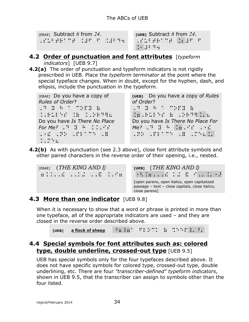[EBAE] Subtract *6* from *24*. ,SUBTRACT .#F F .#BD4 **[UEB]** Subtract *6* from *24*. ,SUBTRACT .2#F F <u>.1#BD4</u>

**4.2 Order of punctuation and font attributes** [*typeform* 

*indicators*] [UEB 9.7]

**4.2(a)** The order of punctuation and typeform indicators is not rigidly prescribed in UEB. Place the *typeform terminator* at the point where the special typeface changes. When in doubt, except for the hyphen, dash, and ellipsis, include the punctuation in the typeform.

| [EBAE] Do you have a copy of<br><b>Rules of Order?</b>                                                                                                                                                                                                                                                                                                                                                                                                                                                                                                                                                                                                                                                                                         | [UEB] Do you have a copy of Rules<br>of Order?                                                                                                                                                                                                                                                                                                                                                                                                                                                                                                                                                                                                                                  |
|------------------------------------------------------------------------------------------------------------------------------------------------------------------------------------------------------------------------------------------------------------------------------------------------------------------------------------------------------------------------------------------------------------------------------------------------------------------------------------------------------------------------------------------------------------------------------------------------------------------------------------------------------------------------------------------------------------------------------------------------|---------------------------------------------------------------------------------------------------------------------------------------------------------------------------------------------------------------------------------------------------------------------------------------------------------------------------------------------------------------------------------------------------------------------------------------------------------------------------------------------------------------------------------------------------------------------------------------------------------------------------------------------------------------------------------|
| $\cdots$                                                                                                                                                                                                                                                                                                                                                                                                                                                                                                                                                                                                                                                                                                                                       | $\cdots$<br>$\bullet\bullet\textcolor{white}{\bullet}\bullet\textcolor{white}{\bullet}\bullet\bullet\bullet\bullet$                                                                                                                                                                                                                                                                                                                                                                                                                                                                                                                                                             |
| $\cdots$<br>$\bullet\bullet$<br>$\ddot{\bullet}$<br>$\cdot$                                                                                                                                                                                                                                                                                                                                                                                                                                                                                                                                                                                                                                                                                    | $\cdots$<br>$\cdots \quad \bullet \quad \bullet \quad \bullet \quad \bullet \quad \bullet$<br>$\bullet\bullet$<br>$\bullet\bullet$<br>$\cdot$<br>$\cdots \bullet \cdot \bullet \cdot \bullet \bullet$                                                                                                                                                                                                                                                                                                                                                                                                                                                                           |
| $\cdot \bullet \bullet \cdot$<br>$\cdot$<br>$\cdots \bullet \quad \bullet \quad \bullet \quad \bullet \quad \bullet \quad \bullet \quad \cdots \quad \bullet \quad \bullet \bullet$<br>$\cdot$ .                                                                                                                                                                                                                                                                                                                                                                                                                                                                                                                                               |                                                                                                                                                                                                                                                                                                                                                                                                                                                                                                                                                                                                                                                                                 |
| Do you have Is There No Place                                                                                                                                                                                                                                                                                                                                                                                                                                                                                                                                                                                                                                                                                                                  | Do you have Is There No Place For                                                                                                                                                                                                                                                                                                                                                                                                                                                                                                                                                                                                                                               |
| For Me? $\therefore$ $\therefore$ $\therefore$ $\therefore$ $\therefore$ $\therefore$ $\therefore$ $\therefore$ $\therefore$                                                                                                                                                                                                                                                                                                                                                                                                                                                                                                                                                                                                                   | $Me?$ : : : : :<br>$\cdots$ $\cdots$<br>$\cdots$                                                                                                                                                                                                                                                                                                                                                                                                                                                                                                                                                                                                                                |
| $\cdot$<br>$\cdot$ $\cdot$ $\cdot$ $\cdot$ $\cdot$ $\cdot$ $\cdot$<br>$\cdots \quad \bullet \quad \bullet \quad \bullet$<br>$\cdot$<br>$\cdot \bullet \cdot \cdot \bullet \bullet$<br>$\mathbf{v} \bullet \mathbf{v} \bullet \mathbf{v} \bullet \mathbf{v} \bullet \mathbf{v} \bullet \mathbf{v} \bullet \mathbf{v} \bullet \mathbf{v} \bullet \mathbf{v} \bullet \mathbf{v} \bullet \mathbf{v} \bullet \mathbf{v} \bullet \mathbf{v} \bullet \mathbf{v} \bullet \mathbf{v} \bullet \mathbf{v} \bullet \mathbf{v} \bullet \mathbf{v} \bullet \mathbf{v} \bullet \mathbf{v} \bullet \mathbf{v} \bullet \mathbf{v} \bullet \mathbf{v} \bullet \mathbf{v} \bullet \mathbf{v} \bullet \mathbf{v} \bullet \mathbf{v} \bullet \mathbf{$<br>$\cdot$ . | $\cdots \quad \bullet \quad \bullet \quad \bullet \quad \bullet \quad \cdots \quad \bullet \quad \bullet \quad \cdots$<br>$\cdot$<br>$\cdot \cdot$ $\cdot \cdot$ $\cdot$ $\cdot$<br>$\cdot$<br>$\mathbf{v} \cdot \mathbf{a} \cdot \mathbf{a} + \mathbf{a} \cdot \mathbf{a} \cdot \mathbf{a} + \mathbf{a} \cdot \mathbf{a} \cdot \mathbf{a} + \mathbf{a} \cdot \mathbf{a} \cdot \mathbf{a} + \mathbf{a} \cdot \mathbf{a} \cdot \mathbf{a} + \mathbf{a} \cdot \mathbf{a} \cdot \mathbf{a} + \mathbf{a} \cdot \mathbf{a} \cdot \mathbf{a} + \mathbf{a} \cdot \mathbf{a} \cdot \mathbf{a} + \mathbf{a} \cdot \mathbf{a} \cdot \mathbf{a} + \mathbf{a} \cdot \mathbf{a$<br>$\cdot$ . |
|                                                                                                                                                                                                                                                                                                                                                                                                                                                                                                                                                                                                                                                                                                                                                |                                                                                                                                                                                                                                                                                                                                                                                                                                                                                                                                                                                                                                                                                 |

**4.2(b)** As with punctuation (see 2.3 above), close font attribute symbols and other paired characters in the reverse order of their opening, i.e., nested.

```
[EBAE] (THE KING AND I) 
7..,,! ,,K+ ,,& .,I7
```
**[UEB]** (*THE KING AND I)*  "<.7,,,! K+ & I,'.'"> [open parens, open italics, open capitalized passage – text – close capitals, close italics, close parens]

## **4.3 More than one indicator** [UEB 9.8]

When it is necessary to show that a word or phrase is printed in more than one typeface, all of the appropriate indicators are used  $-$  and they are closed in the reverse order described above.

```
[UEB] a flock of sheep \begin{bmatrix} 0 & 0 & 0 \\ 0 & 0 & 0 \\ 0 & 0 & 0 \end{bmatrix} a \begin{bmatrix} 0 & 0 & 0 \\ 0 & 0 & 0 \\ 0 & 0 & 0 \end{bmatrix}
```
## **4.4 Special symbols for font attributes such as: colored type, double underline, crossed-out type** [UEB 9.5]

UEB has special symbols only for the four typefaces described above. It does not have specific symbols for colored type, crossed-out type, double underlining, etc. There are four *"transcriber-defined" typeform indicators*, shown in UEB 9.5, that the transcriber can assign to symbols other than the four listed.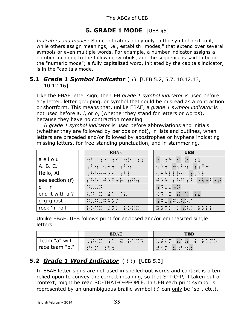## **5. GRADE 1 MODE** [UEB §5]

*Indicators and modes*: Some indicators apply only to the symbol next to it, while others assign meanings, i.e., establish "modes," that extend over several symbols or even multiple words. For example, a number indicator assigns a number meaning to the following symbols, and the sequence is said to be in the "numeric mode"; a fully capitalized word, initiated by the capitals indicator, is in the "capitals mode."

#### **5.1** *Grade 1 Symbol Indicator* (;) [UEB 5.2, 5.7, 10.12.13, 10.12.16]

Like the EBAE letter sign, the UEB *grade 1 symbol indicator* is used before any letter, letter grouping, or symbol that could be misread as a contraction or shortform. This means that, unlike EBAE, a *grade 1 symbol indicator* is not used before *a, i*, or *o*, (whether they stand for letters or words), because they have no contraction meaning.

A *grade 1 symbol indicator* is used before abbreviations and initials (whether they are followed by periods or not), in lists and outlines, when letters are preceded and/or followed by apostrophes or hyphens indicating missing letters, for free-standing punctuation, and in stammering.

|                 | <b>EBAE</b>                                                                                                                                                                                                                                                                                                                                                                                                                                                                                                                     | <b>UEB</b>                                                                                                                                                                                                                                                                                                                                                                                                                                                                                                                                                                                                                                            |
|-----------------|---------------------------------------------------------------------------------------------------------------------------------------------------------------------------------------------------------------------------------------------------------------------------------------------------------------------------------------------------------------------------------------------------------------------------------------------------------------------------------------------------------------------------------|-------------------------------------------------------------------------------------------------------------------------------------------------------------------------------------------------------------------------------------------------------------------------------------------------------------------------------------------------------------------------------------------------------------------------------------------------------------------------------------------------------------------------------------------------------------------------------------------------------------------------------------------------------|
| aeiou           | $\cdots$<br>$\cdot$ . $\bullet$ .<br>$\cdot$ . $\bullet$ .<br>$\cdot$ . $\bullet$ .<br>$\cdot$ . $\bullet$ .<br>$\cdot \bullet \bullet \cdot$<br>$\cdot \bullet \cdot \cdot$<br>$\cdot \bullet \cdot \bullet$<br>$\cdot$<br>$\cdot$<br>$\cdot \bullet \cdot \cdot$<br>$\cdot \bullet \cdot \cdot$<br>$\cdot \bullet \cdot \cdot$<br>$\cdot$<br>. 0.00                                                                                                                                                                           | $\cdots$ .<br>$\cdot$ . $\bullet$ .<br>$\bullet$ .<br>$\cdot \bullet$<br>$\bullet$ .<br>$\cdot \bullet \cdot \bullet$<br>$\cdot$ .<br>$\cdot \bullet$<br>$\cdot \bullet \cdot \cdot$<br>$\cdot$ $\cdot$<br>$\bullet$<br>$\cdot$<br>. 0.00<br>$\cdot$ $\cdot$                                                                                                                                                                                                                                                                                                                                                                                          |
| A. B. C.        | $\cdot$ . $\bullet$<br>$\cdots$<br>$\cdots$<br>$\cdot$ $\cdot$ $\cdot$ $\bullet$ $\bullet$<br>$\cdots$<br>$\cdot \cdot \cdot \cdot \cdot \cdot$<br>$\cdot \cdot \cdot \cdot \cdot$<br>$\cdot \bullet \cdot \cdot \cdot \bullet$<br>$\cdot$                                                                                                                                                                                                                                                                                      | $\cdots \bullet \cdots$<br>.<br>$\cdot$ $\cdot$ $\cdot$ $\bullet$ $\bullet$<br>$\cdots$<br>$\cdots$                                                                                                                                                                                                                                                                                                                                                                                                                                                                                                                                                   |
| Hello, Al       | $\cdot$<br>$\mathbf{v} \cdot \mathbf{a} = \mathbf{v} \cdot \mathbf{v} + \mathbf{v} \cdot \mathbf{v} + \mathbf{a} \cdot \mathbf{v} + \mathbf{a} \cdot \mathbf{v} + \mathbf{v} \cdot \mathbf{v} + \mathbf{v} \cdot \mathbf{v} + \mathbf{v} \cdot \mathbf{v} + \mathbf{v} \cdot \mathbf{v} + \mathbf{v} \cdot \mathbf{v} + \mathbf{v} \cdot \mathbf{v} + \mathbf{v} \cdot \mathbf{v} + \mathbf{v} \cdot \mathbf{v} + \mathbf{v} \cdot \mathbf{v} + \mathbf{v} \cdot \math$<br>$\cdots \bullet \quad \cdots \quad \bullet \; \cdot$ | $\cdots \bullet \quad \cdots \quad \bullet \quad \cdots$<br>$\bullet\bullet\hspace{0.2cm}\bullet\hspace{0.2cm}\bullet\hspace{0.2cm}\bullet\hspace{0.2cm}\bullet\hspace{0.2cm}\bullet\hspace{0.2cm}\bullet\hspace{0.2cm}\bullet\hspace{0.2cm}\bullet\hspace{0.2cm}\bullet\hspace{0.2cm}\bullet\hspace{0.2cm}\bullet\hspace{0.2cm}\bullet\hspace{0.2cm}\bullet\hspace{0.2cm}\bullet\hspace{0.2cm}\bullet\hspace{0.2cm}\bullet\hspace{0.2cm}\bullet\hspace{0.2cm}\bullet\hspace{0.2cm}\bullet\hspace{0.2cm}\bullet\hspace{0.2cm}\bullet\hspace{0.$                                                                                                       |
| see section (f) | $\cdot \bullet \bullet \cdot \bullet \cdot$<br>$\bullet\cdot\hspace{0.1cm}\cdot\hspace{0.1cm}\bullet\hspace{0.1cm}\cdot\hspace{0.1cm}\bullet$<br>$\bullet \cdot \quad \cdot \bullet \quad \cdot \quad \cdot \quad \bullet \quad \cdot \bullet$<br>$\cdots$<br>$\bullet\bullet\;\cdot\;\cdot\;\bullet\bullet$<br>$\bullet$                                                                                                                                                                                                       | $\cdot \bullet \bullet \cdot \bullet \cdot$<br>$\bullet\cdot\ \cdot\bullet\ \cdot\bullet$<br>$\bullet \cdot \quad \cdot \bullet \quad \cdot \quad \cdot \quad \bullet \quad \cdot \bullet$<br>$\bullet \cdot \cdot \cdot \cdot \cdot$                                                                                                                                                                                                                                                                                                                                                                                                                 |
| $d - n$         | $\bullet\bullet\;\cdot\;\cdot\;\;\cdot\;\;\bullet\bullet$<br>$\cdots$                                                                                                                                                                                                                                                                                                                                                                                                                                                           |                                                                                                                                                                                                                                                                                                                                                                                                                                                                                                                                                                                                                                                       |
| end it with a?  | $\cdots$ .<br>$\cdot \bullet \bullet \cdot$<br>$\cdot \bullet \cdot \cdot$<br>$\bullet\bullet$<br>$\bullet \cdot \cdot \bullet$<br>$\bullet\bullet\;\cdot\;\cdot$<br>$\cdot$ .<br>$\cdot$ . $\bullet$ .<br>$\bullet\bullet$<br>$\bullet\bullet\quadcdot\cdot$<br>$\cdot \bullet \cdot \cdot$<br>$\cdot$                                                                                                                                                                                                                         | $\cdots$<br>$\cdots$ .<br>$\cdot \bullet$<br>$\bullet$ .<br>$\bullet\bullet$<br>$\bullet\bullet$<br>$\bullet \cdot \cdot \bullet$<br>$\cdots$<br>$\cdot \bullet \bullet \cdot$<br>$\cdot$ .<br>$\ddot{\bullet}$<br>$\bullet\bullet$<br>$\cdot$ $\cdot$<br>. 0.00<br>$\cdot \bullet \cdot \cdot$                                                                                                                                                                                                                                                                                                                                                       |
| g-g-ghost       |                                                                                                                                                                                                                                                                                                                                                                                                                                                                                                                                 |                                                                                                                                                                                                                                                                                                                                                                                                                                                                                                                                                                                                                                                       |
| rock 'n' roll   | $\bullet\cdot\ \bullet\cdot\ \bullet\cdot\ \bullet\cdot$<br>$\bullet\cdot\text{ } \bullet\cdot\text{ } \bullet\bullet\text{ } \bullet\cdot\text{ }$<br>$\bullet\bullet\quad \bullet\quad \cdot\quad \cdot\quad \cdot\quad \cdot$<br>$\cdots$<br>$\bullet\cdot\hspace{0.1cm}\bullet\hspace{0.1cm}\cdot\hspace{0.1cm}\bullet\hspace{0.1cm}\cdot\hspace{0.1cm}\bullet\hspace{0.1cm}\cdot$<br>$\bullet \cdot \bullet \cdot \cdot \cdot \bullet \cdot$<br>$\bullet\cdot\ \bullet\cdot\ \bullet\cdot$                                 | $\cdots \cdots \bullet \bullet \cdots$<br>$\bullet\cdot\ \bullet\cdot\ \bullet\cdot\ \bullet\cdot$<br>$\bullet\cdot\;\bullet\cdot\;\bullet\bullet\;\bullet\cdot$<br>$\bullet\bullet\hspace{0.2cm}\bullet\hspace{0.2cm}\bullet\hspace{0.2cm}\bullet\hspace{0.2cm}\bullet\hspace{0.2cm}\bullet\hspace{0.2cm}\bullet$<br>$\bullet\bullet\quad\bullet\quad\cdot\quad\cdot\quad\cdot\quad\cdot$<br>$\cdot$ $\cdot$ $\cdot$ $\cdot$ $\cdot$ $\cdot$ $\cdot$<br>$\bullet \cdot \quad \cdot \bullet \quad \bullet \cdot \quad \bullet \cdot$<br>$\bullet\cdot\bullet\cdot\cdot\cdot\bullet\cdot$<br>$\bullet \cdot \bullet \cdot \bullet \cdot \bullet \cdot$ |

Unlike EBAE, UEB follows print for enclosed and/or emphasized single letters.

|                     | <b>EBAE</b>                                                                                                                                                                                                                                                                                                                                                                                                                                                                                                                                                                                                                                                                                                                                                                                                                                                 | UEB                                                                                               |
|---------------------|-------------------------------------------------------------------------------------------------------------------------------------------------------------------------------------------------------------------------------------------------------------------------------------------------------------------------------------------------------------------------------------------------------------------------------------------------------------------------------------------------------------------------------------------------------------------------------------------------------------------------------------------------------------------------------------------------------------------------------------------------------------------------------------------------------------------------------------------------------------|---------------------------------------------------------------------------------------------------|
| Team "a" will       | $\bullet\quad\bullet\quad\bullet\quad\bullet\bullet\quad\bullet\quad\bullet$<br>$\cdots$ .<br>$\cdot \cdot \cdot$<br>$\cdots$ as all in the set of the set of the set of the set of the set of the set of the set of the set of the set of the set of the set of the set of the set of the set of the set of the set of the set of the set of the set<br>$\mathbf{1} \times \mathbf{0} \quad \mathbf{0} \times \mathbf{1} \times \mathbf{1} \quad \mathbf{0} \times \mathbf{1} \qquad \mathbf{1} \times \mathbf{0} \quad \mathbf{1} \times \mathbf{1} \qquad \mathbf{1} \times \mathbf{1} \quad \mathbf{1} \times \mathbf{1} \quad \mathbf{1} \times \mathbf{1} \quad \mathbf{1} \times \mathbf{1} \quad \mathbf{1} \times \mathbf{1} \quad \mathbf{1} \times \mathbf{1} \quad \mathbf{1} \times \mathbf{1} \quad \mathbf{1} \times \mathbf{1} \quad \math$ | .<br>$\cdots \quad \bullet \quad \bullet \quad \bullet \quad \bullet \quad \bullet \quad \bullet$ |
| "b."<br>l race team | $\cdot \bullet \cdot \cdot \bullet \bullet$<br>$\cdots$<br>$\cdot \bullet \bullet \cdot \bullet \bullet$<br>$\bullet\bullet\bullet\cdot\cdot\cdot\cdot$<br>$\bullet \cdot \cdot \cdot \bullet \cdot$                                                                                                                                                                                                                                                                                                                                                                                                                                                                                                                                                                                                                                                        | $\cdot \bullet \cdot \cdot \bullet \bullet$<br>.                                                  |

## **5.2** *Grade 1 Word Indicator*(;;) [UEB 5.3]

In EBAE letter signs are not used in spelled-out words and context is often relied upon to convey the correct meaning, so that S-T-O-P, if taken out of context, might be read SO-THAT-O-PEOPLE. In UEB each print symbol is represented by an unambiguous braille symbol  $\left(\cdot\right)$  can only be "so", etc.).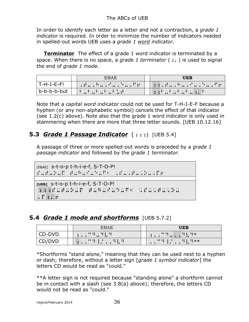In order to identify each letter as a letter and not a contraction, a *grade 1 indicator* is required. In order to minimize the number of indicators needed in spelled-out words UEB uses a *grade 1 word indicator*.

**Terminator** The effect of a grade 1 word indicator is terminated by a space. When there is no space, a *grade 1 terminator* (:::) is used to signal the end of *grade 1 mode*.

|               | FRAF                                                        | UDE |
|---------------|-------------------------------------------------------------|-----|
| T-H-I-E-F!    |                                                             |     |
| l b-b-b-b-but | $\bullet$ . $\bullet$ . $\bullet$ . $\bullet$ . $\bullet$ . |     |

Note that a *capital word indicator* could not be used for T-H-I-E-F because a hyphen (or any non-alphabetic symbol) cancels the effect of that indicator (see 1.2(c) above). Note also that the grade 1 word indicator is only used in stammering when there are more that three letter sounds. [UEB 10.12.16]

## **5.3** *Grade 1 Passage Indicator*(;;;) [UEB 5.4]

A passage of three or more spelled-out words is preceded by a *grade 1 passage indicator* and followed by the *grade 1 terminator.*

[EBAE] s-t-o-p t-h-i-e-f, S-T-O-P! S-T-O-P T-H-I-E-F1 ,S-,T-,O-,P6

**[UEB]** s-t-o-p t-h-i-e-f, S-T-O-P!;;;S-T-O-P T-H-I-E-F1 ,S-,T-,O- ,P;'6

## **5.4** *Grade 1 mode and shortforms* [UEB 5.7.2]

|        | <b>ERAF</b> | JEB                                                                                                                            |
|--------|-------------|--------------------------------------------------------------------------------------------------------------------------------|
| CD-DVD |             |                                                                                                                                |
| رب     |             | $\mathbf{1}$ , and $\mathbf{1}$ , and $\mathbf{1}$ , and $\mathbf{1}$ , and $\mathbf{1}$ , and $\mathbf{1}$ , and $\mathbf{1}$ |

\*Shortforms "stand alone," meaning that they can be used next to a hyphen or dash; therefore, without a letter sign [*grade 1 symbol indicator*] the letters CD would be read as "could."

\*\*A letter sign is not required because "standing alone" a shortform cannot be in contact with a slash (see 3.8(a) above); therefore, the letters CD would not be read as "could."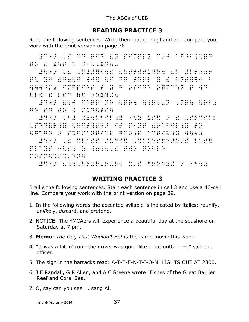## **READING PRACTICE 3**

Read the following sentences. Write them out in longhand and compare your work with the print version on page 38.

 #A"> ,! AD R1D 8Y SIMPLY C'T AF^1,,=D  $T_1$ ,  $T_2$ ,  $T_3$ ,  $T_4$ ,  $T_5$ ,  $T_6$ ,  $T_7$ ,  $T_8$ ,  $T_9$ ,  $T_1$ ,  $T_2$ ,  $T_3$ ,  $T_4$ ,  $T_5$ ,  $T_6$ ,  $T_7$ ,  $T_8$ 

 #B"> ,! ,MY/]I\S ,ATTITUDE4 ,A /ATE;T S\* Z1 80 ST. DE LES STRAITES DE LEGION DE LES STRAITES DE LEGION DE LEGION DE LEGION DE LEGION DE LEGION DE LE<br>2011 : Il anno 1911, al 1912 de la Companyation de Legion de Legion de Legion de Legion de Legion de Legion d<br>2 444^0 IMPLIES TO THE RESERVED ON THE THE TERM COMPANY OF THE RESERVED ON THE RESERVED OF THE THEORET THE RESER<br>The reserved of the term in the reserved of the state of the reserved of the reserved of the reserved of the r<br> BL[ ! LID (F "EY?+4

 #C"> 8,J CALL ME ,MR4 ;,R,-N ,MR4 ,R10 HE SD TO ! /UDS4

#B## ,BY .74ABIL;Y .74ABIL;Y .74ABIL;Y .74ABIL;Y .74ABIL;Y .74ABIL;Y .74ABIL;Y .74ABIL;Y .74ABIL;Y .74ABIL;Y . , SECURE DE DISPOSITION DE L'ISLAME DE L'ESSE LIGITATION DE L'ESSE LIGITATION (DISPOSITION) DE L'ISLAME DE L'E<br>SECURE DE L'ISLAME DE L'ISLAME DE L'ISLAME DE L'ISLAME DE L'ISLAME DE L'ISLAME DE L'ISLAME DE L'ISLAME DE L'I<br>S 555 BE BIT BE BIT THIS THE BIT BY THE BETWEEN BY AN ISLAMIC ATTEMPTED THE BETWEEN THE STATE OF THE INTERNATION<br>BIT BE SUBJECT THE THIS GAS IN EITHER SERVED BY AN ISLAMIC AND THE BIT THIS ARE BIT BY AN ISLAMIC ARE BEFORE A<br>

 $\pm$  , and the state of the state of the state of the state of the state of the state of the state of the state of the state of the state of the state of the state of the state of the state of the state of the state of th PRODUCED PROVIDING THE RELATIONSHIP OF THE RELATIONSHIP OF THE RELATIONSHIP OF THE RELATIONSHIP OF THE RELATIO<br>PLAYS TO THE RELATIONSHIP OF THE RELATIONSHIP OF THE RELATIONSHIP OF THE RELATIONSHIP OF THE RELATIONSHIP OF<br>PL

K9SM5,'.'">4

 $\frac{1}{2}$  8)  $\frac{1}{2}$  8)  $\frac{1}{2}$  8)  $\frac{1}{2}$  8)  $\frac{1}{2}$  8)  $\frac{1}{2}$  8)  $\frac{1}{2}$  8)  $\frac{1}{2}$  8)  $\frac{1}{2}$  8)  $\frac{1}{2}$  8)  $\frac{1}{2}$  8)  $\frac{1}{2}$  8)  $\frac{1}{2}$  8)  $\frac{1}{2}$  8)  $\frac{1}{2}$  8)  $\frac{1}{2}$  8)  $\frac{1}{2}$  8)

## **WRITING PRACTICE 3**

Braille the following sentences. Start each sentence in cell 3 and use a 40-cell line. Compare your work with the print version on page 39.

- 1. In the following words the accented syllable is indicated by italics: re*u*nify, un*like*ly, *dis*card, and *pre*tend.
- 2. NOTICE: The YMCAers will experience a beautiful day at the seashore on Saturday at 7 pm.
- 3. **Memo**: *The Dog That Wouldn't Be!* is the camp movie this week.
- 4. "It was a hit 'n' run—the driver was goin' like a bat outta h---," said the officer.
- 5. The sign in the barracks read: A-T-T-E-N-T-I-O-N! LIGHTS OUT AT 2300.
- 6. J E Randall, G R Allen, and A C Steene wrote "Fishes of the Great Barrier Reef and Coral Sea."
- 7. O, say can you see ... sang Al.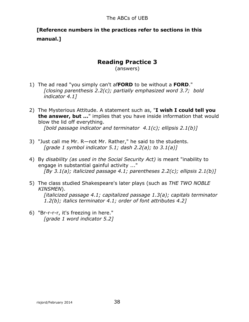## **[Reference numbers in the practices refer to sections in this manual.]**

### **Reading Practice 3**

(answers)

- 1) The ad read "you simply can't af**FORD** to be without a **FORD**." *[closing parenthesis 2.2(c); partially emphasized word 3.7; bold indicator 4.1]*
- 2) The Mysterious Attitude. A statement such as, "**I wish I could tell you the answer, but ...**" implies that you have inside information that would blow the lid off everything. *[bold passage indicator and terminator 4.1(c); ellipsis 2.1(b)]*
- 3) "Just call me Mr. R—not Mr. Rather," he said to the students. *[grade 1 symbol indicator 5.1; dash 2.2(a); to 3.1(a)]*
- 4) By *disability (as used in the Social Security Act)* is meant "inability to engage in substantial gainful activity ..." *[By 3.1(a); italicized passage 4.1; parentheses 2.2(c); ellipsis 2.1(b)]*
- 5) The class studied Shakespeare's later plays (such as *THE TWO NOBLE KINSMEN*).

*[italicized passage 4.1; capitalized passage 1.3(a); capitals terminator 1.2(b); italics terminator 4.1; order of font attributes 4.2]*

6) "Br-r-r-r, it's freezing in here." *[grade 1 word indicator 5.2]*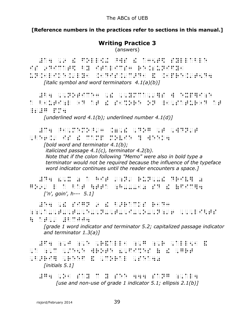#### **[Reference numbers in the practices refer to sections in this manual.]**

### **Writing Practice 3**

(answers)

 #A4 ,9 ! FOLL[+ ^WS ! A35T\$ SYLLABLE IS 9DIC 1999 FOR 1999 THE RELEASE RELEASE RELEASE RELEASE RELEASE RELEASE RELEASE RELEASE RELEASE RELEASE RELE UN.1LIKE.'LY1 .1DIS.'C>D1 & .1PRE.'T5D4 *[italic symbol and word terminators 4.1(a)(b)]* #B4 ,,YMCA, 2008, 2019, 2019, 2019, 2019, 2019, 2019, 2019, 2019, 2019, 2019, 2019, 2019, 2019, 2019, 2019, 20<br>#B4 , SO , YMCA, 2019, 2019, 2019, 2019, 2019, 2019, 2019, 2019, 2019, 2019, 2019, 2019, 2019, 2019, 2019, 20<br>\$ A B1UTI;L "D AT ! S1%ORE ON \_1,SATUR"D AT  $\frac{2}{2}$   $\frac{2}{2}$   $\frac{2}{2}$   $\frac{2}{2}$   $\frac{2}{2}$   $\frac{2}{2}$   $\frac{2}{2}$   $\frac{2}{2}$ *[underlined word 4.1(b); underlined number 4.1(d)]* #C4 ^1,MEMO^'3 .7,! ,DOG ,T ,WDN'T , BEFORE THE FINAL SERVICE  $\mathbf{B}$  . The final service  $\mathbf{B}$  is the final service  $\mathbf{B}$ *[bold word and terminator 4.1(b); italicized passage 4.1(c), terminator 4.2(b). Note that if the colon following "Memo" were also in bold type a terminator would not be required because the influence of the typeface word indicator continues until the reader encounters a space.]* # 2008 | 2008 | 2008 | 2008 | 2008 | 2008 | 2008 | 2008 | 2008 | 2008 | 2009 | 2009 | 2009 | 2009 | 2009 | 200<br># 2008 | 2008 | 2008 | 2008 | 2008 | 2008 | 2008 | 2008 | 2008 | 2008 | 2008 | 2009 | 2009 | 2009 | 2009 | 20<br># GO9' L A BAT \TTA ;H---10 SD ! (FIC]4 *['n', goin', h--- 5.1]*  $\frac{1}{2}$  ,  $\frac{1}{2}$  ,  $\frac{1}{2}$  ,  $\frac{1}{2}$  ,  $\frac{1}{2}$  ,  $\frac{1}{2}$  ,  $\frac{1}{2}$  ,  $\frac{1}{2}$  ,  $\frac{1}{2}$  ,  $\frac{1}{2}$  ,  $\frac{1}{2}$  ,  $\frac{1}{2}$  ,  $\frac{1}{2}$  ,  $\frac{1}{2}$  ,  $\frac{1}{2}$  ,  $\frac{1}{2}$  ,  $\frac{1}{2}$  ,  $\frac{1}{2}$  ,  $\frac{1$ ;;,A-,T-,T-,E-,N-,T-,I-,O-,N;'6 ,,,LI<TS  $\frac{1}{2}$   $\frac{1}{2}$   $\frac{1}{2}$   $\frac{1}{2}$   $\frac{1}{2}$   $\frac{1}{2}$   $\frac{1}{2}$   $\frac{1}{2}$   $\frac{1}{2}$   $\frac{1}{2}$   $\frac{1}{2}$   $\frac{1}{2}$   $\frac{1}{2}$   $\frac{1}{2}$   $\frac{1}{2}$   $\frac{1}{2}$   $\frac{1}{2}$   $\frac{1}{2}$   $\frac{1}{2}$   $\frac{1}{2}$   $\frac{1}{2}$   $\frac{1}{2}$  *[grade 1 word indicator and terminator 5.2; capitalized passage indicator and terminator 1.3(a)]*  #F4 ;,J ;,E ,R&ALL1 ;,G ;,R ,ALL51 & ,A ;,C ,/E5E WROTE 8,FI%ES ( ! ,GRT , San Ang Bandari (Bandari (Bandari Bandari), San Ang Bandari (Bandari San Ang Bandari San Ang Bandari San Ang<br>Bandari (Bandari Bandari San Ang Ang Bandari San Ang Bandari San Ang Bandari San Ang Ang Ang Bandari San Ang B<br> *[initials 5.1]* #G4 ,O1 SAY C Y SEE 444 SANG ;,AL4 *[use and non-use of grade 1 indicator 5.1; ellipsis 2.1(b)]*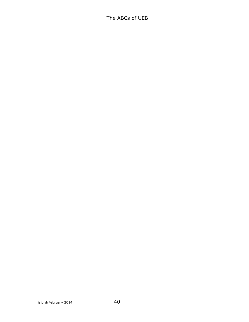#### The ABCs of UEB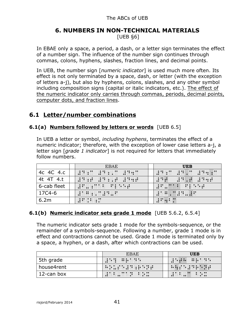## **6. NUMBERS IN NON-TECHNICAL MATERIALS**

[UEB §6]

In EBAE only a space, a period, a dash, or a letter sign terminates the effect of a number sign. The influence of the number sign continues through commas, colons, hyphens, slashes, fraction lines, and decimal points.

In UEB, the number sign [*numeric indicator*] is used much more often. Its effect is not only terminated by a space, dash, or letter (with the exception of letters a-j), but also by hyphens, colons, slashes, and any other symbol including composition signs (capital or italic indicators, etc.). The effect of the numeric indicator only carries through commas, periods, decimal points, computer dots, and fraction lines.

## **6.1 Letter/number combinations**

#### **6.1(a) Numbers followed by letters or words** [UEB 6.5]

In UEB a letter or symbol, *including hyphens*, terminates the effect of a numeric indicator; therefore, with the exception of lower case letters a-j, a letter sign [*grade 1 indicator*] is not required for letters that immediately follow numbers.

|             | <b>EBAE</b>                                                                                                                                                                                                                                                                                                                                                                                                                                                                                                                                                                                                                                      |                                                                                                                                                                                                                                                                                                                                                                                                                                                                                                                                                              |                                                                                                                                              |  |                                                                                                                                                 |                                                                                                                                                                                                                                                                                                                                                                                                                                                                                                                                                                                                                                                                            | UEB                                                                                                                                                                                                         |                                                                                                                                                                                                                                                                                                                                                                                                                                                                                                                                                              |                                                                                                                                        |  |
|-------------|--------------------------------------------------------------------------------------------------------------------------------------------------------------------------------------------------------------------------------------------------------------------------------------------------------------------------------------------------------------------------------------------------------------------------------------------------------------------------------------------------------------------------------------------------------------------------------------------------------------------------------------------------|--------------------------------------------------------------------------------------------------------------------------------------------------------------------------------------------------------------------------------------------------------------------------------------------------------------------------------------------------------------------------------------------------------------------------------------------------------------------------------------------------------------------------------------------------------------|----------------------------------------------------------------------------------------------------------------------------------------------|--|-------------------------------------------------------------------------------------------------------------------------------------------------|----------------------------------------------------------------------------------------------------------------------------------------------------------------------------------------------------------------------------------------------------------------------------------------------------------------------------------------------------------------------------------------------------------------------------------------------------------------------------------------------------------------------------------------------------------------------------------------------------------------------------------------------------------------------------|-------------------------------------------------------------------------------------------------------------------------------------------------------------------------------------------------------------|--------------------------------------------------------------------------------------------------------------------------------------------------------------------------------------------------------------------------------------------------------------------------------------------------------------------------------------------------------------------------------------------------------------------------------------------------------------------------------------------------------------------------------------------------------------|----------------------------------------------------------------------------------------------------------------------------------------|--|
| 4c 4C 4.c   | $\bullet\bullet\hspace{0.2cm}\bullet\hspace{0.2cm}\bullet\hspace{0.2cm}\bullet\hspace{0.2cm}\bullet\hspace{0.2cm}\bullet\hspace{0.2cm}\bullet\hspace{0.2cm}\bullet\hspace{0.2cm}\bullet\hspace{0.2cm}\bullet\hspace{0.2cm}\bullet\hspace{0.2cm}\bullet\hspace{0.2cm}\bullet\hspace{0.2cm}\bullet\hspace{0.2cm}\bullet\hspace{0.2cm}\bullet\hspace{0.2cm}\bullet\hspace{0.2cm}\bullet\hspace{0.2cm}\bullet\hspace{0.2cm}\bullet\hspace{0.2cm}\bullet\hspace{0.2cm}\bullet\hspace{0.$<br>$\bullet\bullet\;\cdot\;\cdot\;\cdot\bullet\;\cdot\;\cdot$<br>$\bullet\bullet\quad \cdot\quad \cdot\quad \bullet\quad \cdot\bullet\quad \cdot\quad \cdot$ |                                                                                                                                                                                                                                                                                                                                                                                                                                                                                                                                                              | $\cdot \bullet \cdot \bullet \bullet \bullet \cdot \cdot$<br>$\bullet\bullet\quad \cdot\quad \cdot\bullet\quad \cdot\quad \cdot$             |  | $\bullet \bullet \bullet \bullet \bullet \bullet \bullet \bullet \bullet \bullet$<br>$\bullet\bullet\;\cdot\;\cdot\;\cdot\bullet\;\cdot\;\cdot$ |                                                                                                                                                                                                                                                                                                                                                                                                                                                                                                                                                                                                                                                                            | $\cdots \bullet \quad \cdots \quad \cdots$<br>$\bullet\bullet\quad \cdot\quad \cdot\bullet\quad \cdot\quad \cdot$                                                                                           |                                                                                                                                                                                                                                                                                                                                                                                                                                                                                                                                                              |                                                                                                                                        |  |
| 4t 4T 4.t   | $\cdot \bullet \cdot \bullet \cdot \bullet \bullet \bullet$<br>$\bullet\bullet\hspace{0.2cm}\cdot\hspace{0.2cm}\cdot\hspace{0.2cm}\cdot\hspace{0.2cm}\bullet\hspace{0.2cm}\bullet\hspace{0.2cm}\cdot$<br>$\bullet\bullet\quad \cdot\quad \cdot\quad \bullet\quad \cdot\bullet\quad \bullet\quad \cdot$                                                                                                                                                                                                                                                                                                                                           |                                                                                                                                                                                                                                                                                                                                                                                                                                                                                                                                                              | $\cdot \bullet \cdot \bullet \bullet \bullet \bullet \bullet$<br>$\bullet\bullet\quad \cdot\quad \cdot\quad \bullet\quad \bullet\quad \cdot$ |  | $\cdot \bullet \cdot \bullet \bullet \bullet$<br>$\bullet\bullet\;\cdot\;\cdot\;\bullet\;\cdot$                                                 |                                                                                                                                                                                                                                                                                                                                                                                                                                                                                                                                                                                                                                                                            | $\cdot \bullet \cdot \bullet \cdot \cdot \bullet \bullet$<br>$\bullet\bullet\hspace{0.2cm}\bullet\hspace{0.2cm}\bullet\hspace{0.2cm}\bullet\hspace{0.2cm}\bullet\hspace{0.2cm}\bullet\hspace{0.2cm}\bullet$ |                                                                                                                                                                                                                                                                                                                                                                                                                                                                                                                                                              | $\cdot \bullet \cdot \bullet \bullet \bullet \bullet \bullet$<br>$\bullet\bullet\quad \cdot\quad \cdot\bullet\quad \bullet\quad \cdot$ |  |
| 6-cab fleet |                                                                                                                                                                                                                                                                                                                                                                                                                                                                                                                                                                                                                                                  | $\bullet\cdot\hspace{0.1cm}\bullet\hspace{0.1cm}\cdot\hspace{0.1cm}\bullet\hspace{0.1cm}\cdot\hspace{0.1cm}\bullet\hspace{0.1cm}\bullet\hspace{0.1cm}\bullet\hspace{0.1cm}\bullet\hspace{0.1cm}\bullet\hspace{0.1cm}\bullet\hspace{0.1cm}\bullet\hspace{0.1cm}\bullet\hspace{0.1cm}\bullet\hspace{0.1cm}\bullet\hspace{0.1cm}\bullet\hspace{0.1cm}\bullet\hspace{0.1cm}\bullet\hspace{0.1cm}\bullet\hspace{0.1cm}\bullet\hspace{0.1cm}\bullet\hspace{0.1cm}\bullet\hspace{0.$<br>$\cdots \quad \bullet \quad \cdots \quad \cdots \quad \bullet \quad \cdots$ |                                                                                                                                              |  |                                                                                                                                                 |                                                                                                                                                                                                                                                                                                                                                                                                                                                                                                                                                                                                                                                                            |                                                                                                                                                                                                             | $\bullet\cdot\hspace{0.1cm}\bullet\hspace{0.1cm}\cdot\hspace{0.1cm}\bullet\hspace{0.1cm}\cdot\hspace{0.1cm}\bullet\hspace{0.1cm}\bullet\hspace{0.1cm}\bullet\hspace{0.1cm}\bullet\hspace{0.1cm}\bullet\hspace{0.1cm}\bullet\hspace{0.1cm}\bullet\hspace{0.1cm}\bullet\hspace{0.1cm}\bullet\hspace{0.1cm}\bullet\hspace{0.1cm}\bullet\hspace{0.1cm}\bullet\hspace{0.1cm}\bullet\hspace{0.1cm}\bullet\hspace{0.1cm}\bullet\hspace{0.1cm}\bullet\hspace{0.1cm}\bullet\hspace{0.$<br>$\cdots \quad \bullet \quad \cdots \quad \cdots \quad \bullet \quad \cdots$ |                                                                                                                                        |  |
| 17C4-6      |                                                                                                                                                                                                                                                                                                                                                                                                                                                                                                                                                                                                                                                  |                                                                                                                                                                                                                                                                                                                                                                                                                                                                                                                                                              |                                                                                                                                              |  |                                                                                                                                                 |                                                                                                                                                                                                                                                                                                                                                                                                                                                                                                                                                                                                                                                                            |                                                                                                                                                                                                             |                                                                                                                                                                                                                                                                                                                                                                                                                                                                                                                                                              |                                                                                                                                        |  |
| 6.2m        |                                                                                                                                                                                                                                                                                                                                                                                                                                                                                                                                                                                                                                                  |                                                                                                                                                                                                                                                                                                                                                                                                                                                                                                                                                              |                                                                                                                                              |  |                                                                                                                                                 | $\bullet\hspace{0.1cm} \bullet\hspace{0.1cm}\bullet\hspace{0.1cm}\bullet\hspace{0.1cm}\bullet\hspace{0.1cm}\bullet\hspace{0.1cm}\bullet\hspace{0.1cm}\bullet\hspace{0.1cm}\bullet\hspace{0.1cm}\bullet\hspace{0.1cm}\bullet\hspace{0.1cm}\bullet\hspace{0.1cm}\bullet\hspace{0.1cm}\bullet\hspace{0.1cm}\bullet\hspace{0.1cm}\bullet\hspace{0.1cm}\bullet\hspace{0.1cm}\bullet\hspace{0.1cm}\bullet\hspace{0.1cm}\bullet\hspace{0.1cm}\bullet\hspace{0.1cm}\bullet\hspace{0.1$<br>$\bullet\bullet\hspace{0.2cm}\bullet\hspace{0.2cm}\bullet\hspace{0.2cm}\bullet\hspace{0.2cm}\bullet\hspace{0.2cm}\bullet\hspace{0.2cm}\bullet\hspace{0.2cm}\bullet\hspace{0.2cm}\bullet$ |                                                                                                                                                                                                             |                                                                                                                                                                                                                                                                                                                                                                                                                                                                                                                                                              |                                                                                                                                        |  |

#### **6.1(b) Numeric indicator sets grade 1 mode** [UEB 5.6.2, 6.5.4]

The numeric indicator sets grade 1 mode for the symbols-sequence, or the remainder of a symbols-sequence. Following a number, grade 1 mode is in effect and contractions cannot be used. Grade 1 mode is terminated only by a space, a hyphen, or a dash, after which contractions can be used.

|            |                                                                                                                                                                                              | TER                                                                                                                                                                                                                                                                                                                                                                                                                                                                                                                                                                                                                                                                                                                              |
|------------|----------------------------------------------------------------------------------------------------------------------------------------------------------------------------------------------|----------------------------------------------------------------------------------------------------------------------------------------------------------------------------------------------------------------------------------------------------------------------------------------------------------------------------------------------------------------------------------------------------------------------------------------------------------------------------------------------------------------------------------------------------------------------------------------------------------------------------------------------------------------------------------------------------------------------------------|
| 5th grade  | $\cdot\bullet\bullet\cdot\bullet\bullet$<br>$\cdot \cdot \cdot \cdot$<br>$\bullet\bullet\bullet\bullet\bullet\cdots\bullet\bullet\bullet$<br>$\bullet\bullet\;\cdot\;\cdot\;\cdot\bullet\;.$ | $\bullet\hspace{14pt}\bullet\hspace{14pt}\bullet\hspace{14pt}\bullet\hspace{14pt}\bullet\hspace{14pt}\bullet\hspace{14pt}\bullet\hspace{14pt}\bullet\hspace{14pt}\bullet\hspace{14pt}\bullet\hspace{14pt}\bullet\hspace{14pt}\bullet\hspace{14pt}\bullet\hspace{14pt}\bullet\hspace{14pt}\bullet\hspace{14pt}\bullet\hspace{14pt}\bullet\hspace{14pt}\bullet\hspace{14pt}\bullet\hspace{14pt}\bullet\hspace{14pt}\bullet\hspace{14pt}\bullet\hspace{14pt}\bullet\hspace{14pt}\bullet\hspace{14pt}\bullet\hs$<br>$\bullet\bullet\bullet\bullet\bullet\;\cdot\;\cdot\;\bullet\;\cdot\bullet$<br>$\bullet\bullet\quad \cdot\quad \bullet\quad \cdot\quad \cdot\quad$<br>$\cdots \bullet \cdot \cdots \cdot \cdot \cdot \cdot \cdot$ |
| house4rent |                                                                                                                                                                                              |                                                                                                                                                                                                                                                                                                                                                                                                                                                                                                                                                                                                                                                                                                                                  |
| 12-can box | $\bullet\cdot\bullet\cdot\bullet\bullet$<br>$\bullet\bullet\quad\cdot\quad\cdot\quad\cdot\quad\bullet\bullet\quad\cdot\quad\cdot\quad\cdot\quad\bullet\cdot\quad\quad$                       | $\bullet\cdot\bullet\cdot\bullet\bullet$<br>$\bullet \cdot \quad \cdot \bullet \quad \cdot \cdot$<br>0000<br>$\cdots$                                                                                                                                                                                                                                                                                                                                                                                                                                                                                                                                                                                                            |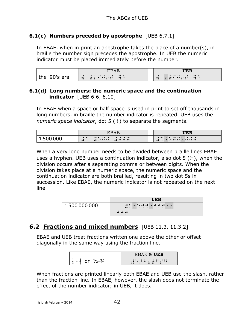#### **6.1(c) Numbers preceded by apostrophe** [UEB 6.7.1]

In EBAE, when in print an apostrophe takes the place of a number(s), in braille the number sign precedes the apostrophe. In UEB the numeric indicator must be placed immediately before the number.

|                                                                                                                                                                                                                                                                                                                                                                                                                                                                                                                                                                             | UEB                                     |  |  |  |  |
|-----------------------------------------------------------------------------------------------------------------------------------------------------------------------------------------------------------------------------------------------------------------------------------------------------------------------------------------------------------------------------------------------------------------------------------------------------------------------------------------------------------------------------------------------------------------------------|-----------------------------------------|--|--|--|--|
| $\cdot$ .<br>$\mathbf{r} \cdot \mathbf{e} \quad \mathbf{r} \cdot \mathbf{e} \quad \mathbf{e} \cdot \mathbf{e} \quad \mathbf{e} \cdot \mathbf{e} \quad \mathbf{r} \cdot \mathbf{e} \cdot \mathbf{e} \quad \mathbf{r} \cdot \mathbf{e} \cdot \mathbf{e} \quad \mathbf{r} \cdot \mathbf{e} \cdot \mathbf{e} \quad \mathbf{r} \cdot \mathbf{e} \cdot \mathbf{e} \cdot \mathbf{e} \cdot \mathbf{e} \cdot \mathbf{e} \cdot \mathbf{e} \cdot \mathbf{e} \cdot \mathbf{e} \cdot \mathbf{e} \cdot \mathbf{$<br>$\bullet\bullet\cdots$<br>$\bullet$ .<br>$\bullet\bullet$<br>$\cdots$ | $\bullet\bullet$<br>$\cdot \cdot \cdot$ |  |  |  |  |

#### **6.1(d) Long numbers: the numeric space and the continuation indicator** [UEB 6.6, 6.10]

In EBAE when a space or half space is used in print to set off thousands in long numbers, in braille the number indicator is repeated. UEB uses the *numeric space indicator*, dot  $5$  ( $\cdot\cdot$ ) to separate the segments.

|                                                                                                                                                                                                                                          | ные<br>,,,,, |  |  |  |  |
|------------------------------------------------------------------------------------------------------------------------------------------------------------------------------------------------------------------------------------------|--------------|--|--|--|--|
| $\cdot\cdot\cdot\cdot\cdot\cdot$<br>$\cdot \bullet \bullet \cdot$<br>$\cdot \cdot \cdot \cdot \cdot \cdot \cdot$<br>$\cdot \cdot \cdot \cdot \cdot \cdot \cdot \cdot$<br>$\cdot \bullet \cdot \cdot$<br>$\bullet\bullet\;\;\cdot\;\cdot$ |              |  |  |  |  |

When a very long number needs to be divided between braille lines EBAE uses a hyphen. UEB uses a continuation indicator, also dot  $5$  ( $\cdot\cdot$ ), when the division occurs after a separating comma or between digits. When the division takes place at a numeric space, the numeric space and the continuation indicator are both brailled, resulting in two dot 5s in succession. Like EBAE, the numeric indicator is not repeated on the next line.

|  | IR F                                                   |  |  |  |  |  |
|--|--------------------------------------------------------|--|--|--|--|--|
|  |                                                        |  |  |  |  |  |
|  | $\cdot \bullet \cdot \bullet \cdot \bullet$<br>$$<br>. |  |  |  |  |  |

## **6.2 Fractions and mixed numbers** [UEB 11.3, 11.3.2]

EBAE and UEB treat fractions written one above the other or offset diagonally in the same way using the fraction line.

|  | $\mathbf{v} \bullet \mathbf{v} + \mathbf{v} + \mathbf{v} + \mathbf{v} + \mathbf{v} + \mathbf{v} + \mathbf{v} + \mathbf{v} + \mathbf{v} + \mathbf{v} + \mathbf{v} + \mathbf{v} + \mathbf{v} + \mathbf{v} + \mathbf{v} + \mathbf{v} + \mathbf{v} + \mathbf{v} + \mathbf{v} + \mathbf{v} + \mathbf{v} + \mathbf{v} + \mathbf{v} + \mathbf{v} + \mathbf{v} + \mathbf{v} + \mathbf{v} + \mathbf{v} + \mathbf{v} + \mathbf{v} + \math$ |
|--|----------------------------------------------------------------------------------------------------------------------------------------------------------------------------------------------------------------------------------------------------------------------------------------------------------------------------------------------------------------------------------------------------------------------------------|

When fractions are printed linearly both EBAE and UEB use the slash, rather than the fraction line. In EBAE, however, the slash does not terminate the effect of the number indicator; in UEB, it does.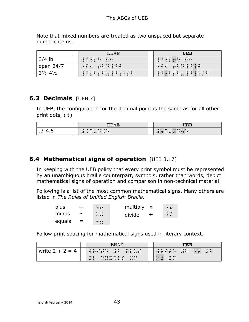Note that mixed numbers are treated as two unspaced but separate numeric items.

| 3/4 lb                        | $\bullet\cdot\bullet\cdot$<br>$\bullet\bullet\quad \cdot\quad \cdot\quad \bullet\quad \bullet\quad \cdot\quad \cdot\quad \cdot$<br>$\bullet \cdot \cdot \cdot$ | $\bullet\cdot\bullet\cdot$<br>$\bullet \cdot \cdot \cdot$ |
|-------------------------------|----------------------------------------------------------------------------------------------------------------------------------------------------------------|-----------------------------------------------------------|
| open 24/7                     | $\bullet \cdot \bullet \bullet \cdot \cdot \cdot$                                                                                                              |                                                           |
| $3\frac{1}{2} - 4\frac{1}{2}$ |                                                                                                                                                                |                                                           |

## **6.3 Decimals** [UEB 7]

In UEB, the configuration for the decimal point is the same as for all other print dots,  $(\cdot;).$ 

|               |                                                                                                                                                                                                                                                                                                                                                                                                                                                                                                                                                                         | TTRT |
|---------------|-------------------------------------------------------------------------------------------------------------------------------------------------------------------------------------------------------------------------------------------------------------------------------------------------------------------------------------------------------------------------------------------------------------------------------------------------------------------------------------------------------------------------------------------------------------------------|------|
| - 4−د.<br>. . | $\mathcal{A} \bullet \mathcal{A} \bullet \mathcal{A} \bullet \mathcal{A} \bullet \mathcal{A} \bullet \mathcal{A} \bullet \mathcal{A} \bullet \mathcal{A} \bullet \mathcal{A} \bullet \mathcal{A} \bullet \mathcal{A} \bullet \mathcal{A} \bullet \mathcal{A} \bullet \mathcal{A} \bullet \mathcal{A} \bullet \mathcal{A} \bullet \mathcal{A} \bullet \mathcal{A} \bullet \mathcal{A} \bullet \mathcal{A} \bullet \mathcal{A} \bullet \mathcal{A} \bullet \mathcal{A} \bullet \mathcal{A} \bullet \mathcal{A} \bullet \mathcal{A} \bullet \mathcal{A} \bullet \mathcal{$ |      |

## **6.4 Mathematical signs of operation** [UEB 3.17]

In keeping with the UEB policy that every print symbol must be represented by an unambiguous braille counterpart, symbols, rather than words, depict mathematical signs of operation and comparison in non-technical material.

Following is a list of the most common mathematical signs. Many others are listed in *The Rules of Unified English Braille.*

| plus   |                | $\cdots$<br>$\mathbb{R}^2$ :                | multiply | $\cdots$<br>$\mathbf{H}$ |
|--------|----------------|---------------------------------------------|----------|--------------------------|
| minus  | $\blacksquare$ | $\cdots\quad\cdots\quad$<br>$\mathbb{R}$ is | divide   | $\frac{1}{2}$            |
| equals | $=$            | $\cdots$<br>$\cdot$<br>$\cdots$ .           |          |                          |

Follow print spacing for mathematical signs used in literary context.

| $= 4$<br>∵rit∆<br>Wľ | $\cdot \bullet \bullet \cdot$<br>$\bullet \cdot \bullet \cdot \cdot \cdot \bullet \cdot$<br>$\bullet \cdot \bullet \cdot \bullet \bullet \bullet \cdot$<br>$\cdots \bullet \quad \bullet \quad \cdot \quad \cdot \quad \bullet \quad \cdot \quad \cdot \quad \cdot$<br>$\bullet\bullet\;\cdot\;\cdot$<br>$\cdot \bullet \bullet \cdot$<br>$\cdot \bullet \bullet \bullet$ | $\cdot \bullet \bullet \cdot$<br>$\cdot \bullet \bullet \cdot$<br>$\cdots$<br>$\cdot \bullet \bullet \cdot$<br>$\cdot \bullet \bullet \bullet$<br>$\cdot \bullet \bullet \cdot$<br>$\bullet\bullet\quad \cdot\ \cdot$<br>$\bullet\bullet\;\cdot\;\cdot$<br>$\cdots \bullet \quad \bullet \quad \cdot \quad \cdot \quad \bullet \quad \cdot \quad \cdot \quad \cdot$<br>$\cdots$<br>$\cdot \bullet \bullet \bullet$<br>. |
|----------------------|---------------------------------------------------------------------------------------------------------------------------------------------------------------------------------------------------------------------------------------------------------------------------------------------------------------------------------------------------------------------------|-------------------------------------------------------------------------------------------------------------------------------------------------------------------------------------------------------------------------------------------------------------------------------------------------------------------------------------------------------------------------------------------------------------------------|
|                      | $\cdot \bullet \bullet \cdot$<br>$\cdot \cdot \cdot \cdot$<br>$\bullet\bullet\quad \cdot\ \cdot$<br>$\bullet\bullet\;\cdot\;\cdot$                                                                                                                                                                                                                                        | $\cdot$<br>$\cdot \bullet \cdot \bullet$<br>$\cdot$<br>$\bullet\bullet\;\cdot\;\cdot$                                                                                                                                                                                                                                                                                                                                   |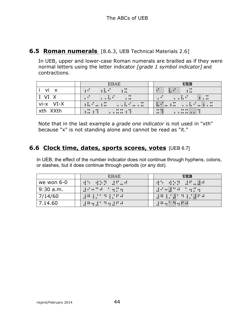#### **6.5 Roman numerals** [8.6.3, UEB Technical Materials 2.6]

In UEB, upper and lower-case Roman numerals are brailled as if they were normal letters using the letter indicator *[grade 1 symbol indicator]* and contractions.

|                    | EBAE                                                                                                                                                                                                             | IIF.R                                                                                                                                                                                                                      |
|--------------------|------------------------------------------------------------------------------------------------------------------------------------------------------------------------------------------------------------------|----------------------------------------------------------------------------------------------------------------------------------------------------------------------------------------------------------------------------|
|                    | $\cdot$<br>$\cdots$<br>$\cdots$<br>$\cdot \bullet \bullet \cdot$<br>$\cdot \bullet \bullet \cdot \bullet \cdot$<br>$\cdot \bullet \cdot \cdot$<br>$\cdot \bullet \cdot \cdot$<br>$\cdot \bullet \bullet \bullet$ | $\cdot$<br>$\bullet\cdot\cdot\bullet$<br>$\cdot \bullet$<br>$\bullet$ .<br>$\bullet\cdot\bullet\cdot$<br>$\cdot \bullet \cdot \cdot$<br>. 0.00<br>$\bullet \bullet \quad \cdot \quad \cdot$<br>$\cdot$ $\cdot$             |
| VI X               | $\cdots$<br>$\cdots$<br>$\cdots$ .<br>$\cdots$<br>$\cdot \bullet \quad \cdot \quad \cdot$<br>$\cdot \bullet \cdot \bullet \bullet \bullet \cdot \cdot$<br>$\cdot \bullet \bullet \bullet$                        | $\cdots$<br>$\cdots$<br>$\cdots$ .<br>$\cdot \bullet \cdot \cdot \cdot \cdot$<br>$\cdot \bullet \cdot \bullet \bullet \bullet$<br>$\cdot \bullet \cdot \bullet \bullet \bullet \cdot \cdot$<br>$\cdot \bullet \cdot \cdot$ |
| $vi - x$<br>$VI-X$ |                                                                                                                                                                                                                  | $\bullet \qquad \bullet \qquad \bullet \qquad \bullet \qquad \bullet \qquad \bullet \qquad \bullet$<br>$\bullet\bullet\cdots\bullet\bullet\bullet\bullet\bullet\bullet$                                                    |
|                    | $\cdots \bullet \bullet \cdots \bullet \bullet$<br>. <b>.</b>                                                                                                                                                    | <br>. <b>. .</b><br>$\cdot \cdot \cdot \cdot$<br>                                                                                                                                                                          |

Note that in the last example a *grade one indicator* is not used in "xth" because "x" is not standing alone and cannot be read as "it."

## **6.6 Clock time, dates, sports scores, votes** [UEB 6.7]

In UEB, the effect of the number indicator does not continue through hyphens, colons, or slashes, but it does continue through periods (or any dot).

|            | EBAE                                                                                                                                                                                                                                                                                        | UEB                                                                                                                                                                                                                                              |
|------------|---------------------------------------------------------------------------------------------------------------------------------------------------------------------------------------------------------------------------------------------------------------------------------------------|--------------------------------------------------------------------------------------------------------------------------------------------------------------------------------------------------------------------------------------------------|
| we won 6-0 | $\cdot\bullet\bullet\cdot\bullet\bullet$<br>$\cdot$<br>$\bullet\bullet\quadbullet$<br>$\bullet\bullet\quad \bullet\quad \bullet\quad \bullet$<br>$\cdot \bullet \bullet \cdot \bullet \cdot$<br>$\cdot \bullet \cdot \cdot$<br>$\bullet\bullet\;\cdot\;\cdot\;\bullet\bullet\;\cdot\;\cdot$ | $\cdot\bullet\bullet\cdot\bullet\bullet$<br>$\cdot$<br>$\bullet\bullet\quad \bullet$<br>$\bullet\bullet\quadbullet\bullet\bullet$<br>$\cdot \bullet \cdot \cdot$<br>$\bullet\bullet\;\cdot\;\cdot\;\bullet\bullet\;\bullet\bullet\;\cdot\;\cdot$ |
| 9:30a.m.   | $\bullet \cdot \quad \cdot \quad \bullet \bullet \quad \cdot \quad \cdot$<br>$\bullet\bullet\quad \cdot\quad\quad \cdot\quad\quad \cdot\quad\quad \cdot\quad\quad \cdot\quad\quad$                                                                                                          | $\bullet \cdot \cdot \cdot \bullet \bullet \cdot \cdot$<br>$\bullet\bullet\quad \cdot\quad\quad \cdot\quad\bullet\bullet\quad \cdot\quad\quad \cdot\quad$                                                                                        |
| 7/14/60    |                                                                                                                                                                                                                                                                                             |                                                                                                                                                                                                                                                  |
| $-7.14.60$ |                                                                                                                                                                                                                                                                                             | <b></b> . <b>.</b> . <b>.</b>                                                                                                                                                                                                                    |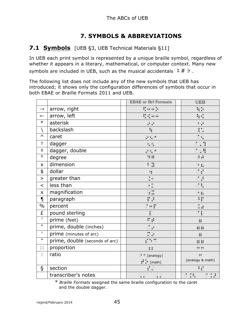## **7. SYMBOLS & ABBREVIATIONS**

## **7.1 Symbols** [UEB §3, UEB Technical Materials §11]

In UEB each print symbol is represented by a unique braille symbol, regardless of whether it appears in a literary, mathematical, or computer context. Many new symbols are included in UEB, such as the musical accidentals  $\natural$  #  $\natural$ .

The following list does not include any of the new symbols that UEB has introduced; it shows only the configuration differences of symbols that occur in both EBAE or Braille Formats 2011 and UEB.

|                       |                                | <b>EBAE</b> or Brl Formats                                                                                                                                                                                                                                                                                | <b>UEB</b>                                                                                                                                                                                                   |
|-----------------------|--------------------------------|-----------------------------------------------------------------------------------------------------------------------------------------------------------------------------------------------------------------------------------------------------------------------------------------------------------|--------------------------------------------------------------------------------------------------------------------------------------------------------------------------------------------------------------|
| $\rightarrow$         | arrow, right                   | $\frac{1}{2}$ $\frac{1}{2}$ $\frac{1}{2}$ $\frac{1}{2}$ $\frac{1}{2}$                                                                                                                                                                                                                                     | ₩÷                                                                                                                                                                                                           |
| $\leftarrow$          | arrow, left                    | $\frac{1}{2}$ $\frac{1}{2}$ $\frac{1}{2}$ $\frac{1}{2}$ $\frac{1}{2}$ $\frac{1}{2}$                                                                                                                                                                                                                       | $\vdots$ :                                                                                                                                                                                                   |
| $\ast$                | asterisk                       | $\ddot{\cdot}$                                                                                                                                                                                                                                                                                            | $\frac{1}{2}$                                                                                                                                                                                                |
|                       | backslash                      | $\vdots$                                                                                                                                                                                                                                                                                                  | $\mathbf{R}$                                                                                                                                                                                                 |
| $\boldsymbol{\wedge}$ | caret                          | $\ddot{}$                                                                                                                                                                                                                                                                                                 | $\mathbb{R}$                                                                                                                                                                                                 |
| $\mathsf{t}$          | dagger                         | $\ddot{\bullet}$ $\ddot{\bullet}$ $\ddot{\bullet}$                                                                                                                                                                                                                                                        | $\begin{array}{ccc}\n\bullet & \bullet & \bullet & \bullet & \bullet \\ \bullet & \bullet & \bullet & \bullet & \bullet & \bullet \\ \bullet & \bullet & \bullet & \bullet & \bullet & \bullet\n\end{array}$ |
| $\ddagger$            | dagger, double                 | $\vdots$ : $*$                                                                                                                                                                                                                                                                                            | $\mathbb{R}$ $\mathbb{R}$                                                                                                                                                                                    |
| o                     | degree                         | <b>∷∷</b>                                                                                                                                                                                                                                                                                                 | $\ddot{H}$                                                                                                                                                                                                   |
| X                     | dimension                      | $\vdots$ ::                                                                                                                                                                                                                                                                                               | $\frac{1}{2}$                                                                                                                                                                                                |
| \$                    | dollar                         | $\ddot{\cdot}$                                                                                                                                                                                                                                                                                            | $\mathbb{R}$ :                                                                                                                                                                                               |
| $\geq$                | greater than                   | $\frac{1}{2}$                                                                                                                                                                                                                                                                                             | $\ddot{\cdot}$<br>$\ddot{\cdot}$                                                                                                                                                                             |
| $\prec$               | less than                      | $\frac{1}{2}$                                                                                                                                                                                                                                                                                             | $\mathbb{R}$                                                                                                                                                                                                 |
| X                     | magnification                  | $\ddot{.}$                                                                                                                                                                                                                                                                                                | $\frac{1}{2}$                                                                                                                                                                                                |
| $\mathbf{I}$          | paragraph                      | $\mathbf{C}$                                                                                                                                                                                                                                                                                              | $\ddot{.}$                                                                                                                                                                                                   |
| $\frac{0}{0}$         | percent                        | $\mathbb{R}$ $\mathbb{R}$ $\mathbb{R}$                                                                                                                                                                                                                                                                    | $\ddot{\ddot{\cdot}}$ :                                                                                                                                                                                      |
| £                     | pound sterling                 | $\vdots$                                                                                                                                                                                                                                                                                                  | $\frac{1}{2}$                                                                                                                                                                                                |
| $\mathbf{L}$          | prime (feet)                   | $\mathbf{::}$                                                                                                                                                                                                                                                                                             | $\vdots$                                                                                                                                                                                                     |
| П.                    | prime, double (inches)         | $\frac{1}{2}$                                                                                                                                                                                                                                                                                             | $\mathbf{::} ::$                                                                                                                                                                                             |
| $\mathbf{I}$          | prime (minutes of arc)         | $\mathbb{R}$                                                                                                                                                                                                                                                                                              | $\ddot{•}$                                                                                                                                                                                                   |
| $\mathbf{H}$          | prime, double (seconds of arc) | $\frac{1}{2}$ : $\frac{1}{2}$ : $\frac{1}{2}$ : $\frac{1}{2}$ : $\frac{1}{2}$ : $\frac{1}{2}$ : $\frac{1}{2}$ : $\frac{1}{2}$ : $\frac{1}{2}$ : $\frac{1}{2}$ : $\frac{1}{2}$ : $\frac{1}{2}$ : $\frac{1}{2}$ : $\frac{1}{2}$ : $\frac{1}{2}$ : $\frac{1}{2}$ : $\frac{1}{2}$ : $\frac{1}{2}$ : $\frac{1$ | $\mathbf{::} \mathbf{::}$                                                                                                                                                                                    |
| $\ddot{\phantom{a}}$  | proportion                     | $\frac{1}{2}$                                                                                                                                                                                                                                                                                             | $\ddot{•}$                                                                                                                                                                                                   |
| ř.                    | ratio                          | $\therefore$ : [analogy]                                                                                                                                                                                                                                                                                  | $\ddot{\bullet}$                                                                                                                                                                                             |
|                       |                                | $::$ [math]                                                                                                                                                                                                                                                                                               | [analogy & math]                                                                                                                                                                                             |
| ş                     | section                        | $\mathbf{S}^{\bullet}$                                                                                                                                                                                                                                                                                    | $\mathbb{R}$ :                                                                                                                                                                                               |
|                       | transcriber's notes            | $\frac{1}{2}$ .<br>$\frac{11}{2}$ $\frac{11}{2}$                                                                                                                                                                                                                                                          | $\mathbb{R}$ $\mathbb{R}$ $\mathbb{R}$<br>$\mathbb{R}$ $\mathbb{R}$ $\mathbb{R}$                                                                                                                             |

\* *Braille Formats* assigned the same braille configuration to the caret and the double dagger.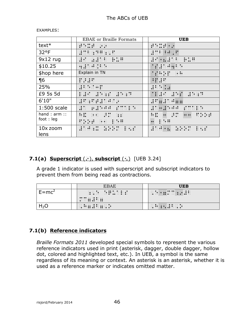|                 | <b>EBAE</b> or Braille Formats                                                                                                                                                                                                                                                                                                                                                                                                                                                                                                                                                                                                                                                                                                                                                                                                                                                                                                                                                                                                                                                                                                                                                                                                                                                                                                                                                                                                                                                                                                                                                             | <b>UEB</b>                                                                                                                                                                                                                                                                                                                                                                                                                                                                                                                                                                                                                                                                                                                                                                                                                                                                                                                               |
|-----------------|--------------------------------------------------------------------------------------------------------------------------------------------------------------------------------------------------------------------------------------------------------------------------------------------------------------------------------------------------------------------------------------------------------------------------------------------------------------------------------------------------------------------------------------------------------------------------------------------------------------------------------------------------------------------------------------------------------------------------------------------------------------------------------------------------------------------------------------------------------------------------------------------------------------------------------------------------------------------------------------------------------------------------------------------------------------------------------------------------------------------------------------------------------------------------------------------------------------------------------------------------------------------------------------------------------------------------------------------------------------------------------------------------------------------------------------------------------------------------------------------------------------------------------------------------------------------------------------------|------------------------------------------------------------------------------------------------------------------------------------------------------------------------------------------------------------------------------------------------------------------------------------------------------------------------------------------------------------------------------------------------------------------------------------------------------------------------------------------------------------------------------------------------------------------------------------------------------------------------------------------------------------------------------------------------------------------------------------------------------------------------------------------------------------------------------------------------------------------------------------------------------------------------------------------|
| text*           | $\bullet$<br>$\cdots$<br>$\bullet\bullet\hspace{0.2cm}\bullet\hspace{0.2cm}\bullet\hspace{0.2cm}\cdots\hspace{0.2cm}\bullet\bullet$<br>$\cdot \bullet \cdot \bullet$<br>$\bullet \cdot \quad \cdot \quad \bullet \bullet \quad \bullet \cdot$<br>$\bullet\cdot\bullet\cdot$                                                                                                                                                                                                                                                                                                                                                                                                                                                                                                                                                                                                                                                                                                                                                                                                                                                                                                                                                                                                                                                                                                                                                                                                                                                                                                                | 0.7.7.0000.7.0000                                                                                                                                                                                                                                                                                                                                                                                                                                                                                                                                                                                                                                                                                                                                                                                                                                                                                                                        |
| $32^{\circ}F$   |                                                                                                                                                                                                                                                                                                                                                                                                                                                                                                                                                                                                                                                                                                                                                                                                                                                                                                                                                                                                                                                                                                                                                                                                                                                                                                                                                                                                                                                                                                                                                                                            | $\bullet\bullet\cdot\cdot\bullet\cdot\cdot\bullet\bullet\bullet\cdot\cdot\bullet\cdot\bullet\cdot$<br>.                                                                                                                                                                                                                                                                                                                                                                                                                                                                                                                                                                                                                                                                                                                                                                                                                                  |
| $9x12$ rug      | $\bullet\cdot\;\bullet\cdot\;\bullet\bullet$<br>$\cdot$<br>$\cdot \bullet \bullet \cdot$<br>$\bullet\bullet\hspace{0.05cm}\bullet\hspace{0.05cm}\bullet\hspace{0.05cm}\bullet\hspace{0.05cm}\bullet\hspace{0.05cm}\bullet\hspace{0.05cm}\bullet$<br>$\bullet\bullet\;\cdot\;\cdot\;\bullet\bullet$<br>$\cdots$<br>$\bullet\bullet\quad \cdot\ \cdot$<br>$\bullet\bullet\ \bullet\bullet\ \cdot\ \cdot\ \cdot\ \cdot$                                                                                                                                                                                                                                                                                                                                                                                                                                                                                                                                                                                                                                                                                                                                                                                                                                                                                                                                                                                                                                                                                                                                                                       | $\bullet\cdot\ \bullet\cdot\ \bullet\bullet$<br>$\bullet\bullet\;\cdot\;\cdot\;\bullet\bullet$<br>$\bullet\cdot\text{ \textcolor{red}{\bullet}\bullet\textcolor{blue}{\bullet}\cdot\textcolor{blue}{\bullet}}$                                                                                                                                                                                                                                                                                                                                                                                                                                                                                                                                                                                                                                                                                                                           |
| \$10.25         | .                                                                                                                                                                                                                                                                                                                                                                                                                                                                                                                                                                                                                                                                                                                                                                                                                                                                                                                                                                                                                                                                                                                                                                                                                                                                                                                                                                                                                                                                                                                                                                                          | $\bullet\hspace{0.3cm}\bullet\hspace{0.3cm}\bullet\hspace{0.3cm}\bullet\hspace{0.3cm}\bullet\hspace{0.3cm}\bullet\hspace{0.3cm}\bullet\hspace{0.3cm}\bullet\hspace{0.3cm}\bullet\hspace{0.3cm}\bullet\hspace{0.3cm}\bullet\hspace{0.3cm}\bullet\hspace{0.3cm}\bullet\hspace{0.3cm}\bullet\hspace{0.3cm}\bullet\hspace{0.3cm}\bullet\hspace{0.3cm}\bullet\hspace{0.3cm}\bullet\hspace{0.3cm}\bullet\hspace{0.3cm}\bullet\hspace{0.3cm}\bullet\hspace{0.3cm}\bullet\hspace{0.3cm$<br>$.$                                                                                                                                                                                                                                                                                                                                                                                                                                                   |
| \$hop here      | Explain in TN                                                                                                                                                                                                                                                                                                                                                                                                                                                                                                                                                                                                                                                                                                                                                                                                                                                                                                                                                                                                                                                                                                                                                                                                                                                                                                                                                                                                                                                                                                                                                                              | $\bullet$ $\bullet$ $\bullet$ $\bullet$ $\bullet$ $\bullet$<br>$\cdots$ .<br>$\cdots \quad \bullet \quad \bullet \quad \bullet \quad \bullet \quad \bullet \quad \bullet \quad \bullet$<br>$\cdot$<br>$\cdots \quad \bullet \quad \cdots \quad \bullet \quad \bullet \quad \bullet \quad \bullet$<br>.                                                                                                                                                                                                                                                                                                                                                                                                                                                                                                                                                                                                                                   |
| $\P6$           | $\cdots$<br>$\bullet \cdot \quad \cdot \bullet \quad \cdot \bullet \quad \bullet \cdot$<br>$\bullet \cdot \bullet \cdot \bullet \bullet \cdot \cdot \cdot$                                                                                                                                                                                                                                                                                                                                                                                                                                                                                                                                                                                                                                                                                                                                                                                                                                                                                                                                                                                                                                                                                                                                                                                                                                                                                                                                                                                                                                 | $\cdots$                                                                                                                                                                                                                                                                                                                                                                                                                                                                                                                                                                                                                                                                                                                                                                                                                                                                                                                                 |
| 25%             | $\bullet\hspace{0.1cm} \bullet\hspace{0.1cm}\bullet\hspace{0.1cm}\bullet\hspace{0.1cm}\bullet\hspace{0.1cm}\bullet\hspace{0.1cm}\bullet\hspace{0.1cm}\bullet\hspace{0.1cm}\bullet\hspace{0.1cm}\bullet\hspace{0.1cm}\bullet\hspace{0.1cm}\bullet\hspace{0.1cm}\bullet\hspace{0.1cm}\bullet\hspace{0.1cm}\bullet\hspace{0.1cm}\bullet\hspace{0.1cm}\bullet\hspace{0.1cm}\bullet\hspace{0.1cm}\bullet\hspace{0.1cm}\bullet\hspace{0.1cm}\bullet\hspace{0.1cm}\bullet\hspace{0.1$<br>.                                                                                                                                                                                                                                                                                                                                                                                                                                                                                                                                                                                                                                                                                                                                                                                                                                                                                                                                                                                                                                                                                                        | $\bullet \cdot \bullet \cdot \cdot \bullet \cdot \cdot \cdot$<br>$\cdot$ $\bullet$<br>. <b>.</b><br>$\cdots\cdots\cdots\cdots$<br>$\bullet$                                                                                                                                                                                                                                                                                                                                                                                                                                                                                                                                                                                                                                                                                                                                                                                              |
| £9 5s 5d        | $\bullet\cdot\ \cdot\bullet\ \cdot\bullet$<br>$\cdots$<br>$\cdot \bullet \cdot \bullet \cdot \bullet \bullet \cdot$<br>$\cdot \bullet \cdot \bullet \cdot \bullet \cdot \bullet$<br>$\bullet\cdot\hspace{0.1cm}\cdot\hspace{0.1cm}\bullet\hspace{0.1cm}\bullet\hspace{0.1cm}\cdot$<br>$\bullet\cdot\bullet\bullet\;\cdot\;\cdot$<br>$\bullet\bullet\;\cdot\;\cdot\;\cdot\bullet\;\bullet\;\cdot$<br>$\bullet\bullet\quad \cdot\quad\bullet\quad \cdot\ \cdot$                                                                                                                                                                                                                                                                                                                                                                                                                                                                                                                                                                                                                                                                                                                                                                                                                                                                                                                                                                                                                                                                                                                              | $\bullet$ $\bullet$ $\bullet$ $\bullet$ $\bullet$<br>$\cdots \bullet \cdot \cdot \bullet \bullet \cdot$<br>$\cdot \bullet \cdot \bullet \cdot \bullet \cdot \bullet$<br>$\cdot$<br>$\cdots \bullet \cdot \bullet \bullet \cdots$<br>$\bullet\bullet\;\cdot\;\cdot\;\bullet\;\cdot$<br>$\bullet\bullet\quad \cdot\quad\bullet\quad \cdot\ \cdot$                                                                                                                                                                                                                                                                                                                                                                                                                                                                                                                                                                                          |
| 6'10"           |                                                                                                                                                                                                                                                                                                                                                                                                                                                                                                                                                                                                                                                                                                                                                                                                                                                                                                                                                                                                                                                                                                                                                                                                                                                                                                                                                                                                                                                                                                                                                                                            | $\bullet\hspace{0.1cm} \bullet\hspace{0.1cm}\bullet\hspace{0.1cm}\bullet\hspace{0.1cm}\bullet\hspace{0.1cm}\bullet\hspace{0.1cm}\bullet\hspace{0.1cm}\bullet\hspace{0.1cm}\bullet\hspace{0.1cm}\bullet\hspace{0.1cm}\bullet\hspace{0.1cm}\bullet\hspace{0.1cm}\bullet\hspace{0.1cm}\bullet\hspace{0.1cm}\bullet\hspace{0.1cm}\bullet\hspace{0.1cm}\bullet\hspace{0.1cm}\bullet\hspace{0.1cm}\bullet\hspace{0.1cm}\bullet\hspace{0.1cm}\bullet\hspace{0.1cm}\bullet\hspace{0.1$<br>. <b> </b>                                                                                                                                                                                                                                                                                                                                                                                                                                             |
| $1:500$ scale   | $\cdot$<br>$\cdot \bullet \cdot \cdot$<br><br>$\bullet \cdot \cdot \cdot \cdot \cdot \cdot \bullet \cdot \cdot \cdot \bullet$<br>$\bullet\bullet\quadcdot\cdot$<br>$\bullet \cdot \cdot \cdot \cdot \cdot \bullet \cdot \cdot \cdot$<br>$\bullet$ . $\bullet$                                                                                                                                                                                                                                                                                                                                                                                                                                                                                                                                                                                                                                                                                                                                                                                                                                                                                                                                                                                                                                                                                                                                                                                                                                                                                                                              | $\bullet\bullet\hspace{0.05cm}\bullet\hspace{0.05cm}\bullet\hspace{0.05cm}\bullet\hspace{0.05cm}\bullet\hspace{0.05cm}\bullet\hspace{0.05cm}\bullet\hspace{0.05cm}\bullet\hspace{0.05cm}\bullet\hspace{0.05cm}\bullet\hspace{0.05cm}\bullet\hspace{0.05cm}\bullet\hspace{0.05cm}\bullet\hspace{0.05cm}\bullet\hspace{0.05cm}\bullet\hspace{0.05cm}\bullet\hspace{0.05cm}\bullet\hspace{0.05cm}\bullet\hspace{0.05cm}\bullet\hspace{0.05cm}\bullet\hspace{0.0$<br>$\bullet$ $\bullet$ $\bullet$<br>$\bullet$ . $\bullet$ .<br><b> </b>                                                                                                                                                                                                                                                                                                                                                                                                    |
| hand : $arm ::$ | $\bullet \cdot \bullet \bullet$<br>.<br>$\cdots$<br>$\cdot$<br>$\bullet\bullet\ \bullet\ \cdot$<br>$\cdot$<br>$\cdot \bullet \cdot \cdot$<br>$\cdot$<br>$\cdots$<br>$\ddot{\bullet}$ .<br>$\cdot$<br>$\cdots$                                                                                                                                                                                                                                                                                                                                                                                                                                                                                                                                                                                                                                                                                                                                                                                                                                                                                                                                                                                                                                                                                                                                                                                                                                                                                                                                                                              | $\cdots$<br>$\cdots$<br>$\bullet\cdot\;\bullet\bullet$<br>$\sim$ $\sim$<br>$\cdot$<br><br>$\bullet\bullet$<br>$\cdot \bullet \cdot \cdot$<br>$\bullet\bullet\ \bullet\ \cdot$<br>$\bullet \qquad \bullet \qquad \bullet \qquad \bullet \qquad \bullet \qquad \bullet$<br>$\bullet$ $\cdot$ $\bullet$ $\cdot$<br>$\cdot$<br>$\cdot$ .<br>$\cdot$<br>$\cdots$                                                                                                                                                                                                                                                                                                                                                                                                                                                                                                                                                                              |
| foot: leg       | $\bullet\bullet\hspace{0.1cm}\bullet\hspace{0.1cm}\bullet\hspace{0.1cm}\cdots\hspace{0.1cm}\bullet$<br>$\cdots$<br>$\bullet\cdot\;\bullet\cdot\;\bullet\bullet$<br>$\bullet\cdot\ \cdot\bullet\ \cdot\bullet\ \bullet\bullet$<br>$\cdot$<br>$\bullet\cdot\;\;\cdot\;\bullet\;\;\bullet\;\bullet$<br>$\cdot$<br>$\cdots$<br>$\bullet \cdot \cdot \cdot \cdot \cdot \cdot$                                                                                                                                                                                                                                                                                                                                                                                                                                                                                                                                                                                                                                                                                                                                                                                                                                                                                                                                                                                                                                                                                                                                                                                                                   | $\cdot$ .<br>$\bullet\quad\bullet\quad\bullet\bullet$<br>$\bullet\cdot\;\;\cdot\;\bullet\;\;\bullet\;\bullet$<br>$\bullet\bullet$<br>$\bullet \cdot \cdot \cdot \cdot \cdot \cdot$<br>$\cdot$ $\cdot$                                                                                                                                                                                                                                                                                                                                                                                                                                                                                                                                                                                                                                                                                                                                    |
| 10x zoom        | $\bullet\cdot\;\bullet\cdot\;\bullet\cdot\;\bullet\bullet$<br>$\bullet \cdot \cdot \cdot \cdot \cdot \bullet$<br>$\bullet\cdot\ \bullet\cdot\ \bullet\cdot$<br>$\bullet\bullet\hspace{0.05cm}\bullet\hspace{0.05cm}\bullet\hspace{0.05cm}\bullet\hspace{0.05cm}\bullet\hspace{0.05cm}\bullet\hspace{0.05cm}\bullet\hspace{0.05cm}\bullet\hspace{0.05cm}\bullet\hspace{0.05cm}\bullet\hspace{0.05cm}\bullet\hspace{0.05cm}\bullet$<br>$\bullet\bullet\hspace{0.2cm}\bullet\hspace{0.2cm}\bullet\hspace{0.2cm}\bullet\hspace{0.2cm}\bullet\hspace{0.2cm}\bullet\hspace{0.2cm}\bullet\hspace{0.2cm}\bullet\hspace{0.2cm}\bullet\hspace{0.2cm}\bullet\hspace{0.2cm}\bullet\hspace{0.2cm}\bullet\hspace{0.2cm}\bullet\hspace{0.2cm}\bullet\hspace{0.2cm}\bullet\hspace{0.2cm}\bullet\hspace{0.2cm}\bullet\hspace{0.2cm}\bullet\hspace{0.2cm}\bullet\hspace{0.2cm}\bullet\hspace{0.2cm}\bullet\hspace{0.2cm}\bullet\hspace{0.$<br><br>$\cdots$<br>$\bullet\bullet\textcolor{white}{0} \bullet\textcolor{white}{0} \bullet\textcolor{white}{0} \bullet\textcolor{white}{0} \bullet\textcolor{white}{0} \bullet\textcolor{white}{0} \bullet\textcolor{white}{0} \bullet\textcolor{white}{0} \bullet\textcolor{white}{0} \bullet\textcolor{white}{0} \bullet\textcolor{white}{0} \bullet\textcolor{white}{0} \bullet\textcolor{white}{0} \bullet\textcolor{white}{0} \bullet\textcolor{white}{0} \bullet\textcolor{white}{0} \bullet\textcolor{white}{0} \bullet\textcolor{white}{0} \bullet\textcolor{white}{0} \bullet\textcolor{white}{0} \bullet\textcolor{white}{0} \bullet\textcolor{white}{$ | $\bullet\qquad \bullet\qquad \bullet\qquad \bullet\qquad \bullet\bullet$<br>$\bullet \cdot \cdot \cdot \cdot \cdot \bullet$<br>$\bullet\cdot\ \bullet\cdot\ \bullet\cdot$<br>$\bullet\bullet\;\cdot\;\cdot\;\bullet\bullet\;\cdot\bullet\;\bullet\;\cdot\;\cdot$<br>$\bullet\bullet\hspace{0.2cm}\bullet\hspace{0.2cm}\bullet\hspace{0.2cm}\bullet\hspace{0.2cm}\bullet\hspace{0.2cm}\bullet\hspace{0.2cm}\bullet\hspace{0.2cm}\bullet\hspace{0.2cm}\bullet\hspace{0.2cm}\bullet\hspace{0.2cm}\bullet\hspace{0.2cm}\bullet\hspace{0.2cm}\bullet\hspace{0.2cm}\bullet\hspace{0.2cm}\bullet\hspace{0.2cm}\bullet\hspace{0.2cm}\bullet\hspace{0.2cm}\bullet\hspace{0.2cm}\bullet\hspace{0.2cm}\bullet\hspace{0.2cm}\bullet\hspace{0.2cm}\bullet\hspace{0.$<br><br>$\begin{array}{cccccccccccccc} \bullet & \bullet & \bullet & \bullet & \bullet & \bullet & \bullet & \bullet \end{array}$<br>$\bullet\cdot\ \cdot\bullet\ \bullet\ \cdot$ |
| lens            |                                                                                                                                                                                                                                                                                                                                                                                                                                                                                                                                                                                                                                                                                                                                                                                                                                                                                                                                                                                                                                                                                                                                                                                                                                                                                                                                                                                                                                                                                                                                                                                            |                                                                                                                                                                                                                                                                                                                                                                                                                                                                                                                                                                                                                                                                                                                                                                                                                                                                                                                                          |

**FXAMPLES:** 

#### **7.1(a) Superscript** (9), **subscript** (5)[UEB 3.24]

A grade 1 indicator is used with superscript and subscript indicators to prevent them from being read as contractions.

|  |                                                                                                                                                                                                                                                                                                                                                                                                                                                                                                                                                                                                                                      | TEB |
|--|--------------------------------------------------------------------------------------------------------------------------------------------------------------------------------------------------------------------------------------------------------------------------------------------------------------------------------------------------------------------------------------------------------------------------------------------------------------------------------------------------------------------------------------------------------------------------------------------------------------------------------------|-----|
|  | $\mathbf{1} \cdot \mathbf{0} \quad \mathbf{1} \cdot \mathbf{0} \quad \mathbf{1} \cdot \mathbf{1} \qquad \mathbf{1} \cdot \mathbf{1} \cdot \mathbf{0} \quad \mathbf{1} \cdot \mathbf{0} \quad \mathbf{1} \cdot \mathbf{1} \cdot \mathbf{0} \quad \mathbf{1} \cdot \mathbf{1} \cdot \mathbf{1} \mathbf{1} \mathbf{1} \mathbf{1} \mathbf{1} \mathbf{1} \mathbf{1} \mathbf{1} \mathbf{1} \mathbf{1} \mathbf{1} \mathbf{1} \mathbf{1} \mathbf{1} \mathbf{1} \$<br>$\bullet\bullet\bullet\bullet\bullet\cdot\cdot\cdot\bullet\bullet\cdot\cdot\cdot\cdot$<br>$\cdots \cdots \bullet \bullet \cdots \bullet \bullet \cdots \bullet \bullet$ |     |
|  |                                                                                                                                                                                                                                                                                                                                                                                                                                                                                                                                                                                                                                      |     |

## **7.1(b) Reference indicators**

*Braille Formats 2011* developed special symbols to represent the various reference indicators used in print (asterisk, dagger, double dagger, hollow dot, colored and highlighted text, etc.). In UEB, a symbol is the same regardless of its meaning or context. An asterisk is an asterisk, whether it is used as a reference marker or indicates omitted matter.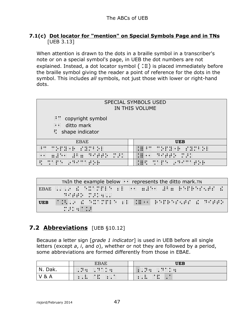#### **7.1(c) Dot locator for "mention" on Special Symbols Page and in TNs** [UEB 3.13]

When attention is drawn to the dots in a braille symbol in a transcriber's note or on a special symbol's page, in UEB the dot numbers are not explained. Instead, a dot locator symbol  $(:::")$  is placed immediately before the braille symbol giving the reader a point of reference for the dots in the symbol. This includes *all* symbols, not just those with lower or right-hand dots.

|                                                                                                                                                                                                                                                                                                                                                                                                                                                                                                                                                                                                                 | <b>SPECIAL SYMBOLS USED</b><br>IN THIS VOLUME                                                                                                                                                                                                                                                                                                                                                                                                                                                                                                                                                                                                       |  |  |  |  |  |
|-----------------------------------------------------------------------------------------------------------------------------------------------------------------------------------------------------------------------------------------------------------------------------------------------------------------------------------------------------------------------------------------------------------------------------------------------------------------------------------------------------------------------------------------------------------------------------------------------------------------|-----------------------------------------------------------------------------------------------------------------------------------------------------------------------------------------------------------------------------------------------------------------------------------------------------------------------------------------------------------------------------------------------------------------------------------------------------------------------------------------------------------------------------------------------------------------------------------------------------------------------------------------------------|--|--|--|--|--|
| $\mathbb{R}$ copyright symbol<br>$\mathbb{R}$ $\oplus$ ditto mark<br>$\therefore$ shape indicator                                                                                                                                                                                                                                                                                                                                                                                                                                                                                                               |                                                                                                                                                                                                                                                                                                                                                                                                                                                                                                                                                                                                                                                     |  |  |  |  |  |
| <b>EBAE</b>                                                                                                                                                                                                                                                                                                                                                                                                                                                                                                                                                                                                     | <b>UEB</b>                                                                                                                                                                                                                                                                                                                                                                                                                                                                                                                                                                                                                                          |  |  |  |  |  |
| $\cdot$<br>$\cdots$<br>$\bullet \qquad \bullet \qquad \bullet \qquad \bullet \qquad \bullet \qquad \bullet \qquad \bullet \qquad \bullet$<br>$\cdot \bullet \cdot \cdot$<br>$\bullet \cdot \bullet \bullet \bullet \cdot \cdot \cdot \cdot \bullet \cdot \bullet \cdot$<br>$\cdots \quad \bullet \quad \bullet \quad \bullet \quad \bullet \quad \bullet \quad \bullet \quad \cdots \quad \bullet \quad \bullet$<br>$\cdots$                                                                                                                                                                                    | $\bullet$ $\bullet$ $\bullet$ $\bullet$ $\bullet$<br>$\cdots \bullet \bullet \bullet \bullet \bullet \cdots$<br>$\cdots \quad \bullet \quad \bullet \quad \cdots \quad \bullet \quad \bullet \quad \bullet \quad \bullet \quad \bullet \quad \bullet$<br>$\bullet \cdot \quad \cdot \bullet \quad \cdot \quad \bullet \quad \cdot \quad \bullet \quad \bullet \quad \bullet \quad \cdot$<br>$\bullet \cdot \quad \bullet \bullet \quad \bullet \cdot \quad \cdot \quad \bullet \cdot \quad \bullet \cdot$<br>$\cdots \quad \bullet \quad \bullet \quad \bullet \quad \bullet \quad \bullet \quad \bullet \quad \bullet \quad \bullet \quad \bullet$ |  |  |  |  |  |
| $\cdot \bullet \bullet \cdot \cdot \cdot \cdot$<br>$\cdots \quad \bullet \quad \bullet \quad \bullet \quad \cdot \quad \cdot \quad \cdot$<br>$\cdots$<br>$\cdots$<br>$\cdot\bullet\bullet\cdot\bullet\bullet$<br>$\bullet\bullet\hspace{0.2cm}\bullet\hspace{0.2cm}\bullet\hspace{0.2cm}\bullet\hspace{0.2cm}\bullet\hspace{0.2cm}\bullet\hspace{0.2cm}\bullet\hspace{0.2cm}\bullet$<br>$\cdot$<br>$\cdots$<br>$\bullet\bullet\ \bullet\bullet\quad \cdot\quad\quad \cdot\quad \cdot$<br><br>$\cdots \cdots \bullet \cdots \bullet \cdots \bullet \cdots$<br>$\bullet\cdot\bullet\cdot\bullet\cdot$<br>$\cdots$ | $\cdots$<br>$\bullet$ $\bullet$ $\bullet$ $\bullet$ $\bullet$ $\bullet$ $\bullet$ $\bullet$<br>$\bullet\bullet\quad\bullet\quad\bullet\quad\bullet\quad\bullet\quad\bullet\quad\bullet\quad\bullet$<br>$\cdots \bullet \bullet \cdot \bullet \bullet \cdots$<br>$\cdot$ $\cdot$ $\bullet$ $\cdot$ $\cdot$<br>$\bullet\cdot\bullet\cdot\bullet\cdot$                                                                                                                                                                                                                                                                                                 |  |  |  |  |  |
| $\bullet\bullet$<br>.<br>$\bullet$ .<br>$\cdots$<br>$\cdot$ .<br>$\bullet$ . $\bullet$ . $\bullet$ .                                                                                                                                                                                                                                                                                                                                                                                                                                                                                                            | $\cdots$<br><br>$\cdot$ $\cdot$ $\bullet$ $\bullet$ $\cdot$<br>$\cdots$<br>$\bullet\bullet\hspace{0.05cm}\bullet\hspace{0.05cm}\bullet\hspace{0.05cm}\bullet\hspace{0.05cm}\bullet\hspace{0.05cm}\bullet\hspace{0.05cm}\bullet\hspace{0.05cm}\bullet\hspace{0.05cm}\bullet\hspace{0.05cm}\bullet\hspace{0.05cm}\bullet\hspace{0.05cm}\bullet\hspace{0.05cm}\bullet\hspace{0.05cm}\bullet\hspace{0.05cm}\bullet\hspace{0.05cm}\bullet\hspace{0.05cm}\bullet\hspace{0.05cm}\bullet\hspace{0.05cm}\bullet\hspace{0.05cm}\bullet\hspace{0.0$<br>$\cdot$<br>.                                                                                            |  |  |  |  |  |

|             |                                                                                                                                                                                |                                                    |                                                                                                                                      |                                                                                   |                                                                                                                                                                                                                                                                                                                                                                                                                                                                                                                                                                                                     | TNIn the example below $\mathbb{H}$ : represents the ditto mark. TN                                                                                |                                                                                                                                                      |
|-------------|--------------------------------------------------------------------------------------------------------------------------------------------------------------------------------|----------------------------------------------------|--------------------------------------------------------------------------------------------------------------------------------------|-----------------------------------------------------------------------------------|-----------------------------------------------------------------------------------------------------------------------------------------------------------------------------------------------------------------------------------------------------------------------------------------------------------------------------------------------------------------------------------------------------------------------------------------------------------------------------------------------------------------------------------------------------------------------------------------------------|----------------------------------------------------------------------------------------------------------------------------------------------------|------------------------------------------------------------------------------------------------------------------------------------------------------|
| <b>ERAE</b> | .<br>$\cdots\cdots\cdots\cdots\cdots$<br>$\bullet\bullet\quad\bullet\quad\bullet\quad\bullet\quad\bullet\quad\bullet\quad\bullet\quad\bullet$                                  | $\cdot$ .<br>$\bullet$ .<br>$\bullet\bullet$       | $\cdots \quad \bullet \quad \bullet \quad \cdots \quad \bullet \quad \bullet \quad \bullet \quad \bullet \quad \bullet \quad \cdots$ | $\cdots$ .<br>$\bullet\cdot\bullet\cdot$<br>$\bullet\cdot\bullet\cdot$            | $\cdots \cdots \bullet \bullet \cdots \cdots$<br><b>Service</b> State<br>$\bullet\bullet\quad\bullet\quad\bullet\quad\bullet\quad\bullet\quad\bullet$<br>$\cdot \bullet \bullet \cdot$<br>$\bullet\bullet\bullet\bullet\;\cdot\;\cdot\;\;\cdot\;\cdot$<br>$\cdots$                                                                                                                                                                                                                                                                                                                                  | $\cdot \bullet \bullet \cdot \cdot \cdot \cdot$<br>$\cdot \bullet \bullet \cdot \bullet \bullet$<br>$\bullet\bullet\;\cdot\;\cdot\;\bullet\bullet$ | $\cdot\bullet$<br>$\bullet$ .<br>$\bullet\bullet$                                                                                                    |
| <b>UEB</b>  | $\cdots\cdots\cdots\cdots\cdots\cdots\cdots\cdots$<br>$\cdots \quad \bullet \quad \bullet \quad \bullet \quad \bullet \quad \bullet \quad \bullet \quad \bullet \quad \bullet$ | $\cdot$ .<br>$\bullet$ $\cdot$<br>$\bullet\bullet$ | $\cdots \quad \bullet \quad \bullet \quad \cdots \quad \bullet \quad \bullet \quad \bullet \quad \bullet \quad \bullet \quad \cdots$ | $\cdot$ . $\bullet$ .<br>$\bullet\cdot\bullet\cdot$<br>$\bullet\cdot\bullet\cdot$ | $\cdots \bullet \bullet \cdot \bullet \bullet \cdot$<br>$\mathbf{r} \bullet \mathbf{a} \bullet \mathbf{a} \bullet \mathbf{a} \bullet \mathbf{a} \bullet \mathbf{a} \bullet \mathbf{a} \bullet \mathbf{a} \bullet \mathbf{a} \bullet \mathbf{a} \bullet \mathbf{a} \bullet \mathbf{a} \bullet \mathbf{a} \bullet \mathbf{a} \bullet \mathbf{a} \bullet \mathbf{a} \bullet \mathbf{a} \bullet \mathbf{a} \bullet \mathbf{a} \bullet \mathbf{a} \bullet \mathbf{a} \bullet \mathbf{a} \bullet \mathbf{a} \bullet \mathbf{a} \bullet \mathbf{a} \bullet \mathbf{a} \bullet \mathbf{a} \bullet \mathbf{$ |                                                                                                                                                    | $\bullet\bullet\quad\bullet\quad\bullet\quad\bullet\quad\bullet\quad\bullet\quad\bullet\quad\bullet$<br>$\cdot$ .<br>$\bullet$ .<br>$\bullet\bullet$ |
|             |                                                                                                                                                                                |                                                    |                                                                                                                                      |                                                                                   |                                                                                                                                                                                                                                                                                                                                                                                                                                                                                                                                                                                                     |                                                                                                                                                    |                                                                                                                                                      |

## **7.2 Abbreviations** [UEB §10.12]

Because a letter sign [*grade 1 indicator*] is used in UEB before all single letters (except *a*, *i*, and *o*), whether or not they are followed by a period, some abbreviations are formed differently from those in EBAE.

|            | <b>ERAE</b>                                                                                                                                                                                                                                                                                                                                                                                                                                                                                                                            | UER                                                                                                                                    |
|------------|----------------------------------------------------------------------------------------------------------------------------------------------------------------------------------------------------------------------------------------------------------------------------------------------------------------------------------------------------------------------------------------------------------------------------------------------------------------------------------------------------------------------------------------|----------------------------------------------------------------------------------------------------------------------------------------|
| Dak.<br>N. | $\mathcal{A}=\mathbf{0}+\mathbf{0}+\mathbf{0}+\mathbf{0}+\mathbf{0}+\mathbf{0}+\mathbf{0}+\mathbf{0}+\mathbf{0}+\mathbf{0}+\mathbf{0}+\mathbf{0}+\mathbf{0}+\mathbf{0}+\mathbf{0}+\mathbf{0}+\mathbf{0}+\mathbf{0}+\mathbf{0}+\mathbf{0}+\mathbf{0}+\mathbf{0}+\mathbf{0}+\mathbf{0}+\mathbf{0}+\mathbf{0}+\mathbf{0}+\mathbf{0}+\mathbf{0}+\mathbf{0}+\mathbf{0}+\mathbf{0}+\mathbf{0}+\mathbf{0}+\mathbf{0}+\mathbf{$                                                                                                                |                                                                                                                                        |
| V & A      | $\mathbf{a} \cdot \mathbf{a} \cdot \mathbf{b} \cdot \mathbf{c} \cdot \mathbf{c} \cdot \mathbf{c} \cdot \mathbf{c} \cdot \mathbf{c} \cdot \mathbf{c} \cdot \mathbf{c} \cdot \mathbf{c} \cdot \mathbf{c} \cdot \mathbf{c} \cdot \mathbf{c} \cdot \mathbf{c} \cdot \mathbf{c} \cdot \mathbf{c} \cdot \mathbf{c} \cdot \mathbf{c} \cdot \mathbf{c} \cdot \mathbf{c} \cdot \mathbf{c} \cdot \mathbf{c} \cdot \mathbf{c} \cdot \mathbf{c} \cdot \mathbf{c} \cdot \mathbf{c} \cdot \mathbf{$<br>$\cdot \bullet \cdot \bullet \bullet \bullet$ | $\cdot \cdot \cdot \cdot$<br>$\cdots$<br>. The contract of the contract of the contract of $\mathbf{e}$<br>$\cdot \bullet \cdot \cdot$ |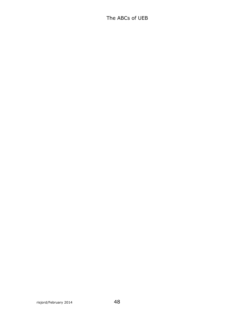#### The ABCs of UEB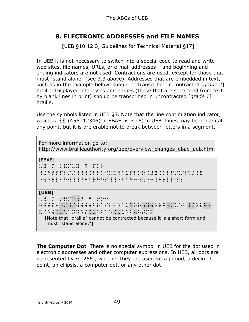## **8. ELECTRONIC ADDRESSES and FILE NAMES**

[UEB §10.12.3, Guidelines for Technical Material §17]

In UEB it is not necessary to switch into a special code to read and write web sites, file names, URLs, or e-mail addresses - and beginning and ending indicators are not used. Contractions are used, except for those that must "stand alone" (see 3.3 above). Addresses that are embedded in text, such as in the example below, should be transcribed in contracted [*grade 2*] braille. Displayed addresses and names (those that are separated from text by blank lines in print) should be transcribed in uncontracted [*grade 1*] braille.

Use the symbols listed in UEB §3. Note that the line continuation indicator, which is  $\mathbf{ii}$  (456, 12346) in EBAE, is  $\cdot$  (5) in UEB. Lines may be broken at any point, but it is preferable not to break between letters in a segment.

For more information go to: http://www.brailleauthority.org/ueb/overview\_changes\_ebae\_ueb.html

[EBAE] ,= M 9=M,N G TO3 \_+HTTP3//WWW.BRAILLEAUTHORITY.ORG/UEB/\_& OVER I DIE OVERSTE DIE VOLGOGIE DIE OP DIE OORDEN VAN DIE DIE OORSEE VAN DIE DIE OORSEE DIE OORSEE VAN DIE DIE<br>Die op die op die die volgogie van die volgogie van die op die volgogie van die op die volgogie op die op die<br>D

**[UEB]**

,= M 9=MA;N G TO3 HTTP3 OF THE CORPORATION OF THE CORPORATION OF THE CORPORATION OF THE CORPORATION OF THE CORPORATION OF THE CO<br>The Corporation of the Corporation of the Corporation of the Corporation of the Corporation of the Corporation<br> VIEW.-EBAEL. EN 1999 DE VIEWEND DE VIERE EN 1999 DE VIEWENDE EN DE VIEWENDE EN 1999 DE VIEWENDE EN DE VIEWEND<br>An de vier de viere en de viere de viere de vieren en de viere en de vieren de vieren de de vieren de vieren<br>An [Note that "braille" cannot be contracted because it is a short form and must "stand alone."]

**The Computer Dot** There is no special symbol in UEB for the dot used in electronic addresses and other computer expressions. In UEB, all dots are represented by  $\cdot$ : (256), whether they are used for a period, a decimal point, an ellipsis, a computer dot, or any other dot.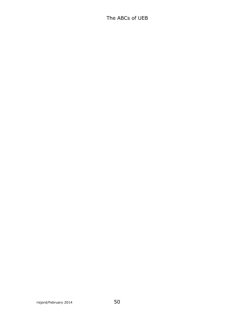#### The ABCs of UEB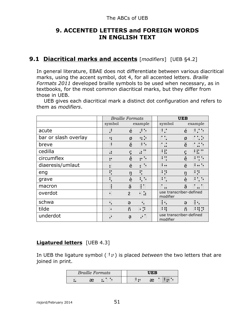## **9. ACCENTED LETTERS and FOREIGN WORDS IN ENGLISH TEXT**

## **9.1 Diacritical marks and accents** [*modifiers*] [UEB §4.2]

In general literature, EBAE does not differentiate between various diacritical marks, using the accent symbol, dot 4, for all accented letters. *Braille Formats 2011* developed braille symbols to be used when necessary, as in textbooks, for the most common diacritical marks, but they differ from those in UEB.

UEB gives each diacritical mark a distinct dot configuration and refers to them as *modifiers*.

|                      | <b>Braille Formats</b>                           |          |                                                                                             | <b>UEB</b>                                               |   |                                                                                                                                                                 |
|----------------------|--------------------------------------------------|----------|---------------------------------------------------------------------------------------------|----------------------------------------------------------|---|-----------------------------------------------------------------------------------------------------------------------------------------------------------------|
|                      | symbol                                           |          | example                                                                                     | symbol                                                   |   | example                                                                                                                                                         |
| acute                | $\cdot\bullet$<br>$\cdot \bullet$<br>$\bullet$ . | é        | $\cdot$<br>$\cdot \bullet \cdot \bullet$<br>$\bullet \cdot \cdot \cdot$                     | $\cdot$<br>$\cdot$<br>$\cdots$ .                         | é | $\bullet\hspace{0.1cm}\bullet\hspace{0.1cm}\bullet\hspace{0.1cm}\bullet\hspace{0.1cm}\bullet\hspace{0.1cm}\bullet$<br>$\cdots$ .<br>$\bullet \cdot \cdot \cdot$ |
| bar or slash overlay | $\bullet\bullet$<br>$\cdot$ $\bullet$            | Ø        | $\cdot$ . $\bullet$ .<br>$\bullet\bullet\;\cdot\bullet$<br>$\cdot \bullet \bullet \cdot$    | $\cdot$<br>.<br>$\cdot \bullet$<br>$\ddot{\phantom{0}}$  | Ø | $\cdots$                                                                                                                                                        |
| breve                | $\cdot$ $\bullet$<br>$\cdot$ $\bullet$<br>. .    | ĕ        | $\cdot$<br>$\cdot \bullet \quad \cdot \bullet$<br>.                                         | $\cdot \bullet \quad \cdot \bullet$<br>.<br>$\cdot$      | ĕ | $\cdot \bullet \bullet \cdot$<br>. <b>. .</b><br>$\bullet\bullet$<br>$\cdot$ .                                                                                  |
| cedilla              | . .<br>$\cdot$ $\bullet$<br>$\bullet \bullet$    | Ç        | $\cdot$<br>$\cdot \bullet \cdot \cdot$<br>$\bullet \bullet \cdot \cdot$                     | $\cdot$<br>$\mathbf{H}$                                  | Ç | $\cdot$<br>$\mathbb{R}^{\bullet}$ , and $\mathbb{R}^{\bullet}$                                                                                                  |
| circumflex           | . .<br>$\bullet\bullet$<br>$\bullet$ .           | ê        | $\cdots$ .<br>$\cdots$<br>$\bullet \cdot \cdot \cdot$                                       | . 0.00<br>$\cdot$<br>.                                   | ê | $\cdot$<br>$\mathbb{R}$ , $\mathbb{R}$                                                                                                                          |
| diaeresis/umlaut     | . .<br>$\bullet$ .<br>$\bullet$ .                | ë        | $\cdot$ . $\bullet$ .<br>$\bullet \cdot \cdot \cdot \bullet$<br>$\bullet \cdot \cdot \cdot$ | $\cdot$<br>$\cdot \bullet \bullet \bullet$<br>.          | ë | $\cdot$<br>$\bullet\bullet\bullet\bullet\bullet$<br>.                                                                                                           |
| eng                  | $\bullet\bullet$<br>$\bullet$ .<br>٠.            | ŋ        | $\bullet\bullet$<br>∷                                                                       | $\cdot$<br>:≑ ;:                                         | ŋ | $\cdot$<br>$\mathbb{R}$ .                                                                                                                                       |
| grave                | $\bullet$ .<br>$\bullet$ .<br>$\cdot$ $\bullet$  | è        | $\bullet\cdot\ \bullet\cdot$<br>$\bullet \cdot \cdot \bullet$<br>$\cdot$                    | $\cdot$<br>$\cdot$<br>.                                  | è | $\cdot \cdot \cdot \cdot \bullet$<br>$\cdot$ .                                                                                                                  |
| macron               | ٠.<br>$\cdot$ $\bullet$<br>$\cdot$ $\bullet$     | ā        | $\cdot$<br><b>:: ::</b>                                                                     | $\cdot \bullet \quad \cdot \quad$<br>$\cdots$<br>$\cdot$ | ā | $\cdot$ . $\bullet$ .<br>.<br>$\cdots$                                                                                                                          |
| overdot              | . .<br>$\bullet$ .<br>$\cdot$ .                  | ż        | $\cdot$ $\cdot$ $\cdot$<br>$\ddot{\cdot}$ :                                                 | use transcriber-defined<br>modifier                      |   |                                                                                                                                                                 |
| schwa                | . .<br>$\bullet$ .<br>$\cdot$ $\bullet$          | $\Theta$ | . .<br>$\bullet$ .<br>$\cdot$ $\bullet$                                                     | $\cdot$<br>$\mathbf{::} \bullet \mathbf{:}$              | Э | . <b>.</b><br>$\cdot$                                                                                                                                           |
| tilde                | $\cdot$ .<br>$\cdot$ $\bullet$<br>. .            | ñ        | $\cdot$<br>$\cdot \bullet \quad \cdot \bullet$<br>. . <b>.</b> .                            | $\cdot$<br>$\cdot \bullet \bullet \bullet$<br>$\cdots$   | ñ | $\cdot$                                                                                                                                                         |
| underdot             | $\cdot$ $\bullet$<br>$\bullet$ .                 | a        | $\cdots$ .<br>$\cdot \bullet \cdot \cdot$<br>$\bullet \cdot \cdot \cdot$                    | use transcriber-defined<br>modifier                      |   |                                                                                                                                                                 |

#### **Ligatured letters** [UEB 4.3]

In UEB the ligature symbol ( $\mathbf{G}$ :  $\mathbf{G}$ ) is placed *between* the two letters that are joined in print.

| <b>Braille Formats</b>         |                                                                                                                                                |                                                                                                                                                                              |  |  |  |  |  |
|--------------------------------|------------------------------------------------------------------------------------------------------------------------------------------------|------------------------------------------------------------------------------------------------------------------------------------------------------------------------------|--|--|--|--|--|
| $\cdot$ $\cdot$<br>$\bullet$ . | $\cdot$ $\cdot$ $\cdot$ $\cdot$ $\cdot$<br>$\bullet \cdot \cdot \cdot \cdot \cdot \bullet$<br>$\bullet\bullet\quad \cdot\quad\quad \cdot\quad$ | $\bullet \cdot \cdot \cdot \bullet \cdot \cdot \cdot \bullet \cdot$<br>$\cdot \bullet \cdot \cdot$<br>≃<br>. 0.00<br>$\cdots \cdots \bullet \cdots$<br>$\cdot$ . $\bullet$ . |  |  |  |  |  |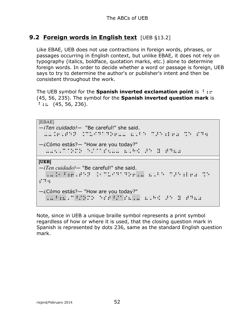## **9.2 Foreign words in English text** [UEB §13.2]

Like EBAE, UEB does not use contractions in foreign words, phrases, or passages occurring in English context, but unlike EBAE, it does not rely on typography (italics, boldface, quotation marks, etc.) alone to determine foreign words. In order to decide whether a word or passage is foreign, UEB says to try to determine the author's or publisher's intent and then be consistent throughout the work.

The UEB symbol for the **Spanish inverted exclamation point** is  $\mathbf{F}$ **:** (45, 56, 235). The symbol for the **Spanish inverted question mark** is  $\ddots$  (45, 56, 236).

| [EBAE]<br>$-i$ Ten cuidado! $-$ "Be careful!" she said.<br>$\cdots \cdots \cdots \cdots \cdots \cdots$<br>.<br>$\bullet\bullet\textcolor{white}{0} \bullet\textcolor{white}{0} \bullet\textcolor{white}{0} \bullet$<br>$\bullet \cdot \cdot \cdot \bullet \cdot \cdot \bullet$<br>$\cdots \quad \bullet \quad \bullet \quad \bullet \quad \bullet \quad \bullet \quad \bullet \quad \bullet \quad \bullet \quad \bullet$<br>$\cdot \cdot \cdot \cdot \bullet$<br>.<br>a.  . a. a. a. a.<br>$\cdot$<br>$\bullet \bullet \cdot \bullet \quad \cdot \quad \cdot \quad \cdot$<br>. |
|--------------------------------------------------------------------------------------------------------------------------------------------------------------------------------------------------------------------------------------------------------------------------------------------------------------------------------------------------------------------------------------------------------------------------------------------------------------------------------------------------------------------------------------------------------------------------------|
| $-i$ Cómo estás? $-$ "How are you today?"<br>$\cdots$<br>. <b>.</b><br>. <b>. . . .</b><br>$\bullet \cdot \cdot \cdot \bullet \bullet \bullet \cdot$<br>$\cdot$<br>$\begin{array}{cccccccccccccc} \bullet & \bullet & \cdot & \bullet & \bullet & \cdot & \cdot & \bullet \end{array}$<br>$\cdot$ $\bullet$<br>a    a  a<br>$\cdots$<br>$\bullet \cdot \cdot \cdot \bullet \bullet \bullet \bullet$                                                                                                                                                                            |
|                                                                                                                                                                                                                                                                                                                                                                                                                                                                                                                                                                                |
| [UEB]                                                                                                                                                                                                                                                                                                                                                                                                                                                                                                                                                                          |
| $-i Ten$ cuidado! $-$ "Be careful!" she said.                                                                                                                                                                                                                                                                                                                                                                                                                                                                                                                                  |
| . <b>.</b> .<br>.<br>$\bullet \cdot \cdot \cdot \bullet \cdot \cdot \bullet$<br>. . <b>. a</b> . <b>a</b> . <b>a . a a a</b><br>.<br>$\begin{array}{ccccccccccccccccc} \bullet & \bullet & \cdot & \bullet & \bullet & \bullet & \cdot & \cdot & \cdot & \cdot & \cdot \end{array}$<br>. . <b>. . .</b> . <b>.</b> . <b>. .</b><br>$\cdot$                                                                                                                                                                                                                                     |
| .<br>.                                                                                                                                                                                                                                                                                                                                                                                                                                                                                                                                                                         |
| $-i$ Cómo estás? $-$ "How are you today?"<br>. <b>. .</b><br>$\bullet\bullet$<br>. <b></b> . <b></b><br>$\bullet \cdot \cdot \cdot \bullet \bullet \bullet \cdot$<br>$\cdot$<br>$\cdot$ .<br>$\bullet\cdot\ \cdot\ \cdot$<br>.                                                                                                                                                                                                                                                                                                                                                 |

Note, since in UEB a unique braille symbol represents a print symbol regardless of how or where it is used, that the closing question mark in Spanish is represented by dots 236, same as the standard English question mark.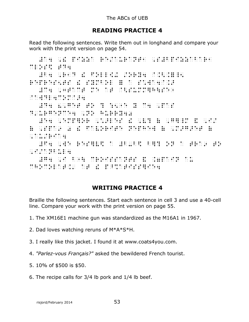## **READING PRACTICE 4**

Read the following sentences. Write them out in longhand and compare your work with the print version on page 54.

 #A4 ,! PIZZA RE/AURANT1 ,S#BPIZZABAR1 CLOS\$ TD4 #B4 ,R1D ! FOLL[+ /ORY4 @.<.=\_5 REPRESSION - REPRESSION - A STRAIGHT - A STRAIGHT - A STRAIGHT - A STRAIGHT - A STRAIGHT - A STRAIGHT - A STRA<br>REPRESSION - A STRAIGHT - A STRAIGHT - A STRAIGHT - A STRAIGHT - A STRAIGHT - A STRAIGHT - A STRAIGHT - A STR<br>R #C4 ,3TACT ME AT @<SUMM]H\SE" @AWDL4COM@>4 # 2,000 (2,000) = 2,000 (2,000) = 2,000 (2,000) = 2,000 (2,000) = 2,000 (2,000) = 2,000 (2,000) = 2,000 (2,000<br># 2,000 (2,000) = 2,000 (2,000) = 2,000 (2,000) = 2,000 (2,000) = 2,000 = 2,000 (2,000) = 2,000 (2,000) = 2,0<br># D'URGENCE4 ,NO HURRY40 #E4 ,EMP]OR ,\*>LES ! ,V? ( ,G]\_M & ,I/ ( ,SPA9 0 ! FAVORITE NEPHEW ( ,M>G>ET (  $\frac{1}{2}$ ,  $\frac{1}{2}$ ,  $\frac{1}{2}$ ,  $\frac{1}{2}$ ,  $\frac{1}{2}$ ,  $\frac{1}{2}$ ,  $\frac{1}{2}$ ,  $\frac{1}{2}$ ,  $\frac{1}{2}$ ,  $\frac{1}{2}$ ,  $\frac{1}{2}$  #F4 ,WE RES]V\$ A #B-B\$ B]? ON A TRA9 TO  $\frac{1}{2}$ ,  $\frac{1}{2}$ ,  $\frac{1}{2}$ ,  $\frac{1}{2}$ ,  $\frac{1}{2}$ ,  $\frac{1}{2}$ ,  $\frac{1}{2}$ ,  $\frac{1}{2}$ ,  $\frac{1}{2}$ ,  $\frac{1}{2}$ ,  $\frac{1}{2}$ ,  $\frac{1}{2}$ ,  $\frac{1}{2}$ ,  $\frac{1}{2}$ ,  $\frac{1}{2}$ ,  $\frac{1}{2}$ ,  $\frac{1}{2}$ ,  $\frac{1}{2}$ ,  $\frac{1}{2}$ ,  $\frac{1}{2}$ , #FOR \$PAIN AND \$PAIN AND \$PAIN AND \$PAIN AUTHOR \$PAIN AUTHOR \$PAIN AUTHOR \$PAIN AUTHOR \$PAIN AUTHOR \$PAIN AUTH<br>AUTHOR \$PAIN AUTHOR \$PAIN AUTHOR \$PAIN AUTHOR \$PAIN AUTHOR \$PAIN AUTHOR \$PAIN AUTHOR \$PAIN AUTHOR \$PAIN AUTHOR<br> CHOCOLAT.' AT ! P^%ATISS]IE4

## **WRITING PRACTICE 4**

Braille the following sentences. Start each sentence in cell 3 and use a 40-cell line. Compare your work with the print version on page 55.

- 1. The XM16E1 machine gun was standardized as the M16A1 in 1967.
- 2. Dad loves watching reruns of M\*A\*S\*H.
- 3. I really like this jacket. I found it at www.coats4you.com.
- 4. *"Parlez-vous Fran*ç*ais?"* asked the bewildered French tourist.
- 5. 10% of \$500 is \$50.
- 6. The recipe calls for 3/4 lb pork and 1/4 lb beef.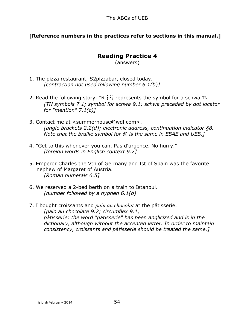#### **[Reference numbers in the practices refer to sections in this manual.]**

### **Reading Practice 4**

(answers)

- 1. The pizza restaurant, S2pizzabar, closed today. *[contraction not used following number 6.1(b)]*
- 2. Read the following story. TN::: represents the symbol for a schwa.TN *[TN symbols 7.1; symbol for schwa 9.1; schwa preceded by dot locator for "mention" 7.1(c)]*
- 3. Contact me at <summerhouse@wdl.com>. *[angle brackets 2.2(d); electronic address, continuation indicator §8. Note that the braille symbol for @ is the same in EBAE and UEB.]*
- 4. "Get to this whenever you can. Pas d'urgence. No hurry." *[foreign words in English context 9.2]*
- 5. Emperor Charles the Vth of Germany and Ist of Spain was the favorite nephew of Margaret of Austria. *[Roman numerals 6.5]*
- 6. We reserved a 2-bed berth on a train to Istanbul. *[number followed by a hyphen 6.1(b)*
- 7. I bought croissants and *pain au chocolat* at the pâtisserie. *[pain au chocolate 9.2; circumflex 9.1; pâtisserie: the word "patisserie" has been anglicized and is in the dictionary, although without the accented letter. In order to maintain consistency, croissants and pâtisserie should be treated the same.]*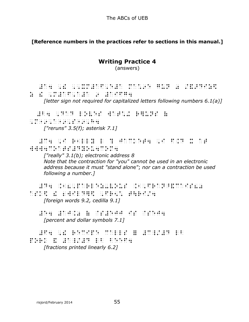#### **[Reference numbers in the practices refer to sections in this manual.]**

#### **Writing Practice 4**

(answers)

 #A4 ,! ,,XM#AF,E#A MA\*9E GUN 0 /&>DIZ\$  $M$  ,  $M$  ,  $M$  ,  $M$  ,  $M$  ,  $M$  ,  $M$  ,  $M$  ,  $M$  ,  $M$  ,  $M$  ,  $M$  ,  $M$  ,  $M$  ,  $M$  ,  $M$  ,  $M$  ,  $M$  ,  $M$  ,  $M$  ,  $M$  ,  $M$  ,  $M$  ,  $M$  ,  $M$  ,  $M$  ,  $M$  ,  $M$  ,  $M$  ,  $M$  ,  $M$  ,  $M$  ,  $M$  ,  $M$  ,  $M$  ,  $M$  ,  $M$  , *[letter sign not required for capitalized letters following numbers 6.1(a)]* #B4 ,DAD LOVES WAT\*+ R]UNS ( ,M"9,A"9,S"9,H4 *["reruns" 3.5(f); asterisk 7.1]*  $\frac{1}{24}$  ,  $\frac{1}{24}$  ,  $\frac{1}{24}$  ,  $\frac{1}{24}$  ,  $\frac{1}{24}$  ,  $\frac{1}{24}$  ,  $\frac{1}{24}$  ,  $\frac{1}{24}$  ,  $\frac{1}{24}$  ,  $\frac{1}{24}$  ,  $\frac{1}{24}$  ,  $\frac{1}{24}$  ,  $\frac{1}{24}$  ,  $\frac{1}{24}$  ,  $\frac{1}{24}$  ,  $\frac{1}{24}$  ,  $\frac{1}{24}$  , WWW4COATS#DYOU4COM4 *["really" 3.1(b); electronic address 8 Note that the contraction for "you" cannot be used in an electronic address because it must "stand alon*e*"*; *nor can a contraction be used following a number.]* # 2008 | 2008 | 2008 | 2008 | 2008 | 2008 | 2009 | 2008 | 2008 | 2008 | 2008 | 2009 | 2009 | 2009 | 2009 | 200<br>Paragona | 2008 | 2019 | 2008 | 2008 | 2008 | 2008 | 2008 | 2008 | 2008 | 2008 | 2009 | 2009 | 2009 | 2008 | 2<br>  $\frac{1}{2}$  ,  $\frac{1}{2}$  ,  $\frac{1}{2}$  ,  $\frac{1}{2}$  ,  $\frac{1}{2}$  ,  $\frac{1}{2}$  ,  $\frac{1}{2}$  ,  $\frac{1}{2}$  ,  $\frac{1}{2}$  ,  $\frac{1}{2}$  ,  $\frac{1}{2}$  ,  $\frac{1}{2}$  ,  $\frac{1}{2}$  ,  $\frac{1}{2}$  ,  $\frac{1}{2}$  ,  $\frac{1}{2}$  ,  $\frac{1}{2}$  ,  $\frac{1}{2}$  ,  $\frac{1$ *[foreign words 9.2, cedilla 9.1]* #E4 #AJ.0 ( @S#EJJ IS @SEJ4 *[percent and dollar symbols 7.1]* #F4 ,! RECIPE CALLS = #C\_/#D LB PORT AT ALL HARRY THE RESIDENCE AND HARRY TO A RESIDENCE A RESIDENCE AND HARRY TO A RESIDENCE A RESIDENCE A RE<br>PORT AN ARRIVER'S MORE AND HARRY TO A RESIDENCE A RESIDENCE A RESIDENCE A RESIDENCE A RESIDENCE A RESIDENCE A<br>P *[fractions printed linearly 6.2]*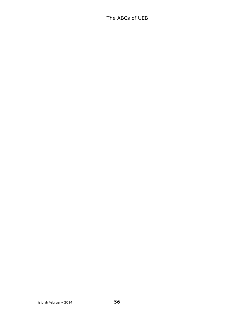#### The ABCs of UEB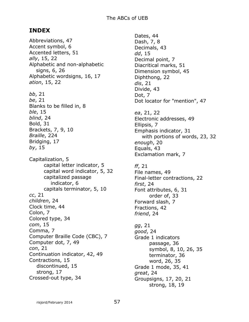## **INDEX**

Abbreviations, 47 Accent symbol, 6 Accented letters, 51 *ally*, 15, 22 Alphabetic and non-alphabetic signs, 6, 26 Alphabetic wordsigns, 16, 17 *ation*, 15, 22 *bb*, 21 *be*, 21 Blanks to be filled in, 8 *ble*, 15 *blind*, 24 Bold, 31 Brackets, 7, 9, 10 *Braille*, 224 Bridging, 17 *by*, 15 Capitalization, 5 capital letter indicator, 5 capital word indicator, 5, 32 capitalized passage indicator, 6 capitals terminator, 5, 10 *cc*, 21 *children*, 24 Clock time, 44 Colon, 7 Colored type, 34 *com*, 15 Comma, 7 Computer Braille Code (CBC), 7 Computer dot, 7, 49 *con*, 21 Continuation indicator, 42, 49 Contractions, 15 discontinued, 15 strong, 17 Crossed-out type, 34

Dates, 44 Dash, 7, 8 Decimals, 43 *dd*, 15 Decimal point, 7 Diacritical marks, 51 Dimension symbol, 45 Diphthong, 22 *dis*, 21 Divide, 43 Dot, 7 Dot locator for "mention", 47 *ea*, 21, 22 Electronic addresses, 49 Ellipsis, 7 Emphasis indicator, 31 with portions of words, 23, 32 *enough*, 20 Equals, 43 Exclamation mark, 7 *ff*, 21 File names, 49 Final-letter contractions, 22 *first*, 24 Font attributes, 6, 31 order of, 33 Forward slash, 7 Fractions, 42 *friend*, 24 *gg*, 21 *good*, 24 Grade 1 indicators passage, 36 symbol, 8, 10, 26, 35 terminator, 36 word, 26, 35 Grade 1 mode, 35, 41 *great*, 24 Groupsigns, 17, 20, 21 strong, 18, 19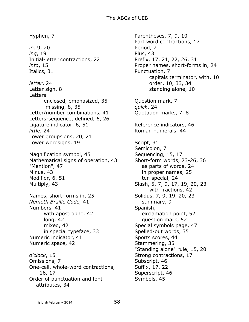Hyphen, 7 *in,* 9, 20 *ing*, 19 Initial-letter contractions, 22 *into*, 15 Italics, 31 *letter*, 24 Letter sign, 8 Letters enclosed, emphasized, 35 missing, 8, 35 Letter/number combinations, 41 Letters-sequence, defined, 6, 26 Ligature indicator, 6, 51 *little*, 24 Lower groupsigns, 20, 21 Lower wordsigns, 19 Magnification symbol, 45 Mathematical signs of operation, 43 "Mention", 47 Minus, 43 Modifier, 6, 51 Multiply, 43 Names, short-forms in, 25 *Nemeth Braille Code,* 41 Numbers, 41 with apostrophe, 42 long, 42 mixed, 42 in special typeface, 33 Numeric indicator, 41 Numeric space, 42 *o'clock*, 15 Omissions, 7 One-cell, whole-word contractions, 16, 17 Order of punctuation and font attributes, 34

Parentheses, 7, 9, 10 Part word contractions, 17 Period, 7 Plus, 43 Prefix, 17, 21, 22, 26, 31 Proper names, short-forms in, 24 Punctuation, 7 capitals terminator, with, 10 order, 10, 33, 34 standing alone, 10 Question mark, 7 *quick*, 24 Quotation marks, 7, 8 Reference indicators, 46 Roman numerals, 44 Script, 31 Semicolon, 7 Sequencing, 15, 17 Short-form words, 23-26, 36 as parts of words, 24 in proper names, 25 ten special, 24 Slash, 5, 7, 9, 17, 19, 20, 23 with fractions, 42 Solidus, 7, 9, 19, 20, 23 summary, 9 Spanish, exclamation point, 52 question mark, 52 Special symbols page, 47 Spelled-out words, 35 Sports scores, 44 Stammering, 35 "Standing alone" rule, 15, 20 Strong contractions, 17 Subscript, 46 Suffix, 17, 22 Superscript, 46 Symbols, 45